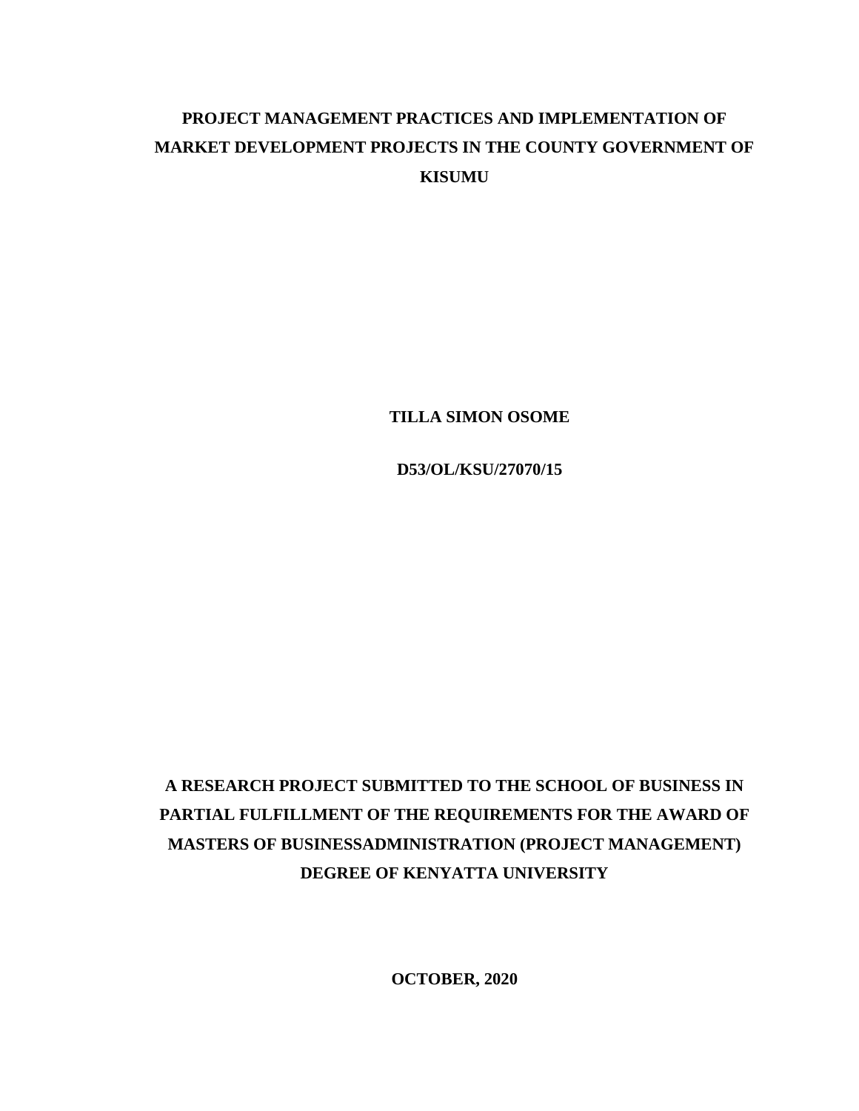# **PROJECT MANAGEMENT PRACTICES AND IMPLEMENTATION OF MARKET DEVELOPMENT PROJECTS IN THE COUNTY GOVERNMENT OF KISUMU**

**TILLA SIMON OSOME**

**D53/OL/KSU/27070/15**

# **A RESEARCH PROJECT SUBMITTED TO THE SCHOOL OF BUSINESS IN PARTIAL FULFILLMENT OF THE REQUIREMENTS FOR THE AWARD OF MASTERS OF BUSINESSADMINISTRATION (PROJECT MANAGEMENT) DEGREE OF KENYATTA UNIVERSITY**

**OCTOBER, 2020**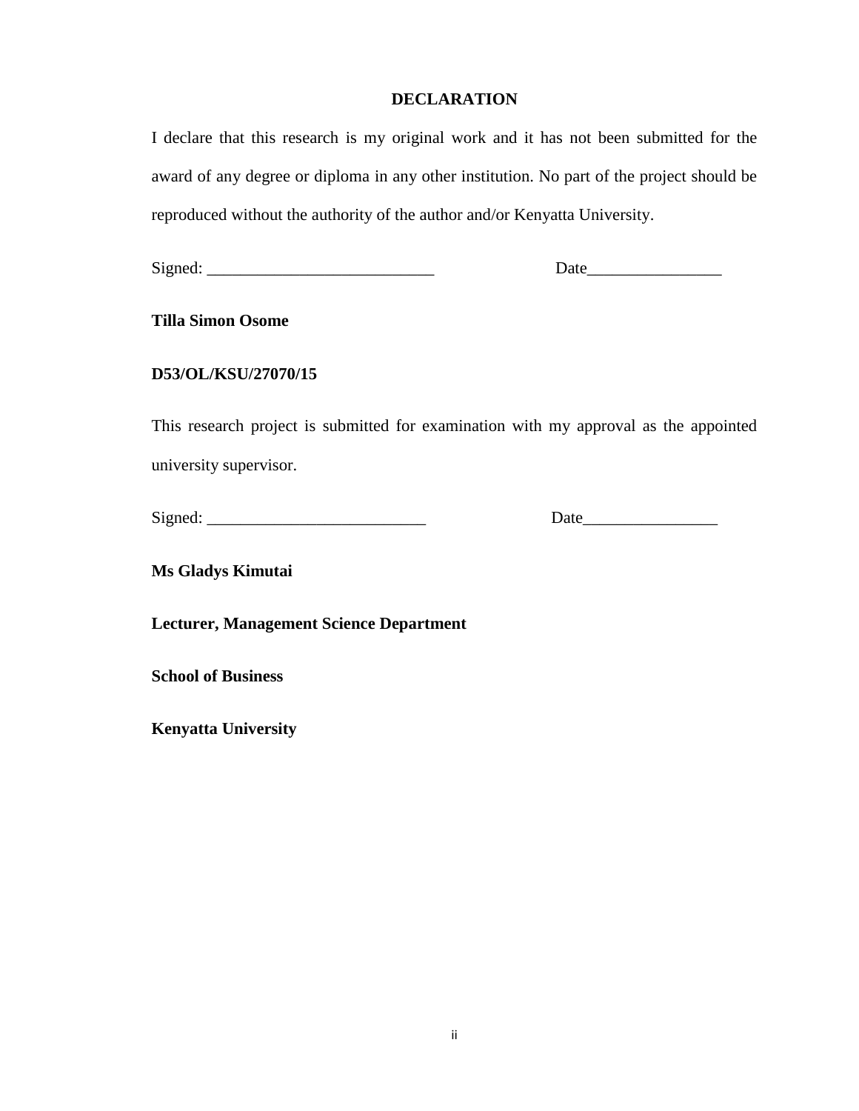# **DECLARATION**

<span id="page-1-0"></span>I declare that this research is my original work and it has not been submitted for the award of any degree or diploma in any other institution. No part of the project should be reproduced without the authority of the author and/or Kenyatta University.

Signed: \_\_\_\_\_\_\_\_\_\_\_\_\_\_\_\_\_\_\_\_\_\_\_\_\_\_\_ Date\_\_\_\_\_\_\_\_\_\_\_\_\_\_\_\_

**Tilla Simon Osome** 

# **D53/OL/KSU/27070/15**

This research project is submitted for examination with my approval as the appointed university supervisor.

Signed: \_\_\_\_\_\_\_\_\_\_\_\_\_\_\_\_\_\_\_\_\_\_\_\_\_\_ Date\_\_\_\_\_\_\_\_\_\_\_\_\_\_\_\_

**Ms Gladys Kimutai** 

**Lecturer, Management Science Department**

**School of Business**

**Kenyatta University**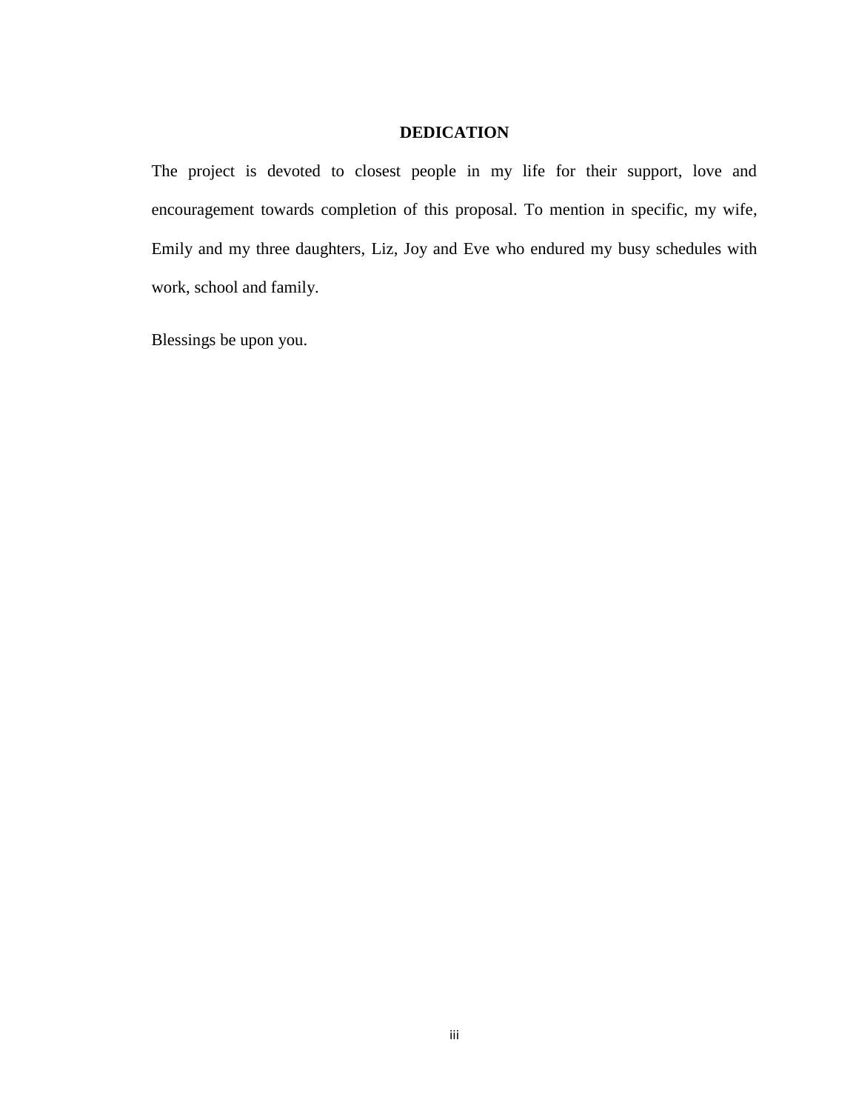# **DEDICATION**

<span id="page-2-0"></span>The project is devoted to closest people in my life for their support, love and encouragement towards completion of this proposal. To mention in specific, my wife, Emily and my three daughters, Liz, Joy and Eve who endured my busy schedules with work, school and family.

Blessings be upon you.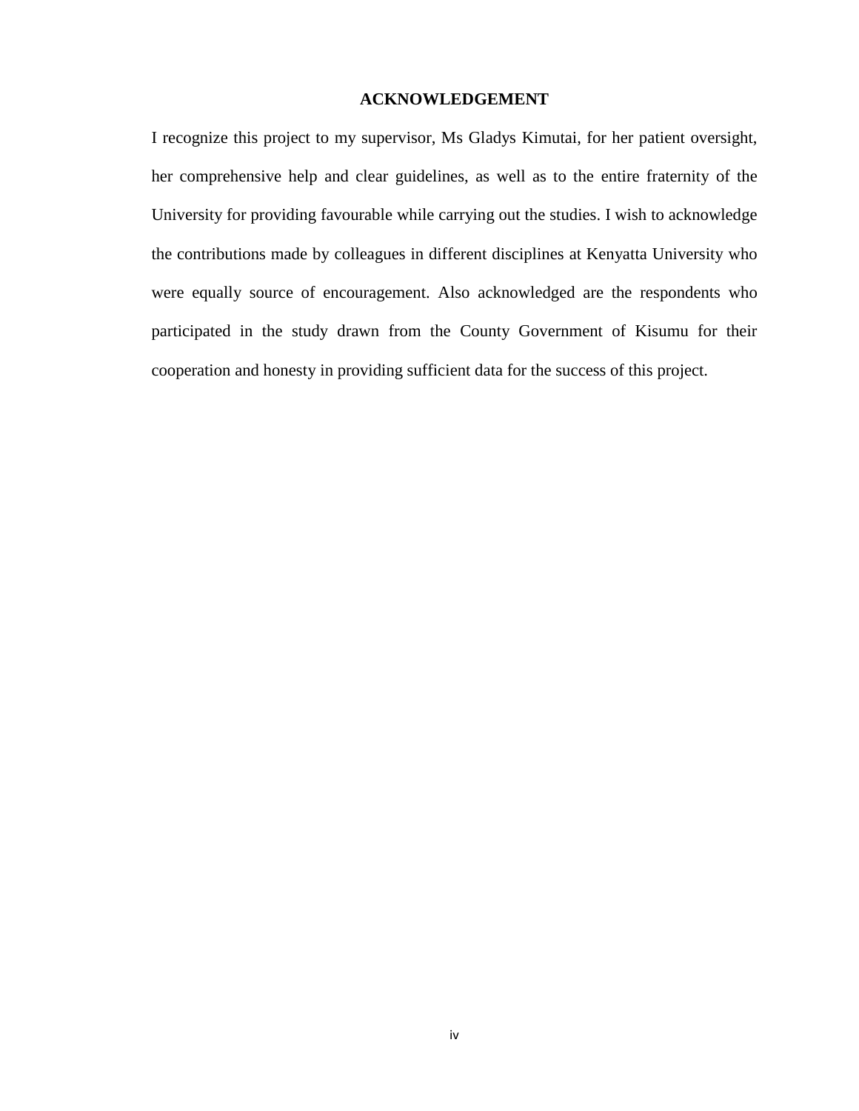# **ACKNOWLEDGEMENT**

<span id="page-3-0"></span>I recognize this project to my supervisor, Ms Gladys Kimutai, for her patient oversight, her comprehensive help and clear guidelines, as well as to the entire fraternity of the University for providing favourable while carrying out the studies. I wish to acknowledge the contributions made by colleagues in different disciplines at Kenyatta University who were equally source of encouragement. Also acknowledged are the respondents who participated in the study drawn from the County Government of Kisumu for their cooperation and honesty in providing sufficient data for the success of this project.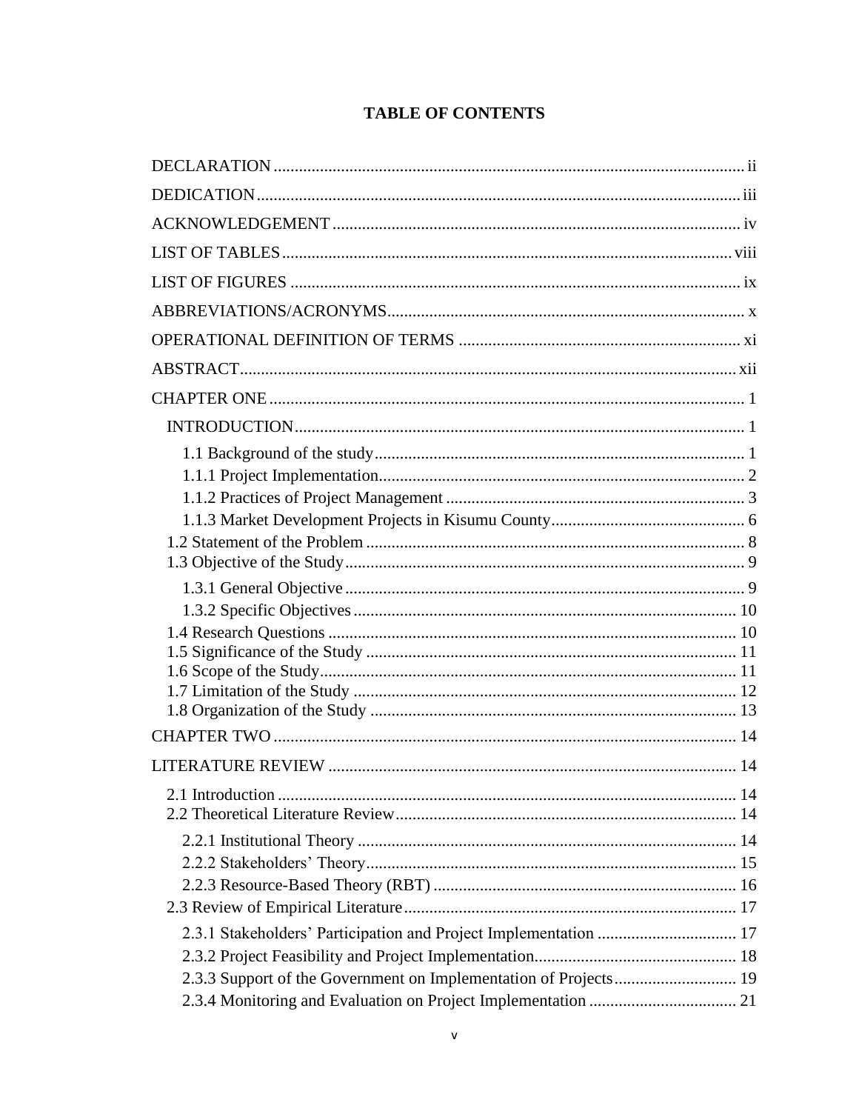| 2.3.1 Stakeholders' Participation and Project Implementation  17 |
|------------------------------------------------------------------|
|                                                                  |
|                                                                  |
|                                                                  |

# **TABLE OF CONTENTS**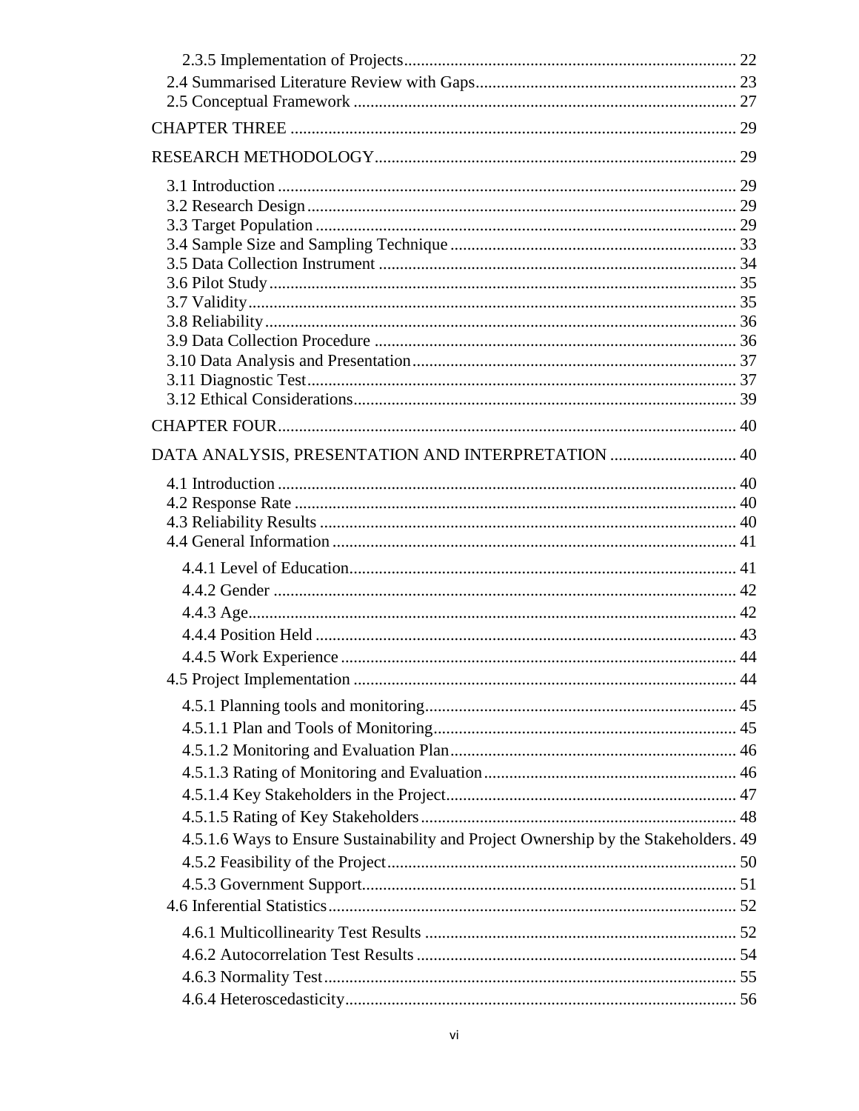| DATA ANALYSIS, PRESENTATION AND INTERPRETATION  40                                  |  |
|-------------------------------------------------------------------------------------|--|
|                                                                                     |  |
|                                                                                     |  |
|                                                                                     |  |
|                                                                                     |  |
|                                                                                     |  |
|                                                                                     |  |
|                                                                                     |  |
|                                                                                     |  |
|                                                                                     |  |
|                                                                                     |  |
|                                                                                     |  |
|                                                                                     |  |
|                                                                                     |  |
|                                                                                     |  |
|                                                                                     |  |
|                                                                                     |  |
| 4.5.1.6 Ways to Ensure Sustainability and Project Ownership by the Stakeholders. 49 |  |
|                                                                                     |  |
|                                                                                     |  |
|                                                                                     |  |
|                                                                                     |  |
|                                                                                     |  |
|                                                                                     |  |
|                                                                                     |  |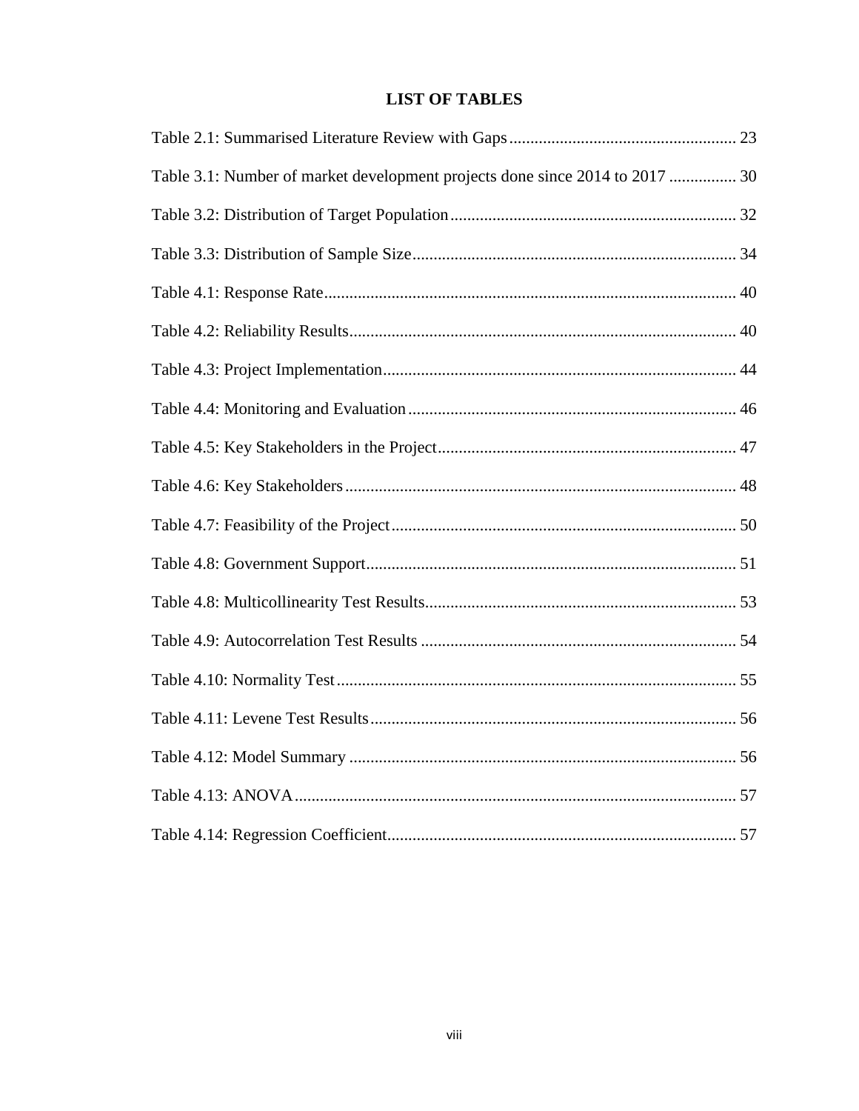# **LIST OF TABLES**

<span id="page-7-0"></span>

| Table 3.1: Number of market development projects done since 2014 to 2017  30 |  |
|------------------------------------------------------------------------------|--|
|                                                                              |  |
|                                                                              |  |
|                                                                              |  |
|                                                                              |  |
|                                                                              |  |
|                                                                              |  |
|                                                                              |  |
|                                                                              |  |
|                                                                              |  |
|                                                                              |  |
|                                                                              |  |
|                                                                              |  |
|                                                                              |  |
|                                                                              |  |
|                                                                              |  |
|                                                                              |  |
|                                                                              |  |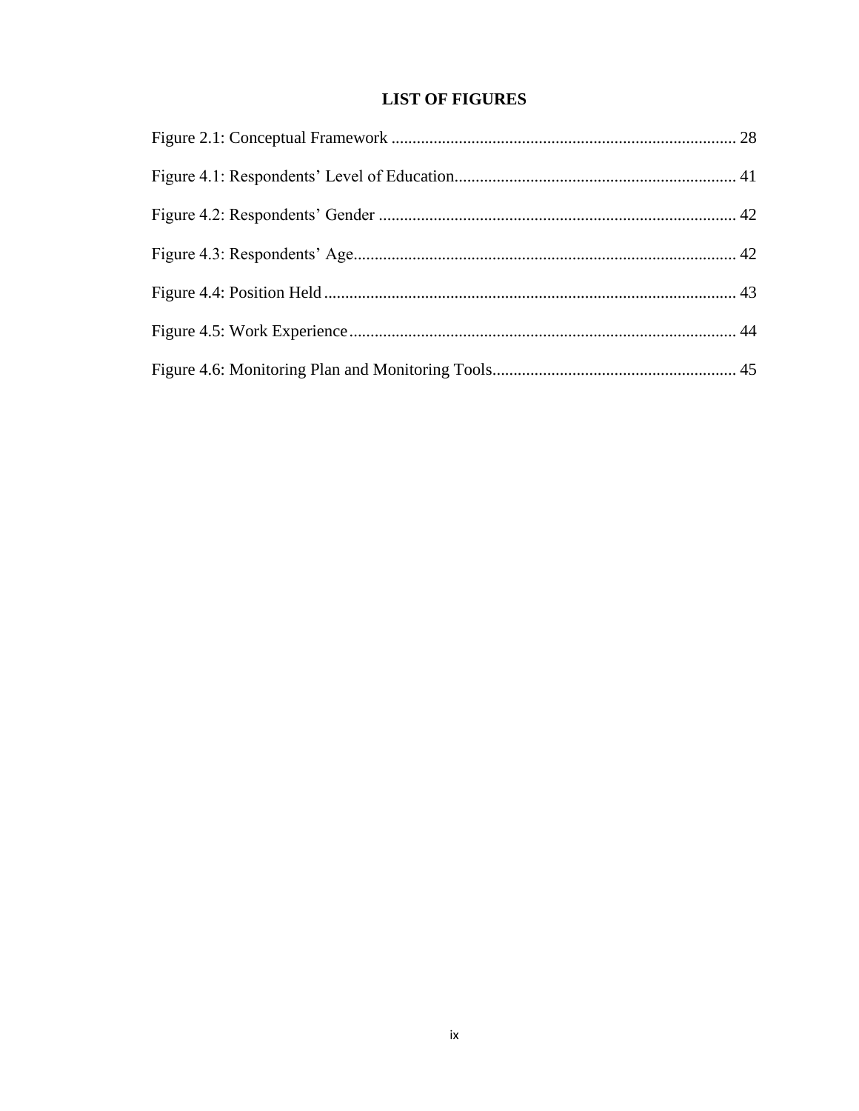# **LIST OF FIGURES**

<span id="page-8-0"></span>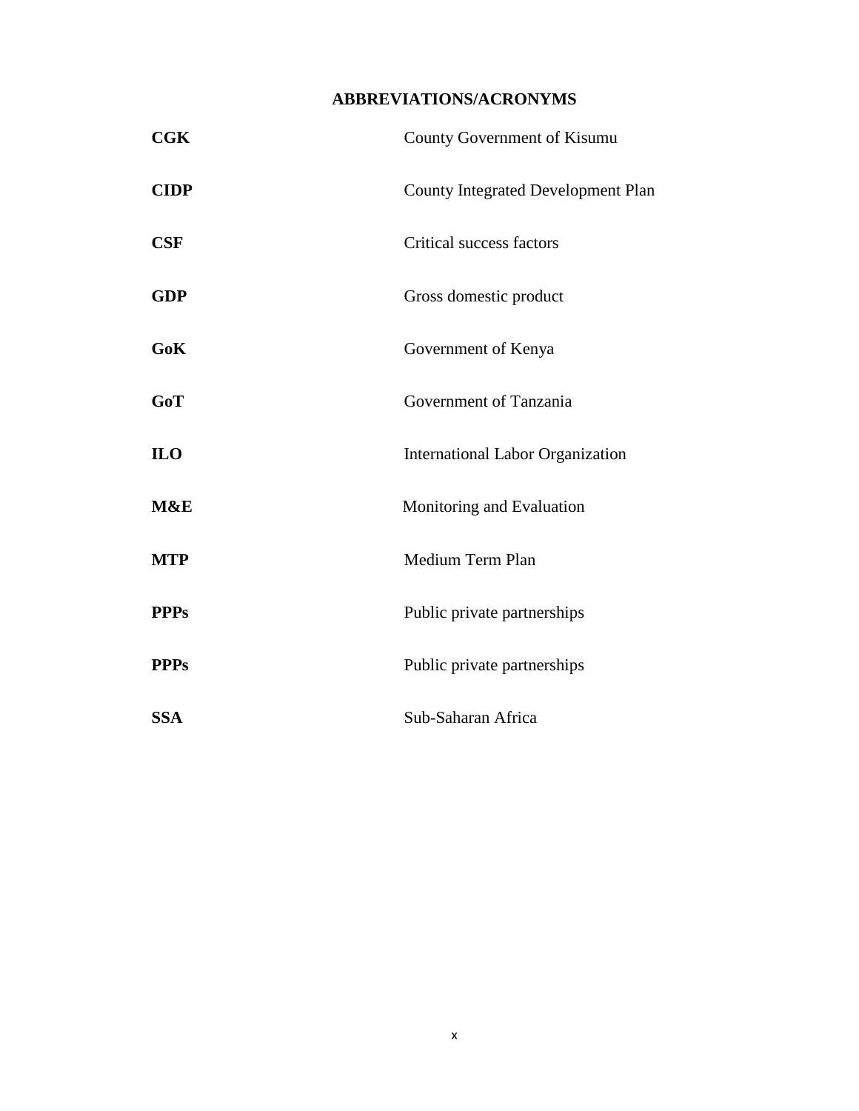# **ABBREVIATIONS/ACRONYMS**

<span id="page-9-0"></span>

| <b>CGK</b>      | County Government of Kisumu               |  |  |
|-----------------|-------------------------------------------|--|--|
| <b>CIDP</b>     | <b>County Integrated Development Plan</b> |  |  |
| <b>CSF</b>      | Critical success factors                  |  |  |
| <b>GDP</b>      | Gross domestic product                    |  |  |
| GoK             | Government of Kenya                       |  |  |
| GoT             | Government of Tanzania                    |  |  |
| IL <sub>0</sub> | <b>International Labor Organization</b>   |  |  |
| M&E             | Monitoring and Evaluation                 |  |  |
| <b>MTP</b>      | Medium Term Plan                          |  |  |
| <b>PPPs</b>     | Public private partnerships               |  |  |
| <b>PPPs</b>     | Public private partnerships               |  |  |
| <b>SSA</b>      | Sub-Saharan Africa                        |  |  |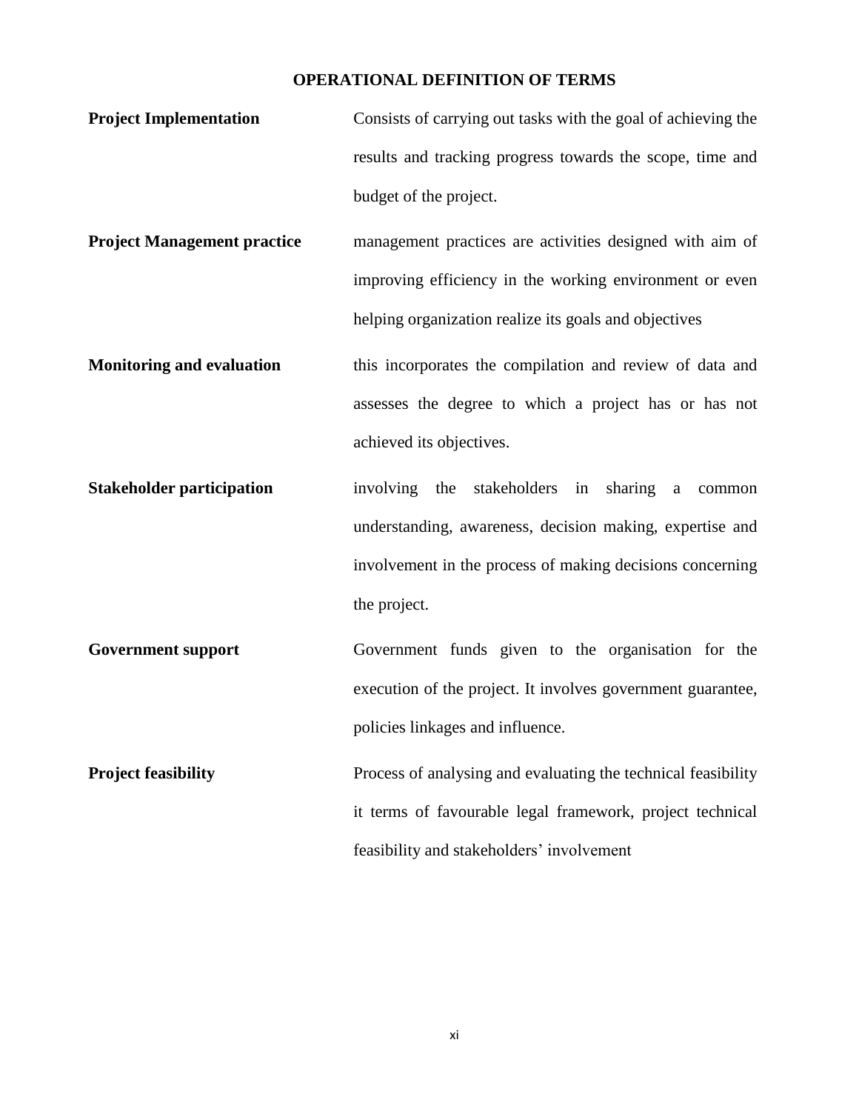# **OPERATIONAL DEFINITION OF TERMS**

- <span id="page-10-0"></span>**Project Implementation Consists of carrying out tasks with the goal of achieving the** results and tracking progress towards the scope, time and budget of the project.
- **Project Management practice** management practices are activities designed with aim of improving efficiency in the working environment or even helping organization realize its goals and objectives
- **Monitoring and evaluation** this incorporates the compilation and review of data and assesses the degree to which a project has or has not achieved its objectives.
- **Stakeholder participation** involving the stakeholders in sharing a common understanding, awareness, decision making, expertise and involvement in the process of making decisions concerning the project.
- **Government support** Government funds given to the organisation for the execution of the project. It involves government guarantee, policies linkages and influence.
- **Project feasibility** Process of analysing and evaluating the technical feasibility it terms of favourable legal framework, project technical feasibility and stakeholders' involvement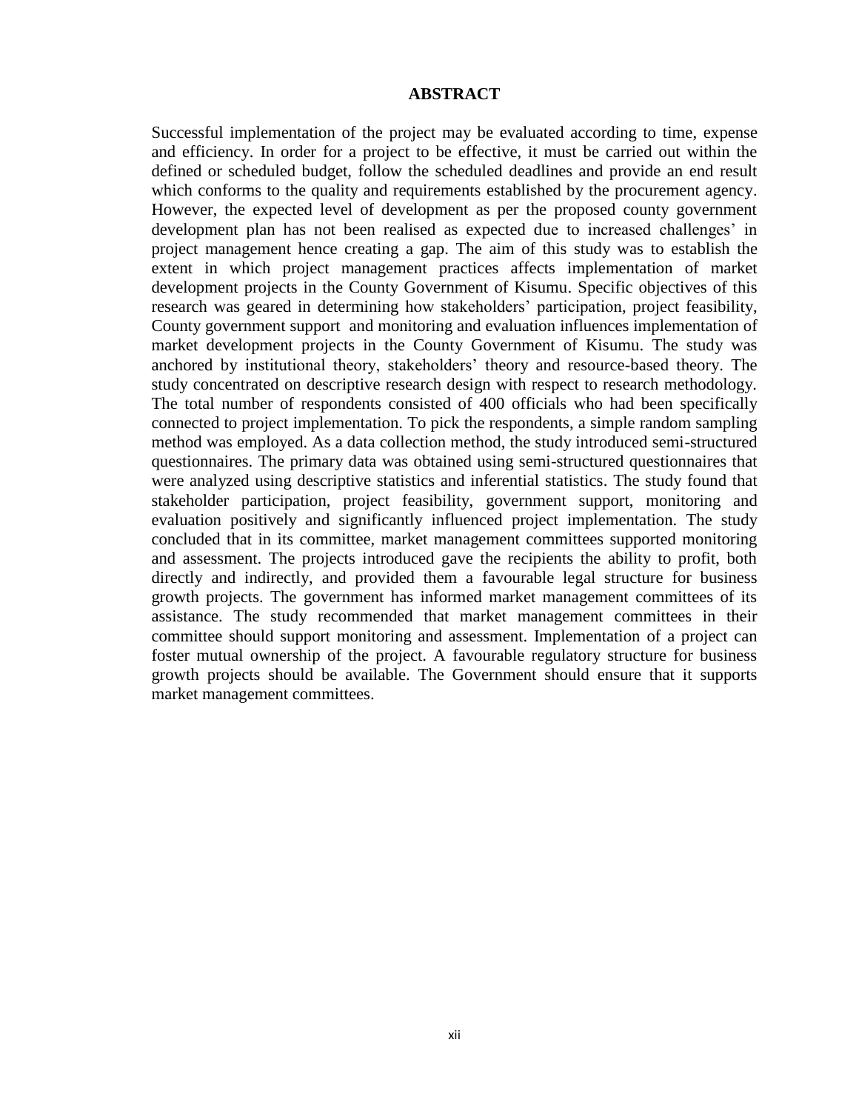### **ABSTRACT**

<span id="page-11-0"></span>Successful implementation of the project may be evaluated according to time, expense and efficiency. In order for a project to be effective, it must be carried out within the defined or scheduled budget, follow the scheduled deadlines and provide an end result which conforms to the quality and requirements established by the procurement agency. However, the expected level of development as per the proposed county government development plan has not been realised as expected due to increased challenges' in project management hence creating a gap. The aim of this study was to establish the extent in which project management practices affects implementation of market development projects in the County Government of Kisumu. Specific objectives of this research was geared in determining how stakeholders' participation, project feasibility, County government support and monitoring and evaluation influences implementation of market development projects in the County Government of Kisumu. The study was anchored by institutional theory, stakeholders' theory and resource-based theory. The study concentrated on descriptive research design with respect to research methodology. The total number of respondents consisted of 400 officials who had been specifically connected to project implementation. To pick the respondents, a simple random sampling method was employed. As a data collection method, the study introduced semi-structured questionnaires. The primary data was obtained using semi-structured questionnaires that were analyzed using descriptive statistics and inferential statistics. The study found that stakeholder participation, project feasibility, government support, monitoring and evaluation positively and significantly influenced project implementation. The study concluded that in its committee, market management committees supported monitoring and assessment. The projects introduced gave the recipients the ability to profit, both directly and indirectly, and provided them a favourable legal structure for business growth projects. The government has informed market management committees of its assistance. The study recommended that market management committees in their committee should support monitoring and assessment. Implementation of a project can foster mutual ownership of the project. A favourable regulatory structure for business growth projects should be available. The Government should ensure that it supports market management committees.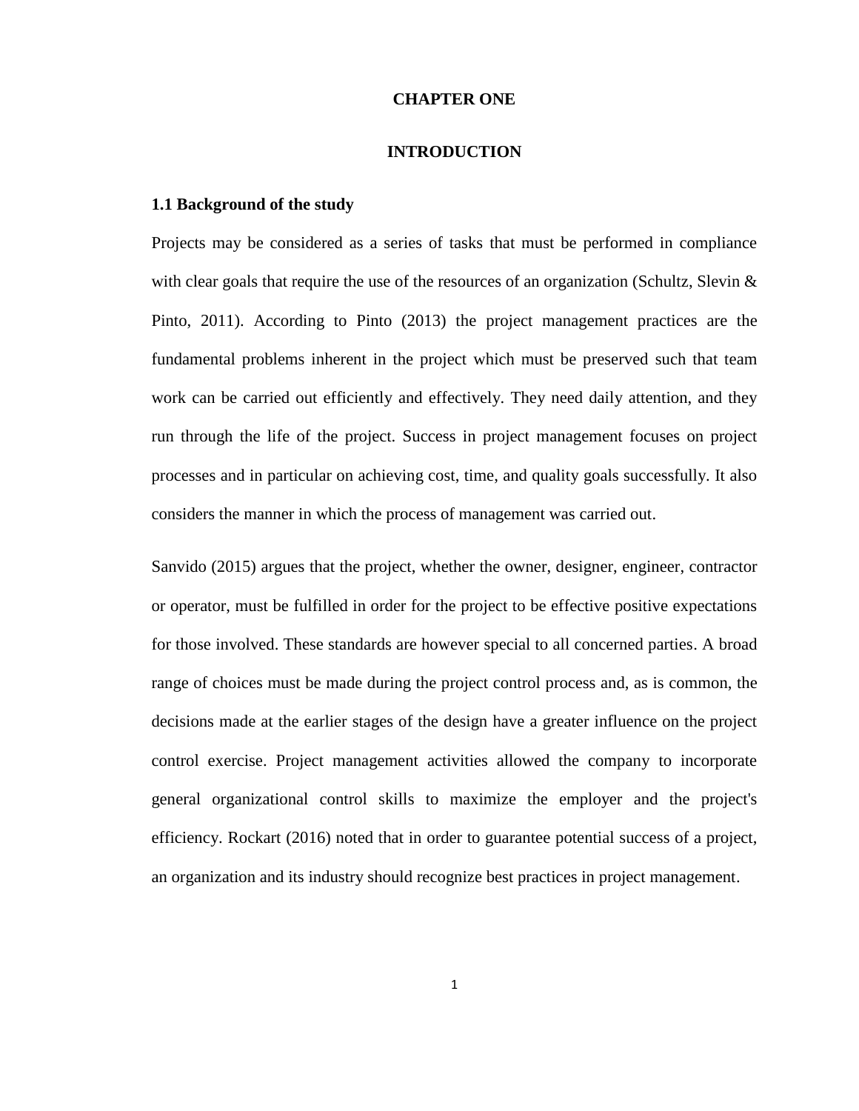### **CHAPTER ONE**

### **INTRODUCTION**

#### <span id="page-12-2"></span><span id="page-12-1"></span><span id="page-12-0"></span>**1.1 Background of the study**

Projects may be considered as a series of tasks that must be performed in compliance with clear goals that require the use of the resources of an organization (Schultz, Slevin  $\&$ Pinto, 2011). According to Pinto (2013) the project management practices are the fundamental problems inherent in the project which must be preserved such that team work can be carried out efficiently and effectively. They need daily attention, and they run through the life of the project. Success in project management focuses on project processes and in particular on achieving cost, time, and quality goals successfully. It also considers the manner in which the process of management was carried out.

Sanvido (2015) argues that the project, whether the owner, designer, engineer, contractor or operator, must be fulfilled in order for the project to be effective positive expectations for those involved. These standards are however special to all concerned parties. A broad range of choices must be made during the project control process and, as is common, the decisions made at the earlier stages of the design have a greater influence on the project control exercise. Project management activities allowed the company to incorporate general organizational control skills to maximize the employer and the project's efficiency. Rockart (2016) noted that in order to guarantee potential success of a project, an organization and its industry should recognize best practices in project management.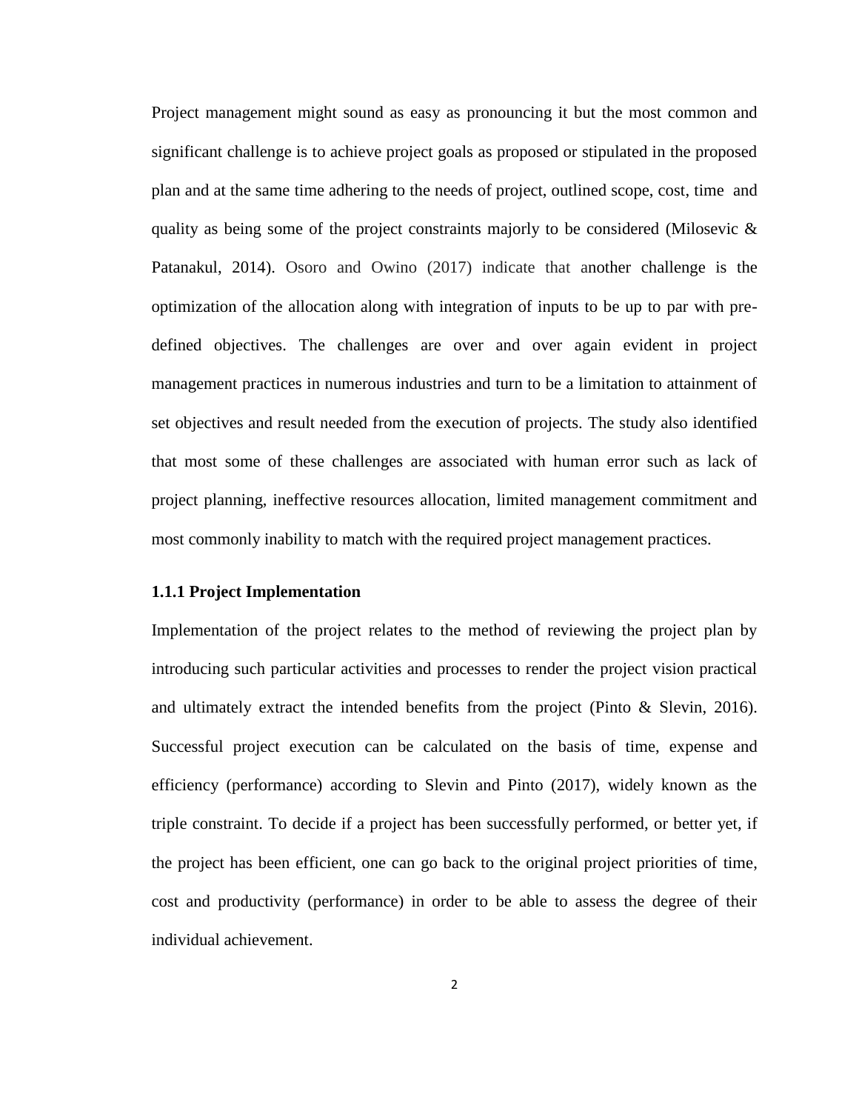Project management might sound as easy as pronouncing it but the most common and significant challenge is to achieve project goals as proposed or stipulated in the proposed plan and at the same time adhering to the needs of project, outlined scope, cost, time and quality as being some of the project constraints majorly to be considered (Milosevic  $\&$ Patanakul, 2014). Osoro and Owino (2017) indicate that another challenge is the optimization of the allocation along with integration of inputs to be up to par with predefined objectives. The challenges are over and over again evident in project management practices in numerous industries and turn to be a limitation to attainment of set objectives and result needed from the execution of projects. The study also identified that most some of these challenges are associated with human error such as lack of project planning, ineffective resources allocation, limited management commitment and most commonly inability to match with the required project management practices.

#### <span id="page-13-0"></span>**1.1.1 Project Implementation**

Implementation of the project relates to the method of reviewing the project plan by introducing such particular activities and processes to render the project vision practical and ultimately extract the intended benefits from the project (Pinto  $\&$  Slevin, 2016). Successful project execution can be calculated on the basis of time, expense and efficiency (performance) according to Slevin and Pinto (2017), widely known as the triple constraint. To decide if a project has been successfully performed, or better yet, if the project has been efficient, one can go back to the original project priorities of time, cost and productivity (performance) in order to be able to assess the degree of their individual achievement.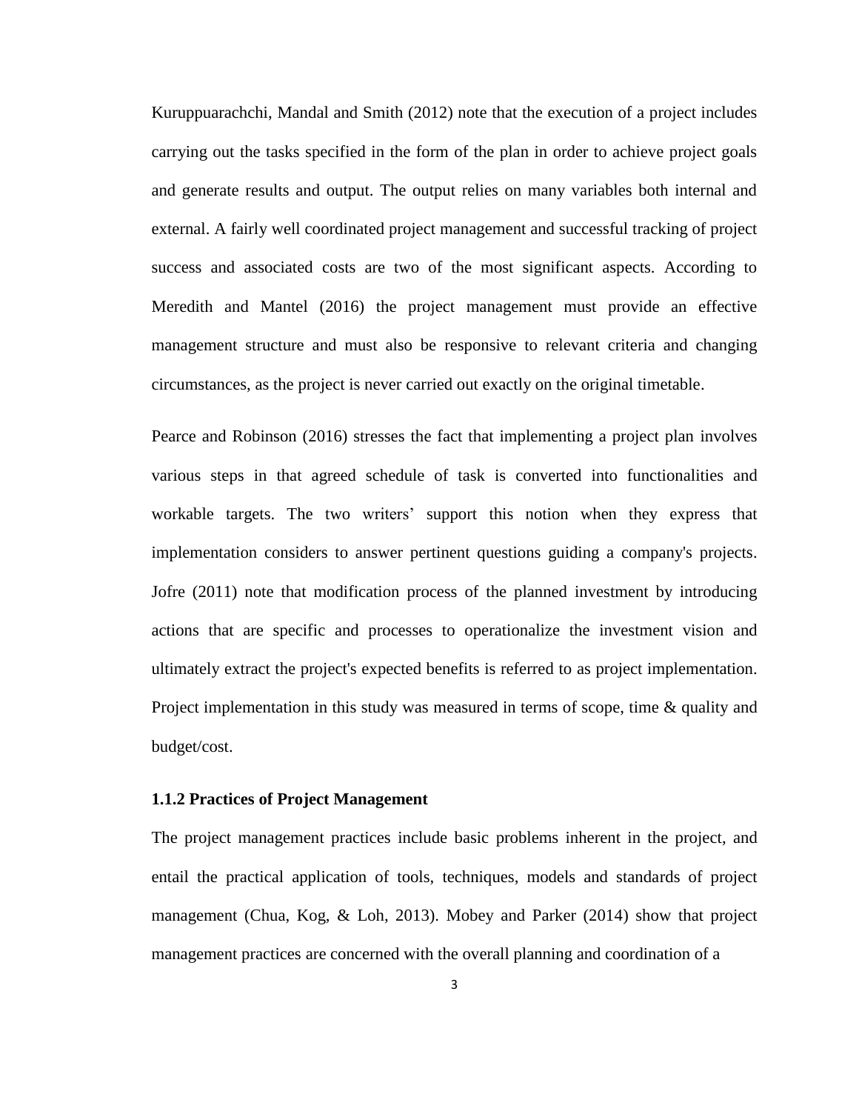Kuruppuarachchi, Mandal and Smith (2012) note that the execution of a project includes carrying out the tasks specified in the form of the plan in order to achieve project goals and generate results and output. The output relies on many variables both internal and external. A fairly well coordinated project management and successful tracking of project success and associated costs are two of the most significant aspects. According to Meredith and Mantel (2016) the project management must provide an effective management structure and must also be responsive to relevant criteria and changing circumstances, as the project is never carried out exactly on the original timetable.

Pearce and Robinson (2016) stresses the fact that implementing a project plan involves various steps in that agreed schedule of task is converted into functionalities and workable targets. The two writers' support this notion when they express that implementation considers to answer pertinent questions guiding a company's projects. Jofre (2011) note that modification process of the planned investment by introducing actions that are specific and processes to operationalize the investment vision and ultimately extract the project's expected benefits is referred to as project implementation. Project implementation in this study was measured in terms of scope, time  $\&$  quality and budget/cost.

#### <span id="page-14-0"></span>**1.1.2 Practices of Project Management**

The project management practices include basic problems inherent in the project, and entail the practical application of tools, techniques, models and standards of project management (Chua, Kog, & Loh, 2013). Mobey and Parker (2014) show that project management practices are concerned with the overall planning and coordination of a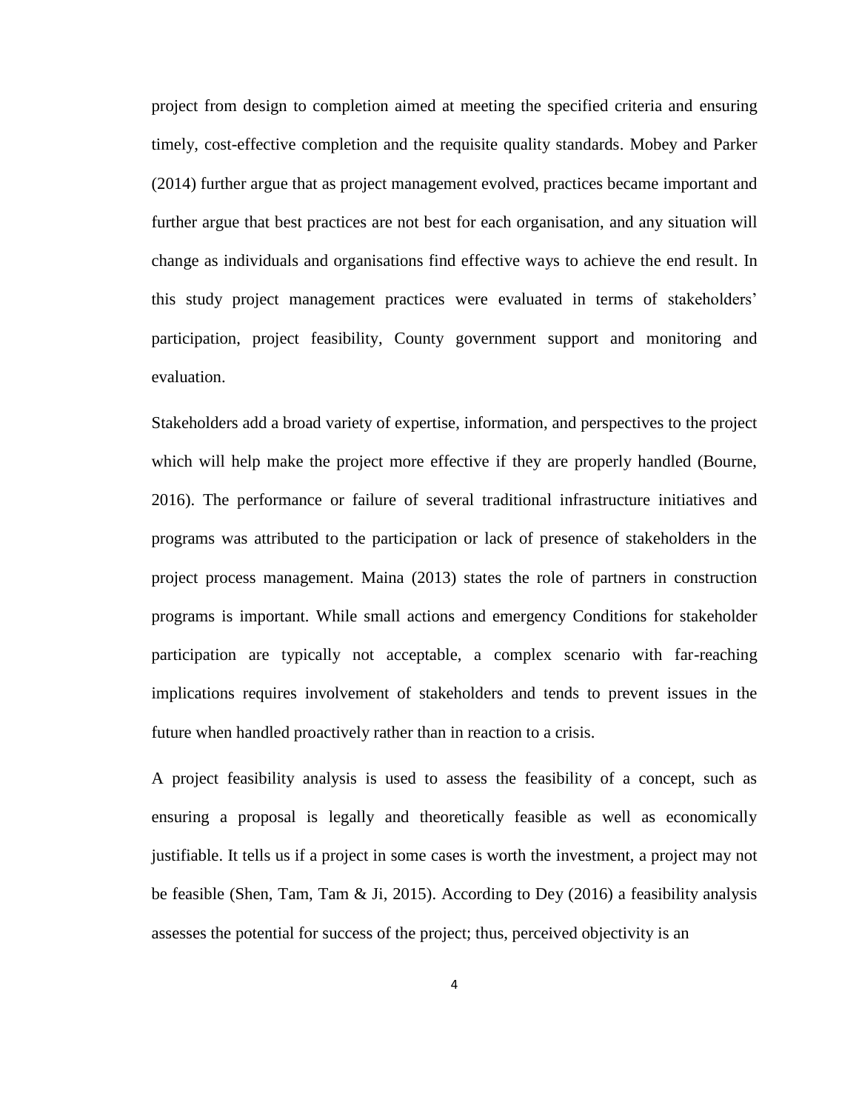project from design to completion aimed at meeting the specified criteria and ensuring timely, cost-effective completion and the requisite quality standards. Mobey and Parker (2014) further argue that as project management evolved, practices became important and further argue that best practices are not best for each organisation, and any situation will change as individuals and organisations find effective ways to achieve the end result. In this study project management practices were evaluated in terms of stakeholders' participation, project feasibility, County government support and monitoring and evaluation.

Stakeholders add a broad variety of expertise, information, and perspectives to the project which will help make the project more effective if they are properly handled (Bourne, 2016). The performance or failure of several traditional infrastructure initiatives and programs was attributed to the participation or lack of presence of stakeholders in the project process management. Maina (2013) states the role of partners in construction programs is important. While small actions and emergency Conditions for stakeholder participation are typically not acceptable, a complex scenario with far-reaching implications requires involvement of stakeholders and tends to prevent issues in the future when handled proactively rather than in reaction to a crisis.

A project feasibility analysis is used to assess the feasibility of a concept, such as ensuring a proposal is legally and theoretically feasible as well as economically justifiable. It tells us if a project in some cases is worth the investment, a project may not be feasible (Shen, Tam, Tam & Ji, 2015). According to Dey (2016) a feasibility analysis assesses the potential for success of the project; thus, perceived objectivity is an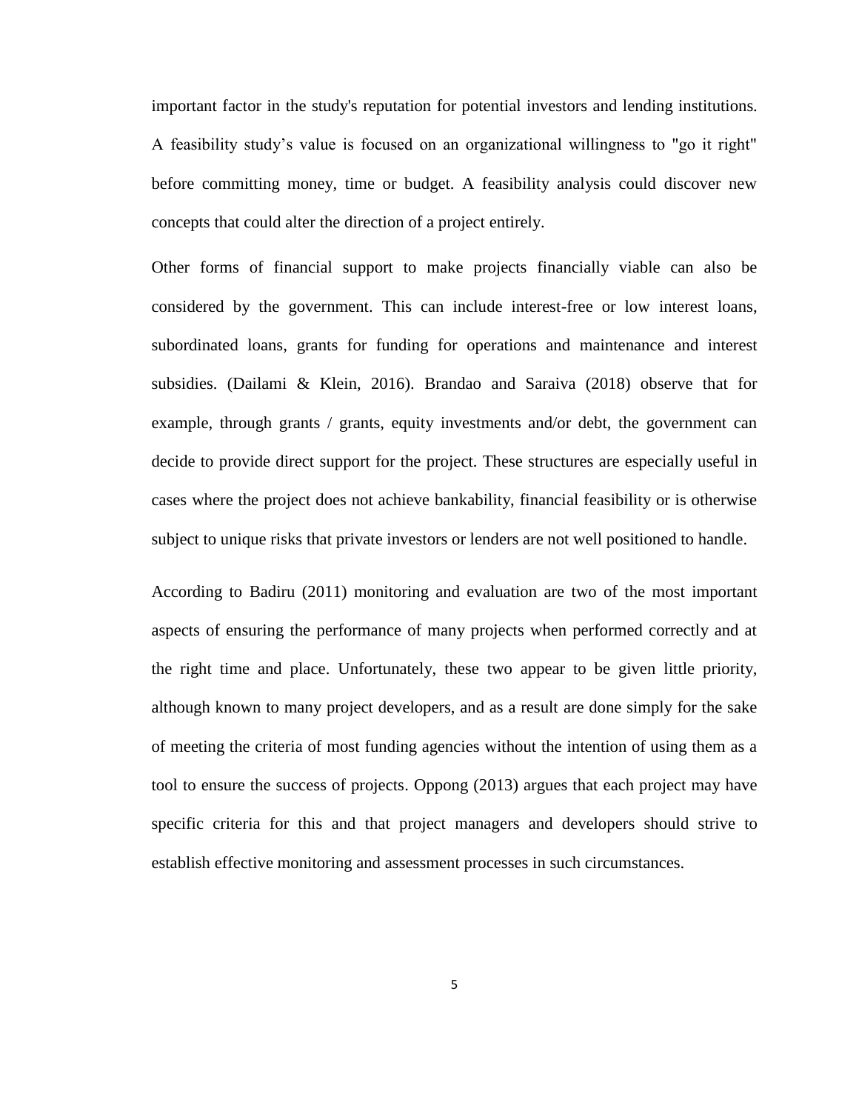important factor in the study's reputation for potential investors and lending institutions. A feasibility study's value is focused on an organizational willingness to "go it right" before committing money, time or budget. A feasibility analysis could discover new concepts that could alter the direction of a project entirely.

Other forms of financial support to make projects financially viable can also be considered by the government. This can include interest-free or low interest loans, subordinated loans, grants for funding for operations and maintenance and interest subsidies. (Dailami & Klein, 2016). Brandao and Saraiva (2018) observe that for example, through grants / grants, equity investments and/or debt, the government can decide to provide direct support for the project. These structures are especially useful in cases where the project does not achieve bankability, financial feasibility or is otherwise subject to unique risks that private investors or lenders are not well positioned to handle.

According to Badiru (2011) monitoring and evaluation are two of the most important aspects of ensuring the performance of many projects when performed correctly and at the right time and place. Unfortunately, these two appear to be given little priority, although known to many project developers, and as a result are done simply for the sake of meeting the criteria of most funding agencies without the intention of using them as a tool to ensure the success of projects. Oppong (2013) argues that each project may have specific criteria for this and that project managers and developers should strive to establish effective monitoring and assessment processes in such circumstances.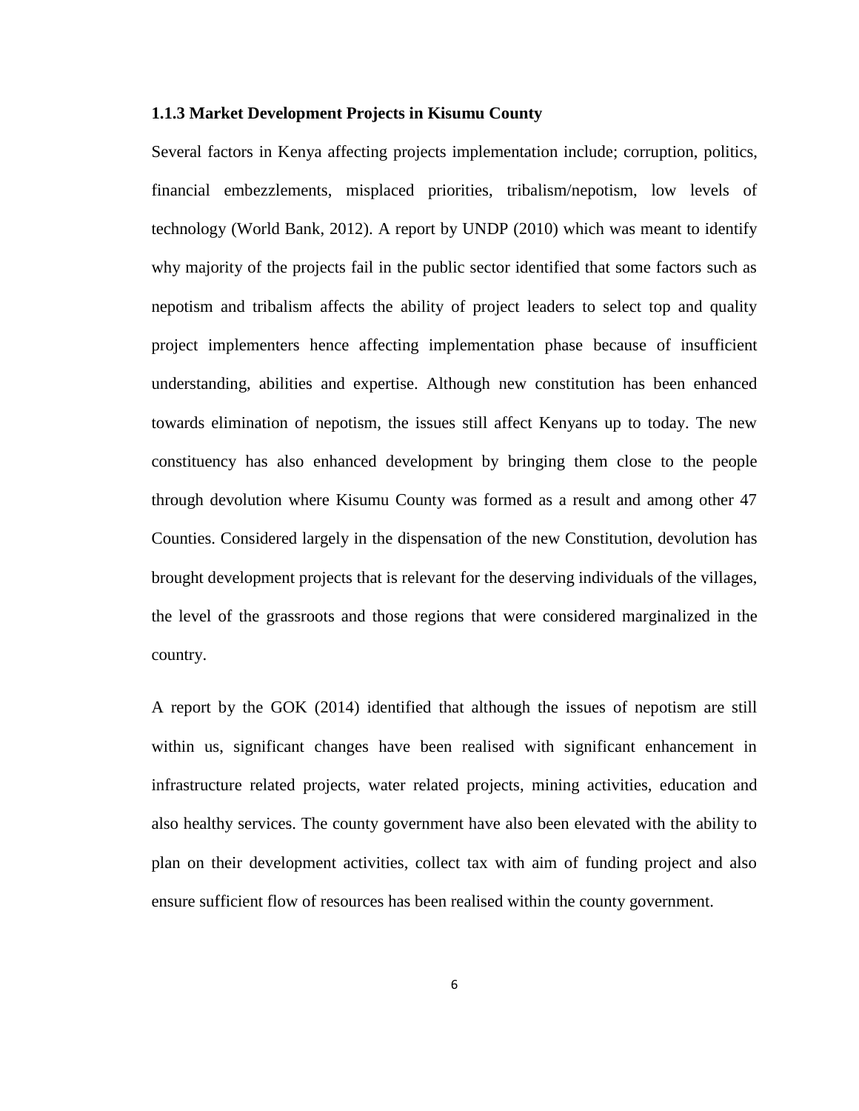#### <span id="page-17-0"></span>**1.1.3 Market Development Projects in Kisumu County**

Several factors in Kenya affecting projects implementation include; corruption, politics, financial embezzlements, misplaced priorities, tribalism/nepotism, low levels of technology (World Bank, 2012). A report by UNDP (2010) which was meant to identify why majority of the projects fail in the public sector identified that some factors such as nepotism and tribalism affects the ability of project leaders to select top and quality project implementers hence affecting implementation phase because of insufficient understanding, abilities and expertise. Although new constitution has been enhanced towards elimination of nepotism, the issues still affect Kenyans up to today. The new constituency has also enhanced development by bringing them close to the people through devolution where Kisumu County was formed as a result and among other 47 Counties. Considered largely in the dispensation of the new Constitution, devolution has brought development projects that is relevant for the deserving individuals of the villages, the level of the grassroots and those regions that were considered marginalized in the country.

A report by the GOK (2014) identified that although the issues of nepotism are still within us, significant changes have been realised with significant enhancement in infrastructure related projects, water related projects, mining activities, education and also healthy services. The county government have also been elevated with the ability to plan on their development activities, collect tax with aim of funding project and also ensure sufficient flow of resources has been realised within the county government.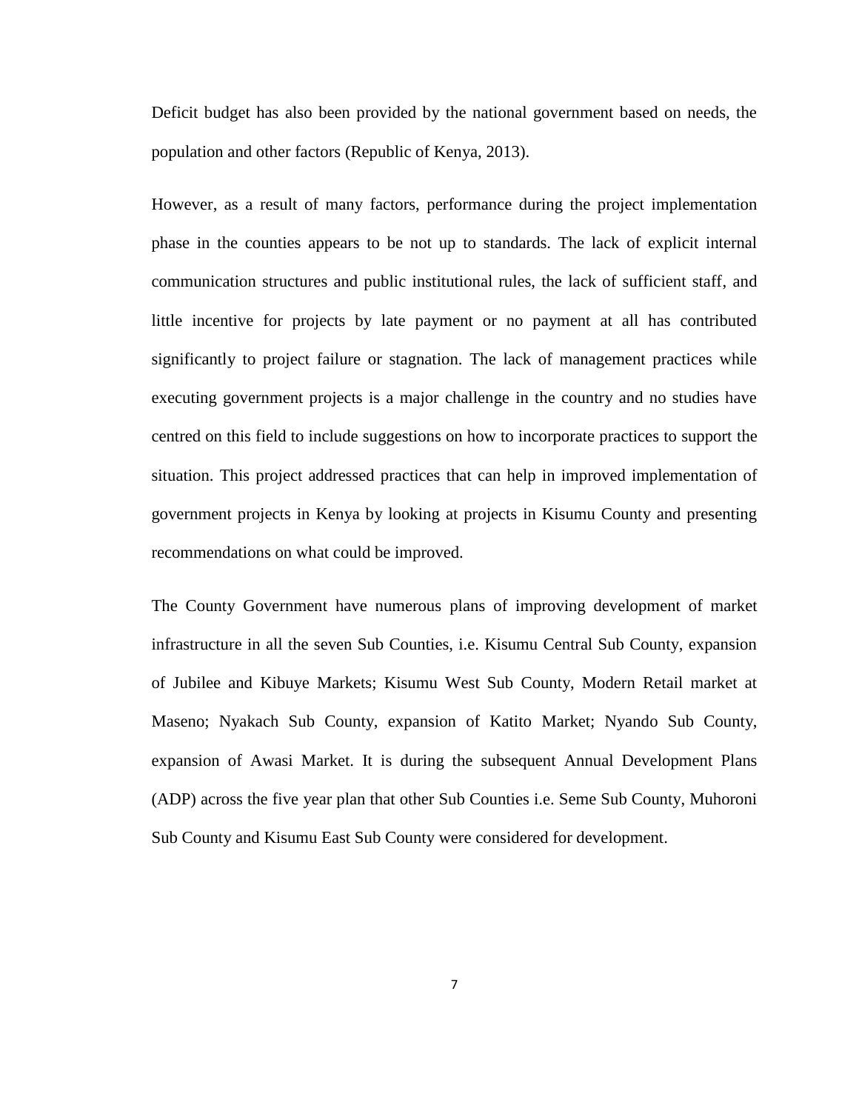Deficit budget has also been provided by the national government based on needs, the population and other factors (Republic of Kenya, 2013).

However, as a result of many factors, performance during the project implementation phase in the counties appears to be not up to standards. The lack of explicit internal communication structures and public institutional rules, the lack of sufficient staff, and little incentive for projects by late payment or no payment at all has contributed significantly to project failure or stagnation. The lack of management practices while executing government projects is a major challenge in the country and no studies have centred on this field to include suggestions on how to incorporate practices to support the situation. This project addressed practices that can help in improved implementation of government projects in Kenya by looking at projects in Kisumu County and presenting recommendations on what could be improved.

The County Government have numerous plans of improving development of market infrastructure in all the seven Sub Counties, i.e. Kisumu Central Sub County, expansion of Jubilee and Kibuye Markets; Kisumu West Sub County, Modern Retail market at Maseno; Nyakach Sub County, expansion of Katito Market; Nyando Sub County, expansion of Awasi Market. It is during the subsequent Annual Development Plans (ADP) across the five year plan that other Sub Counties i.e. Seme Sub County, Muhoroni Sub County and Kisumu East Sub County were considered for development.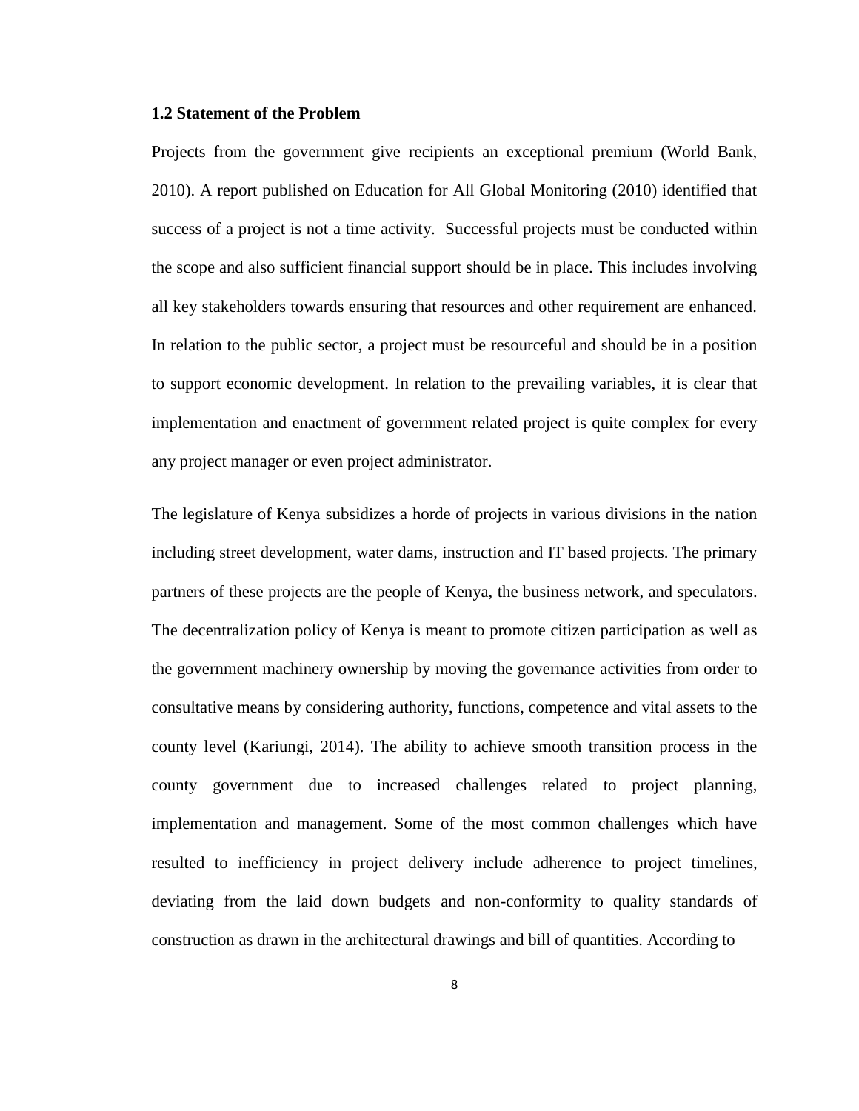### <span id="page-19-0"></span>**1.2 Statement of the Problem**

Projects from the government give recipients an exceptional premium (World Bank, 2010). A report published on Education for All Global Monitoring (2010) identified that success of a project is not a time activity. Successful projects must be conducted within the scope and also sufficient financial support should be in place. This includes involving all key stakeholders towards ensuring that resources and other requirement are enhanced. In relation to the public sector, a project must be resourceful and should be in a position to support economic development. In relation to the prevailing variables, it is clear that implementation and enactment of government related project is quite complex for every any project manager or even project administrator.

The legislature of Kenya subsidizes a horde of projects in various divisions in the nation including street development, water dams, instruction and IT based projects. The primary partners of these projects are the people of Kenya, the business network, and speculators. The decentralization policy of Kenya is meant to promote citizen participation as well as the government machinery ownership by moving the governance activities from order to consultative means by considering authority, functions, competence and vital assets to the county level (Kariungi, 2014). The ability to achieve smooth transition process in the county government due to increased challenges related to project planning, implementation and management. Some of the most common challenges which have resulted to inefficiency in project delivery include adherence to project timelines, deviating from the laid down budgets and non-conformity to quality standards of construction as drawn in the architectural drawings and bill of quantities. According to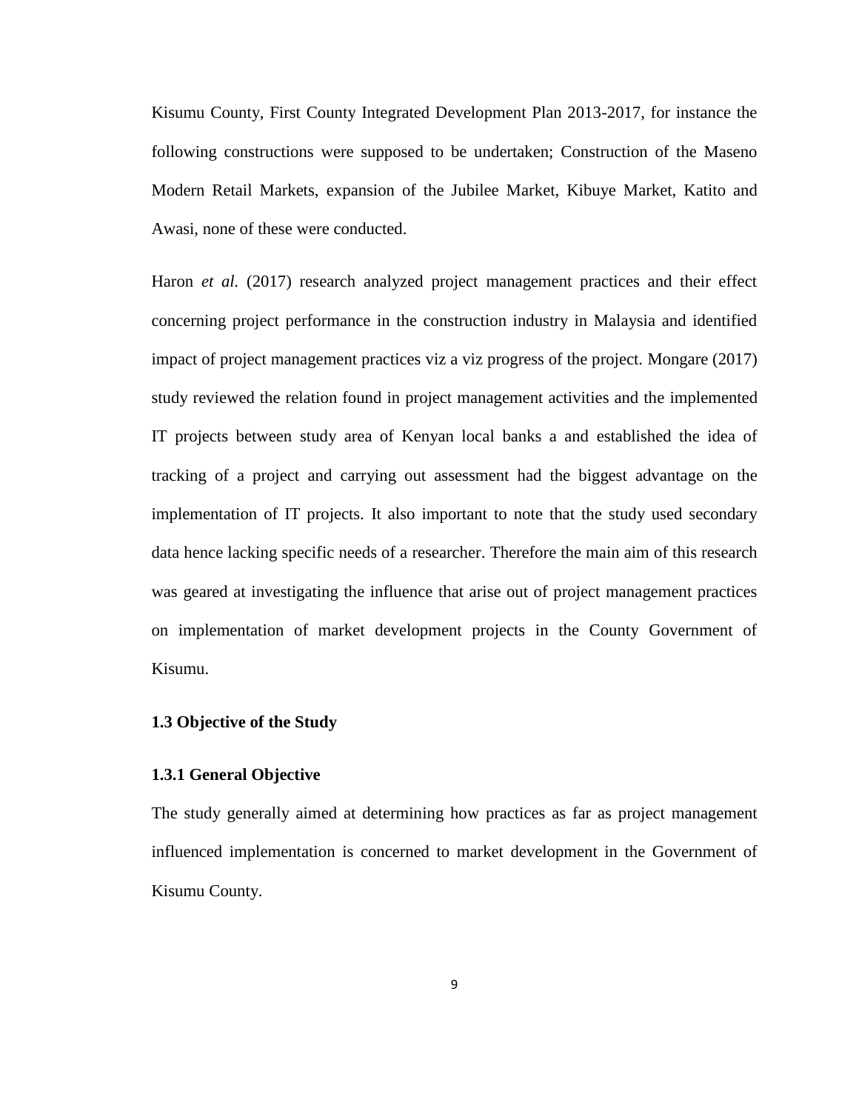Kisumu County, First County Integrated Development Plan 2013-2017, for instance the following constructions were supposed to be undertaken; Construction of the Maseno Modern Retail Markets, expansion of the Jubilee Market, Kibuye Market, Katito and Awasi, none of these were conducted.

Haron *et al.* (2017) research analyzed project management practices and their effect concerning project performance in the construction industry in Malaysia and identified impact of project management practices viz a viz progress of the project. Mongare (2017) study reviewed the relation found in project management activities and the implemented IT projects between study area of Kenyan local banks a and established the idea of tracking of a project and carrying out assessment had the biggest advantage on the implementation of IT projects. It also important to note that the study used secondary data hence lacking specific needs of a researcher. Therefore the main aim of this research was geared at investigating the influence that arise out of project management practices on implementation of market development projects in the County Government of Kisumu.

# <span id="page-20-0"></span>**1.3 Objective of the Study**

# <span id="page-20-1"></span>**1.3.1 General Objective**

The study generally aimed at determining how practices as far as project management influenced implementation is concerned to market development in the Government of Kisumu County.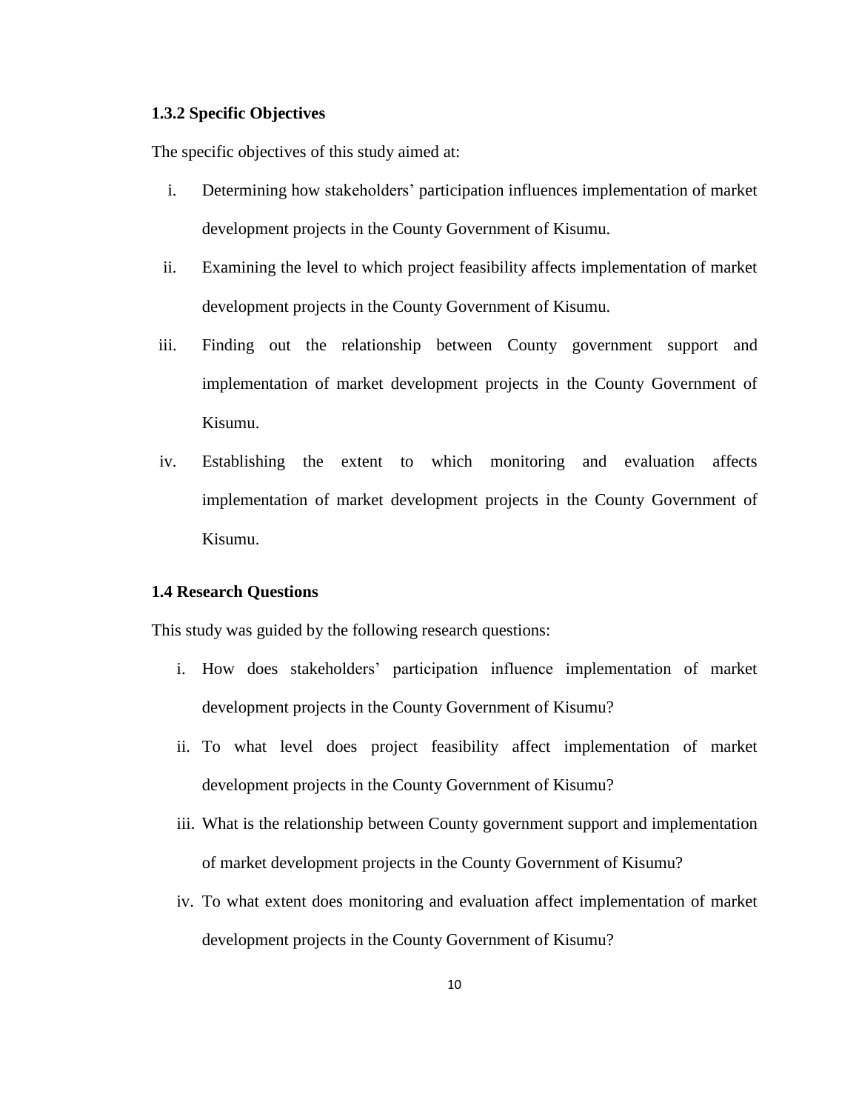# <span id="page-21-0"></span>**1.3.2 Specific Objectives**

The specific objectives of this study aimed at:

- i. Determining how stakeholders' participation influences implementation of market development projects in the County Government of Kisumu.
- ii. Examining the level to which project feasibility affects implementation of market development projects in the County Government of Kisumu.
- iii. Finding out the relationship between County government support and implementation of market development projects in the County Government of Kisumu.
- iv. Establishing the extent to which monitoring and evaluation affects implementation of market development projects in the County Government of Kisumu.

#### <span id="page-21-1"></span>**1.4 Research Questions**

This study was guided by the following research questions:

- i. How does stakeholders' participation influence implementation of market development projects in the County Government of Kisumu?
- ii. To what level does project feasibility affect implementation of market development projects in the County Government of Kisumu?
- iii. What is the relationship between County government support and implementation of market development projects in the County Government of Kisumu?
- iv. To what extent does monitoring and evaluation affect implementation of market development projects in the County Government of Kisumu?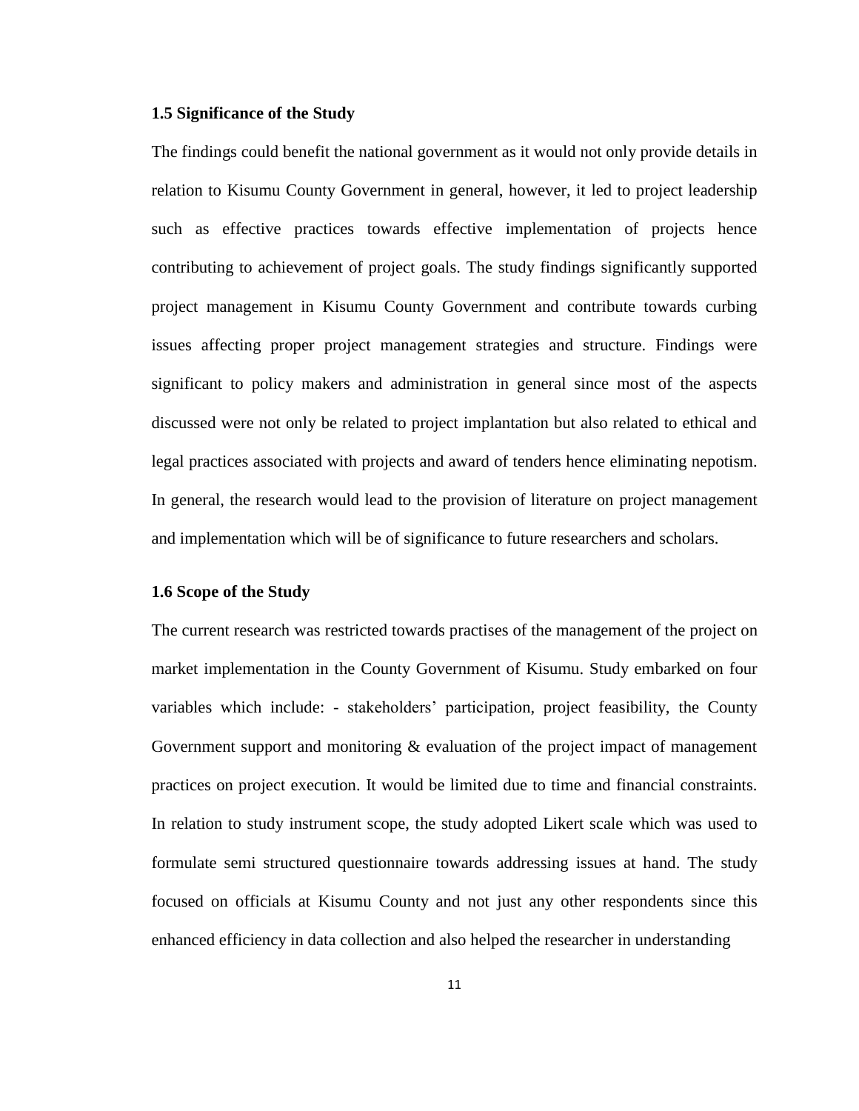### <span id="page-22-0"></span>**1.5 Significance of the Study**

The findings could benefit the national government as it would not only provide details in relation to Kisumu County Government in general, however, it led to project leadership such as effective practices towards effective implementation of projects hence contributing to achievement of project goals. The study findings significantly supported project management in Kisumu County Government and contribute towards curbing issues affecting proper project management strategies and structure. Findings were significant to policy makers and administration in general since most of the aspects discussed were not only be related to project implantation but also related to ethical and legal practices associated with projects and award of tenders hence eliminating nepotism. In general, the research would lead to the provision of literature on project management and implementation which will be of significance to future researchers and scholars.

#### <span id="page-22-1"></span>**1.6 Scope of the Study**

The current research was restricted towards practises of the management of the project on market implementation in the County Government of Kisumu. Study embarked on four variables which include: - stakeholders' participation, project feasibility, the County Government support and monitoring  $\&$  evaluation of the project impact of management practices on project execution. It would be limited due to time and financial constraints. In relation to study instrument scope, the study adopted Likert scale which was used to formulate semi structured questionnaire towards addressing issues at hand. The study focused on officials at Kisumu County and not just any other respondents since this enhanced efficiency in data collection and also helped the researcher in understanding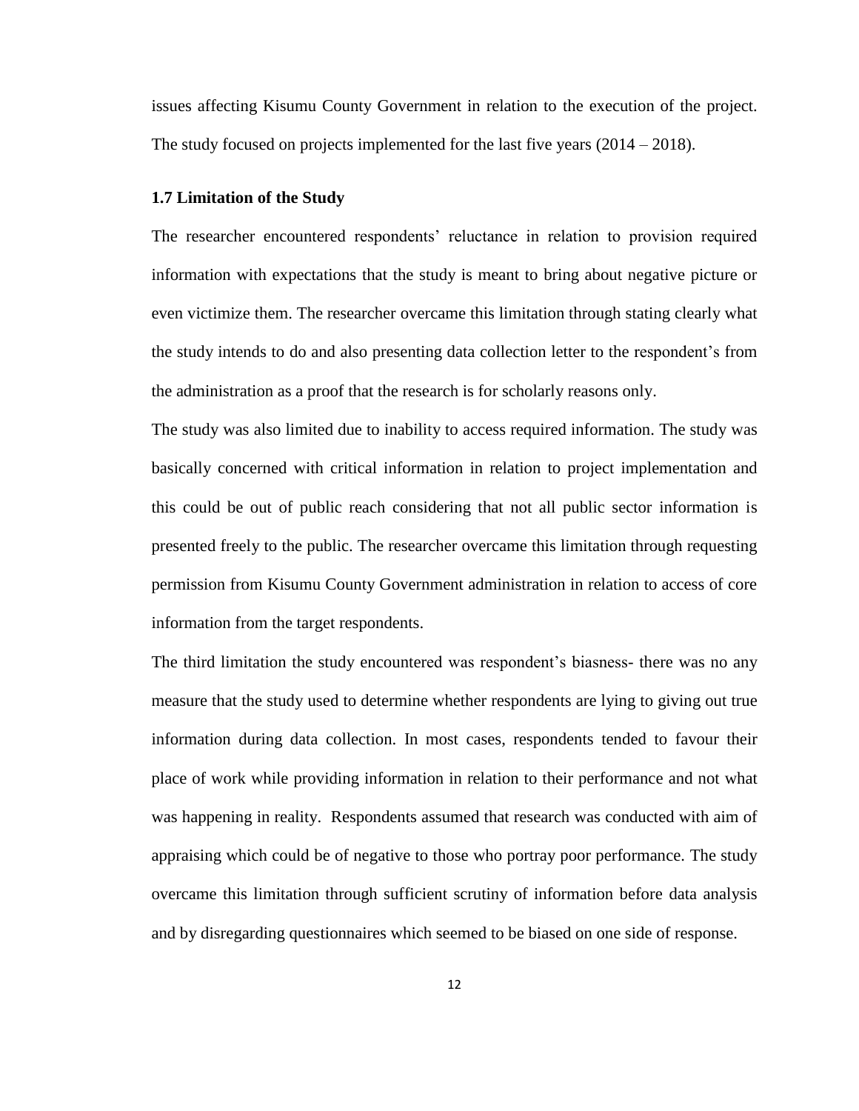issues affecting Kisumu County Government in relation to the execution of the project. The study focused on projects implemented for the last five years (2014 – 2018).

# <span id="page-23-0"></span>**1.7 Limitation of the Study**

The researcher encountered respondents' reluctance in relation to provision required information with expectations that the study is meant to bring about negative picture or even victimize them. The researcher overcame this limitation through stating clearly what the study intends to do and also presenting data collection letter to the respondent's from the administration as a proof that the research is for scholarly reasons only.

The study was also limited due to inability to access required information. The study was basically concerned with critical information in relation to project implementation and this could be out of public reach considering that not all public sector information is presented freely to the public. The researcher overcame this limitation through requesting permission from Kisumu County Government administration in relation to access of core information from the target respondents.

The third limitation the study encountered was respondent's biasness- there was no any measure that the study used to determine whether respondents are lying to giving out true information during data collection. In most cases, respondents tended to favour their place of work while providing information in relation to their performance and not what was happening in reality. Respondents assumed that research was conducted with aim of appraising which could be of negative to those who portray poor performance. The study overcame this limitation through sufficient scrutiny of information before data analysis and by disregarding questionnaires which seemed to be biased on one side of response.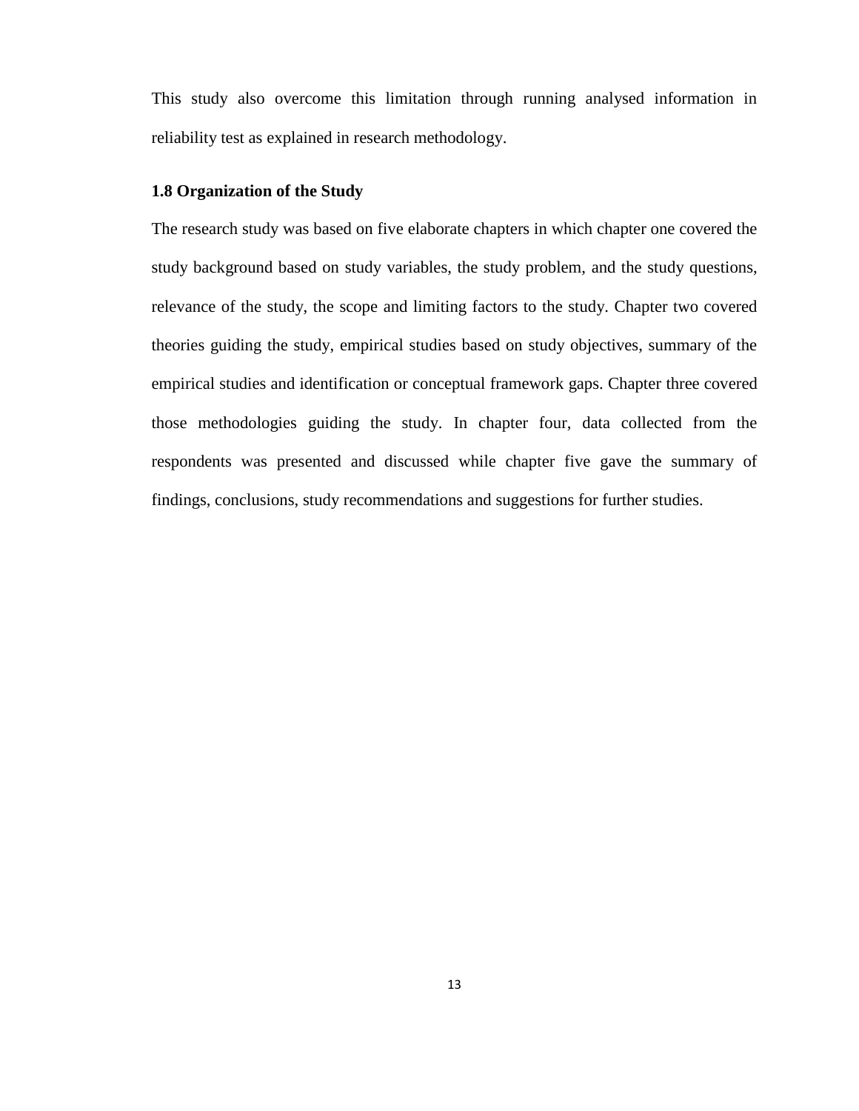This study also overcome this limitation through running analysed information in reliability test as explained in research methodology.

# <span id="page-24-0"></span>**1.8 Organization of the Study**

The research study was based on five elaborate chapters in which chapter one covered the study background based on study variables, the study problem, and the study questions, relevance of the study, the scope and limiting factors to the study. Chapter two covered theories guiding the study, empirical studies based on study objectives, summary of the empirical studies and identification or conceptual framework gaps. Chapter three covered those methodologies guiding the study. In chapter four, data collected from the respondents was presented and discussed while chapter five gave the summary of findings, conclusions, study recommendations and suggestions for further studies.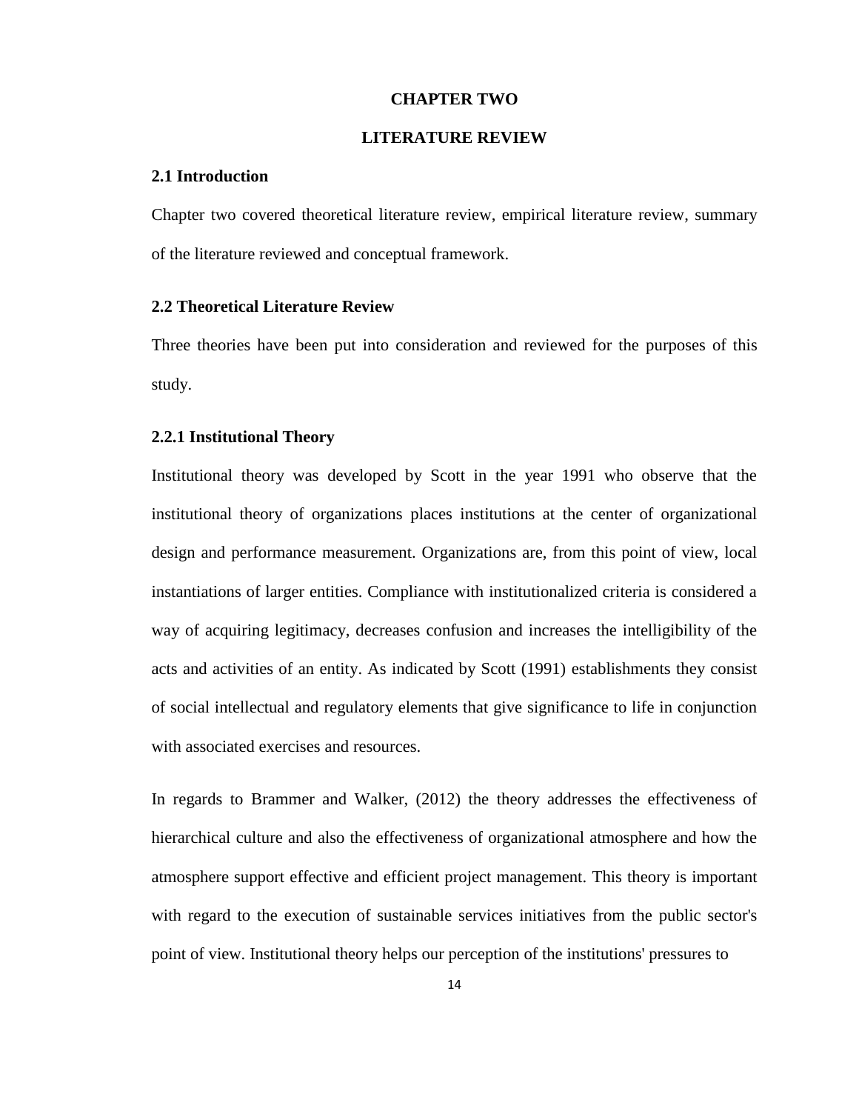#### **CHAPTER TWO**

# **LITERATURE REVIEW**

#### <span id="page-25-2"></span><span id="page-25-1"></span><span id="page-25-0"></span>**2.1 Introduction**

Chapter two covered theoretical literature review, empirical literature review, summary of the literature reviewed and conceptual framework.

# <span id="page-25-3"></span>**2.2 Theoretical Literature Review**

Three theories have been put into consideration and reviewed for the purposes of this study.

#### <span id="page-25-4"></span>**2.2.1 Institutional Theory**

Institutional theory was developed by Scott in the year 1991 who observe that the institutional theory of organizations places institutions at the center of organizational design and performance measurement. Organizations are, from this point of view, local instantiations of larger entities. Compliance with institutionalized criteria is considered a way of acquiring legitimacy, decreases confusion and increases the intelligibility of the acts and activities of an entity. As indicated by Scott (1991) establishments they consist of social intellectual and regulatory elements that give significance to life in conjunction with associated exercises and resources.

In regards to Brammer and Walker, (2012) the theory addresses the effectiveness of hierarchical culture and also the effectiveness of organizational atmosphere and how the atmosphere support effective and efficient project management. This theory is important with regard to the execution of sustainable services initiatives from the public sector's point of view. Institutional theory helps our perception of the institutions' pressures to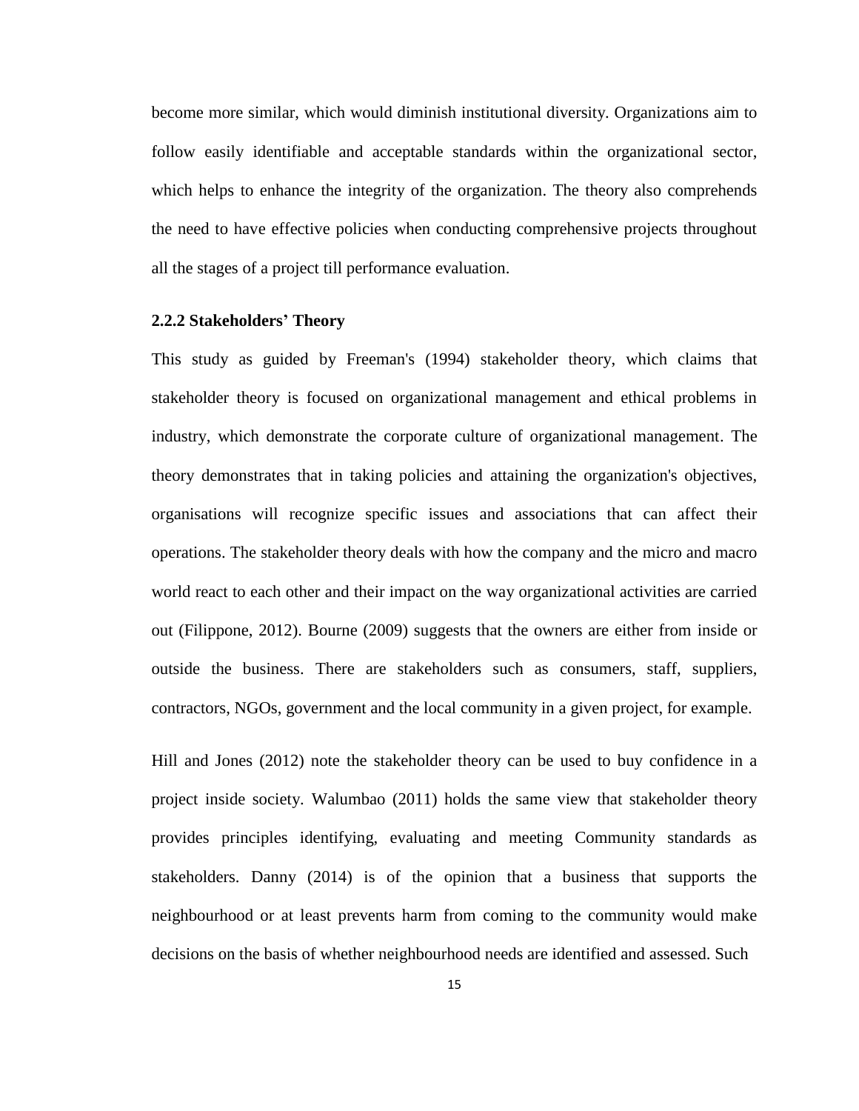become more similar, which would diminish institutional diversity. Organizations aim to follow easily identifiable and acceptable standards within the organizational sector, which helps to enhance the integrity of the organization. The theory also comprehends the need to have effective policies when conducting comprehensive projects throughout all the stages of a project till performance evaluation.

# <span id="page-26-0"></span>**2.2.2 Stakeholders' Theory**

This study as guided by Freeman's (1994) stakeholder theory, which claims that stakeholder theory is focused on organizational management and ethical problems in industry, which demonstrate the corporate culture of organizational management. The theory demonstrates that in taking policies and attaining the organization's objectives, organisations will recognize specific issues and associations that can affect their operations. The stakeholder theory deals with how the company and the micro and macro world react to each other and their impact on the way organizational activities are carried out (Filippone, 2012). Bourne (2009) suggests that the owners are either from inside or outside the business. There are stakeholders such as consumers, staff, suppliers, contractors, NGOs, government and the local community in a given project, for example.

Hill and Jones (2012) note the stakeholder theory can be used to buy confidence in a project inside society. Walumbao (2011) holds the same view that stakeholder theory provides principles identifying, evaluating and meeting Community standards as stakeholders. Danny (2014) is of the opinion that a business that supports the neighbourhood or at least prevents harm from coming to the community would make decisions on the basis of whether neighbourhood needs are identified and assessed. Such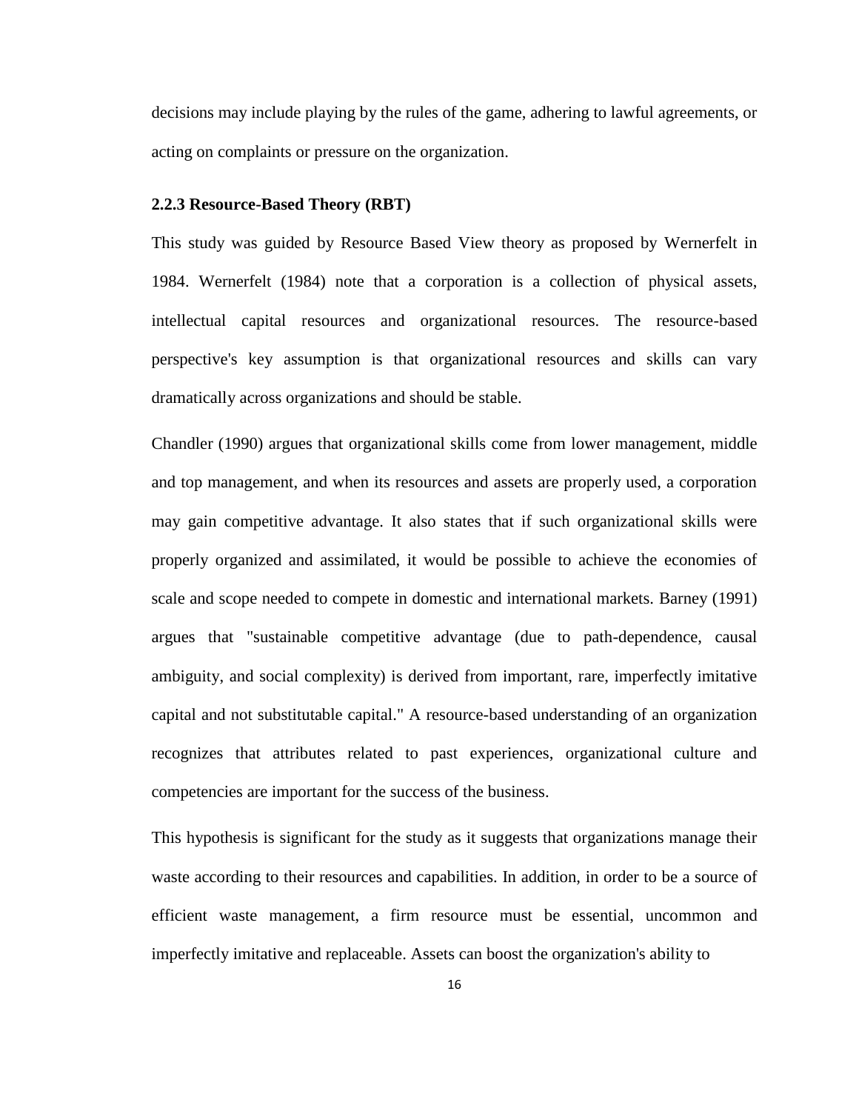decisions may include playing by the rules of the game, adhering to lawful agreements, or acting on complaints or pressure on the organization.

#### <span id="page-27-0"></span>**2.2.3 Resource-Based Theory (RBT)**

This study was guided by Resource Based View theory as proposed by Wernerfelt in 1984. Wernerfelt (1984) note that a corporation is a collection of physical assets, intellectual capital resources and organizational resources. The resource-based perspective's key assumption is that organizational resources and skills can vary dramatically across organizations and should be stable.

Chandler (1990) argues that organizational skills come from lower management, middle and top management, and when its resources and assets are properly used, a corporation may gain competitive advantage. It also states that if such organizational skills were properly organized and assimilated, it would be possible to achieve the economies of scale and scope needed to compete in domestic and international markets. Barney (1991) argues that "sustainable competitive advantage (due to path-dependence, causal ambiguity, and social complexity) is derived from important, rare, imperfectly imitative capital and not substitutable capital." A resource-based understanding of an organization recognizes that attributes related to past experiences, organizational culture and competencies are important for the success of the business.

This hypothesis is significant for the study as it suggests that organizations manage their waste according to their resources and capabilities. In addition, in order to be a source of efficient waste management, a firm resource must be essential, uncommon and imperfectly imitative and replaceable. Assets can boost the organization's ability to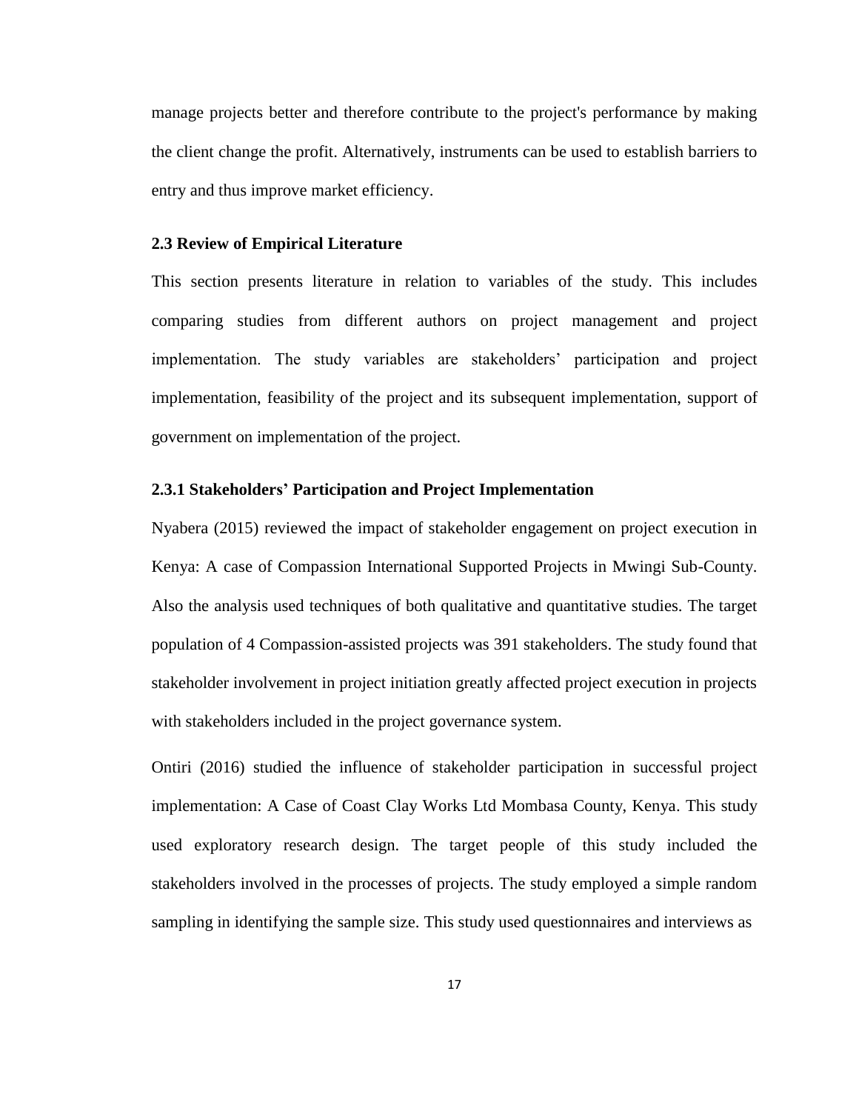manage projects better and therefore contribute to the project's performance by making the client change the profit. Alternatively, instruments can be used to establish barriers to entry and thus improve market efficiency.

# <span id="page-28-0"></span>**2.3 Review of Empirical Literature**

This section presents literature in relation to variables of the study. This includes comparing studies from different authors on project management and project implementation. The study variables are stakeholders' participation and project implementation, feasibility of the project and its subsequent implementation, support of government on implementation of the project.

# <span id="page-28-1"></span>**2.3.1 Stakeholders' Participation and Project Implementation**

Nyabera (2015) reviewed the impact of stakeholder engagement on project execution in Kenya: A case of Compassion International Supported Projects in Mwingi Sub-County. Also the analysis used techniques of both qualitative and quantitative studies. The target population of 4 Compassion-assisted projects was 391 stakeholders. The study found that stakeholder involvement in project initiation greatly affected project execution in projects with stakeholders included in the project governance system.

Ontiri (2016) studied the influence of stakeholder participation in successful project implementation: A Case of Coast Clay Works Ltd Mombasa County, Kenya. This study used exploratory research design. The target people of this study included the stakeholders involved in the processes of projects. The study employed a simple random sampling in identifying the sample size. This study used questionnaires and interviews as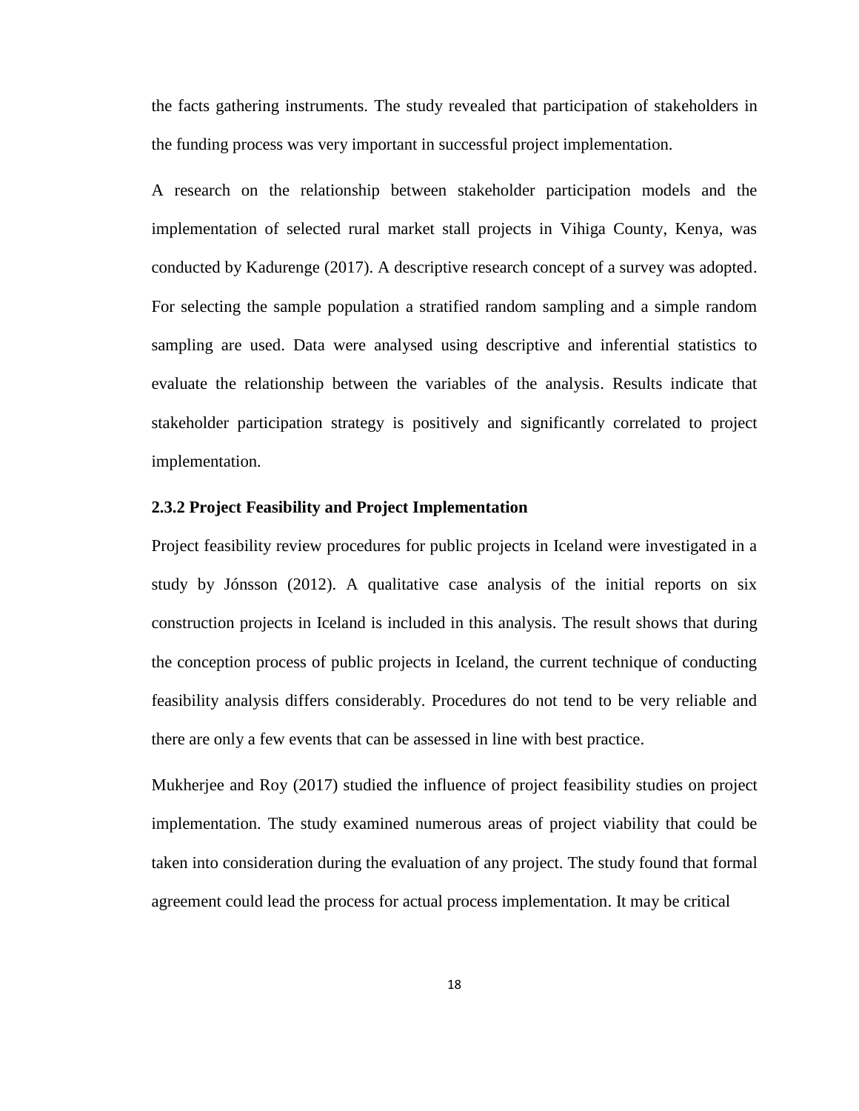the facts gathering instruments. The study revealed that participation of stakeholders in the funding process was very important in successful project implementation.

A research on the relationship between stakeholder participation models and the implementation of selected rural market stall projects in Vihiga County, Kenya, was conducted by Kadurenge (2017). A descriptive research concept of a survey was adopted. For selecting the sample population a stratified random sampling and a simple random sampling are used. Data were analysed using descriptive and inferential statistics to evaluate the relationship between the variables of the analysis. Results indicate that stakeholder participation strategy is positively and significantly correlated to project implementation.

# <span id="page-29-0"></span>**2.3.2 Project Feasibility and Project Implementation**

Project feasibility review procedures for public projects in Iceland were investigated in a study by Jónsson (2012). A qualitative case analysis of the initial reports on six construction projects in Iceland is included in this analysis. The result shows that during the conception process of public projects in Iceland, the current technique of conducting feasibility analysis differs considerably. Procedures do not tend to be very reliable and there are only a few events that can be assessed in line with best practice.

Mukherjee and Roy (2017) studied the influence of project feasibility studies on project implementation. The study examined numerous areas of project viability that could be taken into consideration during the evaluation of any project. The study found that formal agreement could lead the process for actual process implementation. It may be critical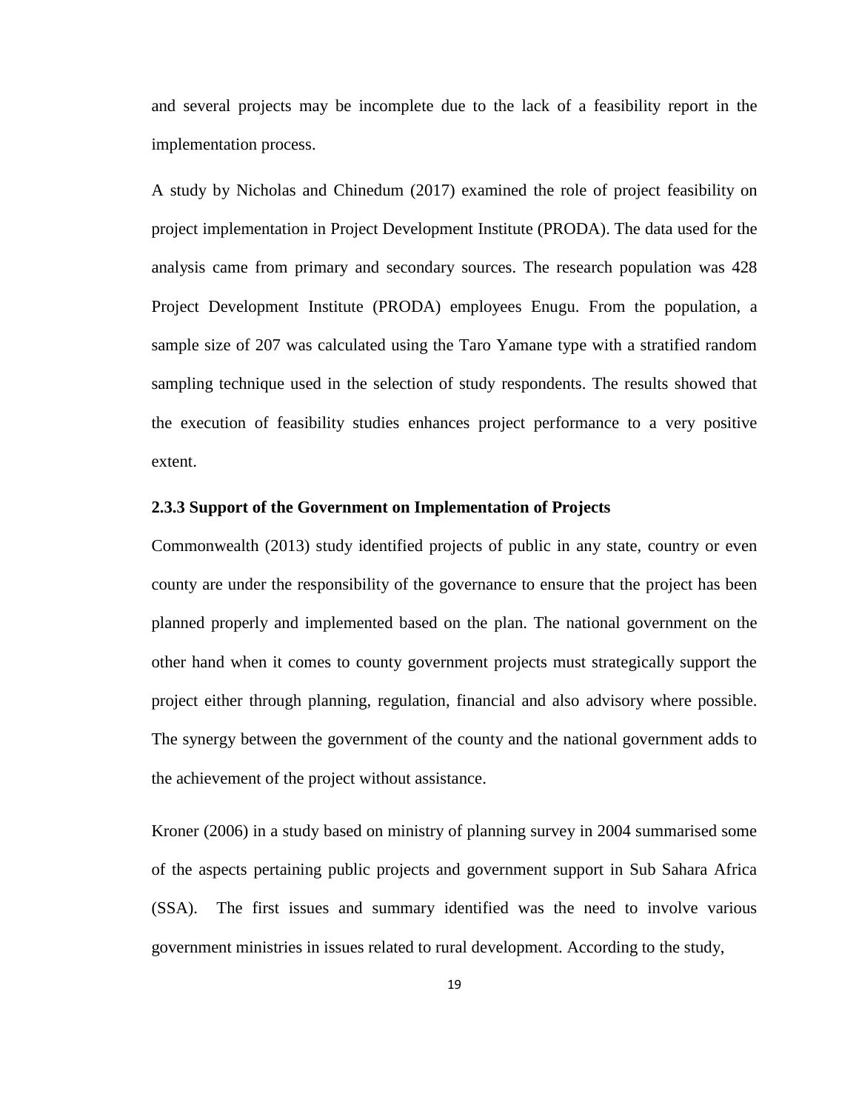and several projects may be incomplete due to the lack of a feasibility report in the implementation process.

A study by Nicholas and Chinedum (2017) examined the role of project feasibility on project implementation in Project Development Institute (PRODA). The data used for the analysis came from primary and secondary sources. The research population was 428 Project Development Institute (PRODA) employees Enugu. From the population, a sample size of 207 was calculated using the Taro Yamane type with a stratified random sampling technique used in the selection of study respondents. The results showed that the execution of feasibility studies enhances project performance to a very positive extent.

# <span id="page-30-0"></span>**2.3.3 Support of the Government on Implementation of Projects**

Commonwealth (2013) study identified projects of public in any state, country or even county are under the responsibility of the governance to ensure that the project has been planned properly and implemented based on the plan. The national government on the other hand when it comes to county government projects must strategically support the project either through planning, regulation, financial and also advisory where possible. The synergy between the government of the county and the national government adds to the achievement of the project without assistance.

Kroner (2006) in a study based on ministry of planning survey in 2004 summarised some of the aspects pertaining public projects and government support in Sub Sahara Africa (SSA). The first issues and summary identified was the need to involve various government ministries in issues related to rural development. According to the study,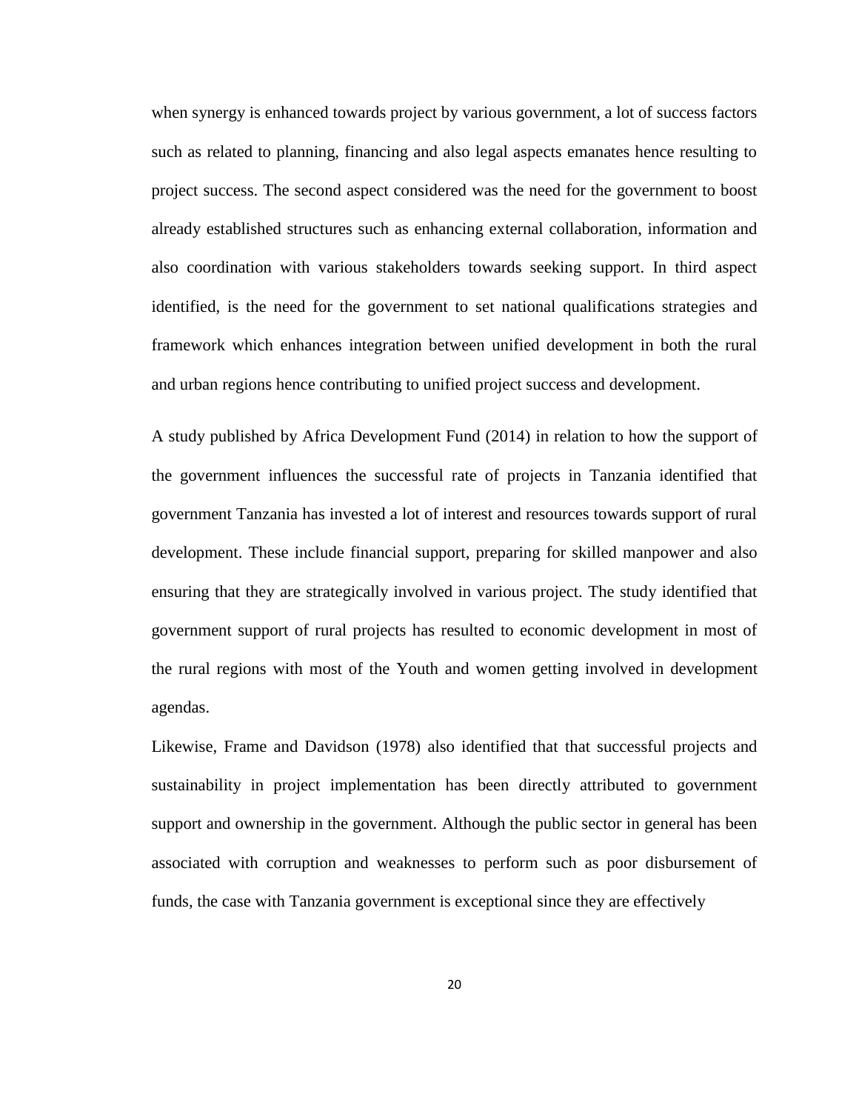when synergy is enhanced towards project by various government, a lot of success factors such as related to planning, financing and also legal aspects emanates hence resulting to project success. The second aspect considered was the need for the government to boost already established structures such as enhancing external collaboration, information and also coordination with various stakeholders towards seeking support. In third aspect identified, is the need for the government to set national qualifications strategies and framework which enhances integration between unified development in both the rural and urban regions hence contributing to unified project success and development.

A study published by Africa Development Fund (2014) in relation to how the support of the government influences the successful rate of projects in Tanzania identified that government Tanzania has invested a lot of interest and resources towards support of rural development. These include financial support, preparing for skilled manpower and also ensuring that they are strategically involved in various project. The study identified that government support of rural projects has resulted to economic development in most of the rural regions with most of the Youth and women getting involved in development agendas.

Likewise, Frame and Davidson (1978) also identified that that successful projects and sustainability in project implementation has been directly attributed to government support and ownership in the government. Although the public sector in general has been associated with corruption and weaknesses to perform such as poor disbursement of funds, the case with Tanzania government is exceptional since they are effectively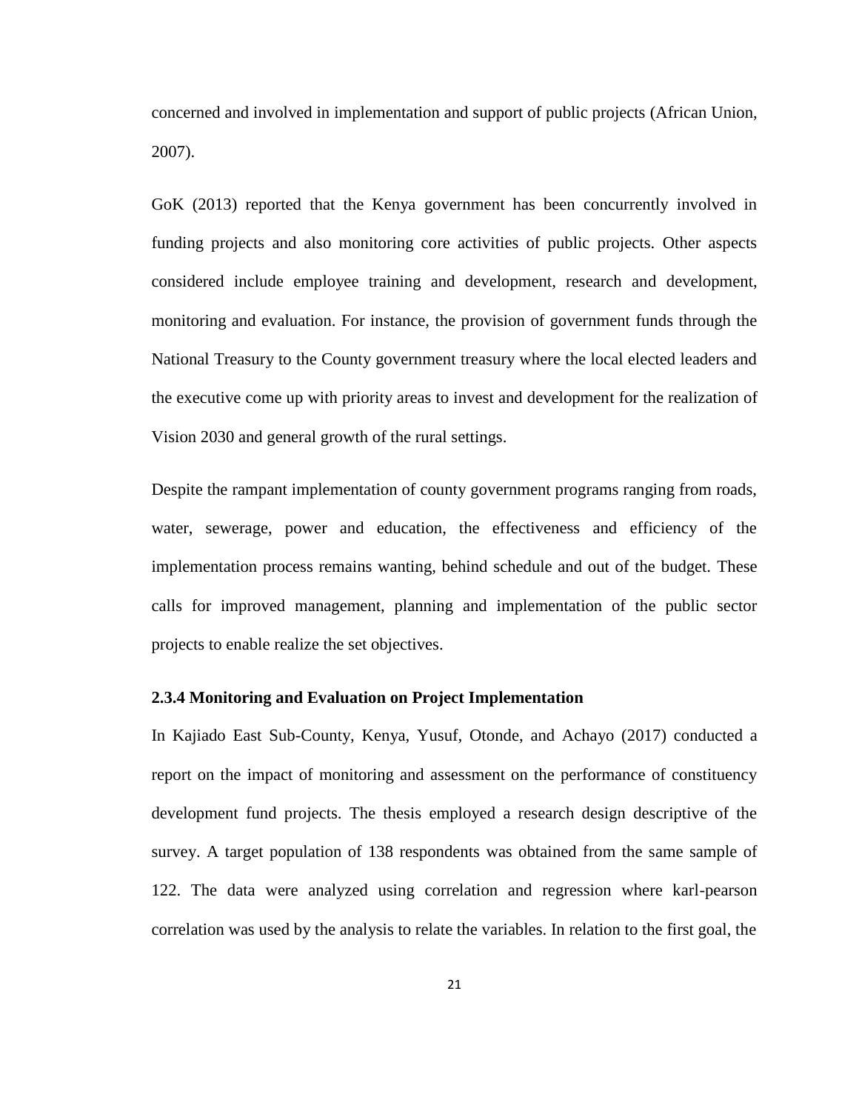concerned and involved in implementation and support of public projects (African Union, 2007).

GoK (2013) reported that the Kenya government has been concurrently involved in funding projects and also monitoring core activities of public projects. Other aspects considered include employee training and development, research and development, monitoring and evaluation. For instance, the provision of government funds through the National Treasury to the County government treasury where the local elected leaders and the executive come up with priority areas to invest and development for the realization of Vision 2030 and general growth of the rural settings.

Despite the rampant implementation of county government programs ranging from roads, water, sewerage, power and education, the effectiveness and efficiency of the implementation process remains wanting, behind schedule and out of the budget. These calls for improved management, planning and implementation of the public sector projects to enable realize the set objectives.

### <span id="page-32-0"></span>**2.3.4 Monitoring and Evaluation on Project Implementation**

In Kajiado East Sub-County, Kenya, Yusuf, Otonde, and Achayo (2017) conducted a report on the impact of monitoring and assessment on the performance of constituency development fund projects. The thesis employed a research design descriptive of the survey. A target population of 138 respondents was obtained from the same sample of 122. The data were analyzed using correlation and regression where karl-pearson correlation was used by the analysis to relate the variables. In relation to the first goal, the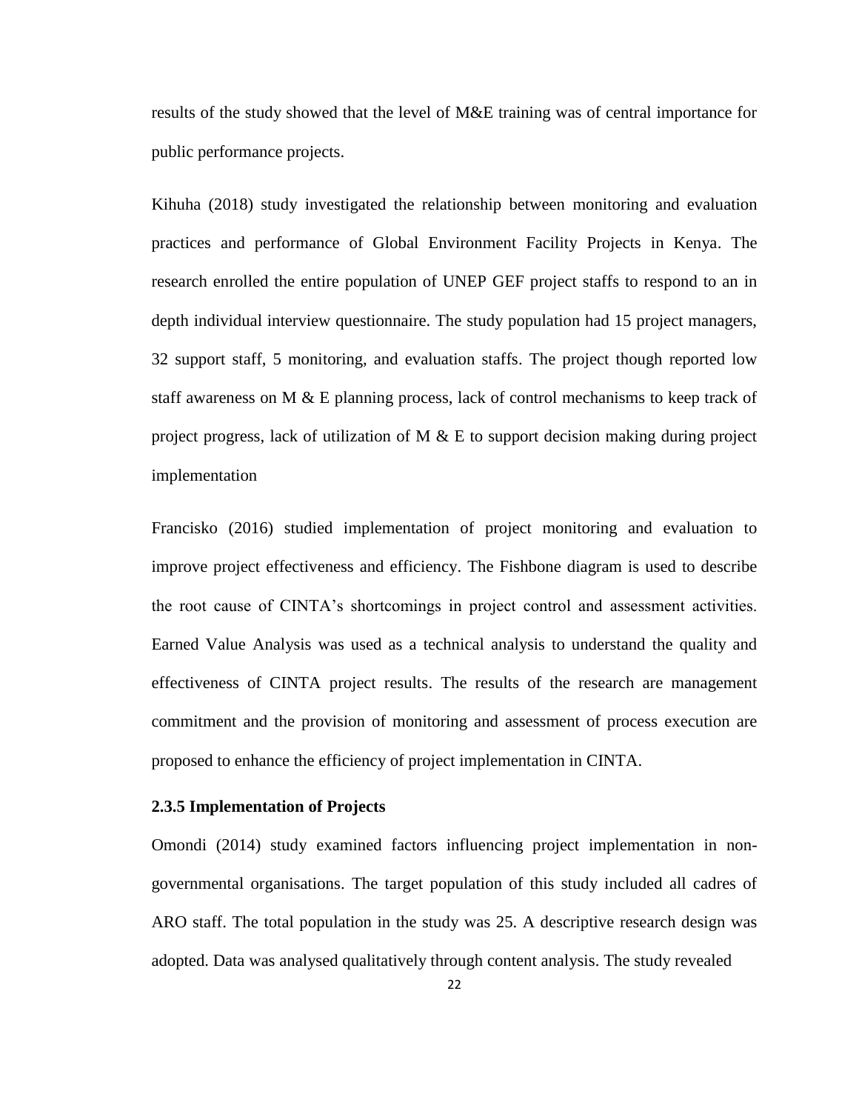results of the study showed that the level of M&E training was of central importance for public performance projects.

Kihuha (2018) study investigated the relationship between monitoring and evaluation practices and performance of Global Environment Facility Projects in Kenya. The research enrolled the entire population of UNEP GEF project staffs to respond to an in depth individual interview questionnaire. The study population had 15 project managers, 32 support staff, 5 monitoring, and evaluation staffs. The project though reported low staff awareness on M  $\&$  E planning process, lack of control mechanisms to keep track of project progress, lack of utilization of  $M \& E$  to support decision making during project implementation

Francisko (2016) studied implementation of project monitoring and evaluation to improve project effectiveness and efficiency. The Fishbone diagram is used to describe the root cause of CINTA's shortcomings in project control and assessment activities. Earned Value Analysis was used as a technical analysis to understand the quality and effectiveness of CINTA project results. The results of the research are management commitment and the provision of monitoring and assessment of process execution are proposed to enhance the efficiency of project implementation in CINTA.

# <span id="page-33-0"></span>**2.3.5 Implementation of Projects**

Omondi (2014) study examined factors influencing project implementation in nongovernmental organisations. The target population of this study included all cadres of ARO staff. The total population in the study was 25. A descriptive research design was adopted. Data was analysed qualitatively through content analysis. The study revealed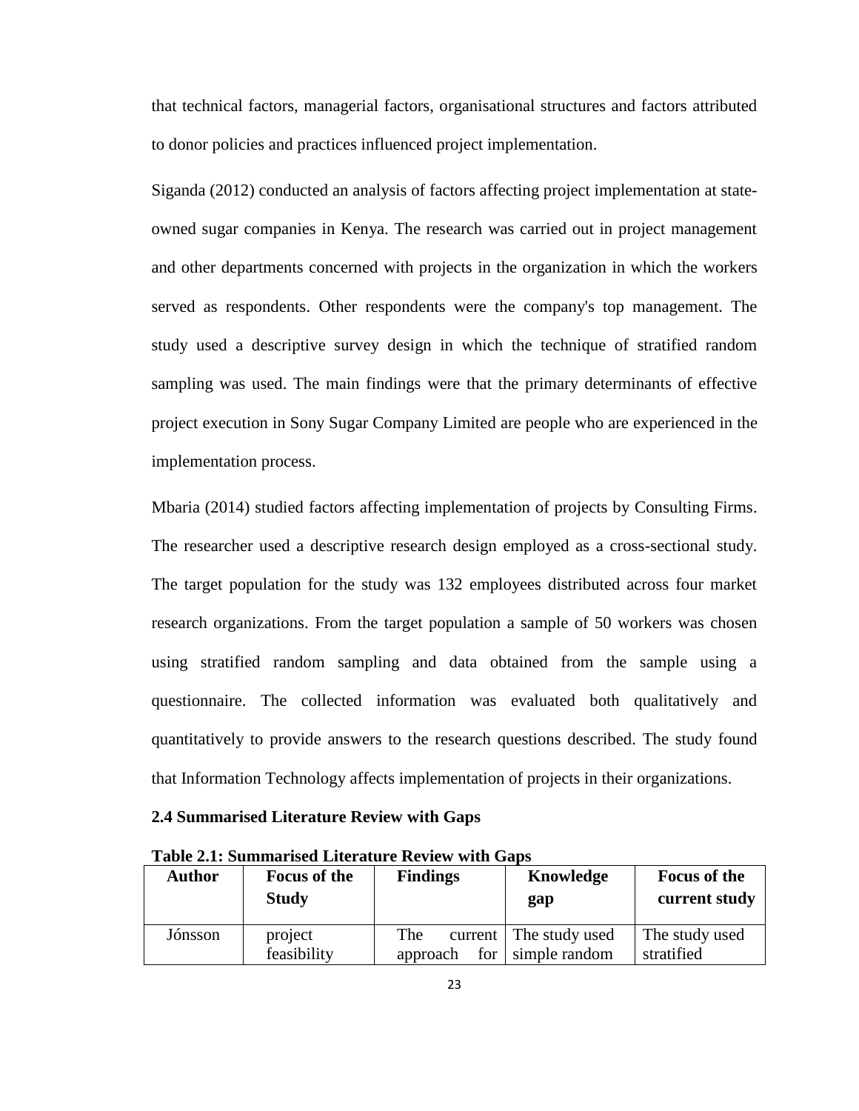that technical factors, managerial factors, organisational structures and factors attributed to donor policies and practices influenced project implementation.

Siganda (2012) conducted an analysis of factors affecting project implementation at stateowned sugar companies in Kenya. The research was carried out in project management and other departments concerned with projects in the organization in which the workers served as respondents. Other respondents were the company's top management. The study used a descriptive survey design in which the technique of stratified random sampling was used. The main findings were that the primary determinants of effective project execution in Sony Sugar Company Limited are people who are experienced in the implementation process.

Mbaria (2014) studied factors affecting implementation of projects by Consulting Firms. The researcher used a descriptive research design employed as a cross-sectional study. The target population for the study was 132 employees distributed across four market research organizations. From the target population a sample of 50 workers was chosen using stratified random sampling and data obtained from the sample using a questionnaire. The collected information was evaluated both qualitatively and quantitatively to provide answers to the research questions described. The study found that Information Technology affects implementation of projects in their organizations.

# <span id="page-34-0"></span>**2.4 Summarised Literature Review with Gaps**

| <b>Author</b> | <b>Focus of the</b><br><b>Study</b> | <b>Findings</b> | Knowledge<br>gap       | <b>Focus of the</b><br>current study |
|---------------|-------------------------------------|-----------------|------------------------|--------------------------------------|
| Jónsson       | project                             | The             | current The study used | The study used                       |
|               | feasibility                         | approach        | for   simple random    | stratified                           |

<span id="page-34-1"></span>**Table 2.1: Summarised Literature Review with Gaps**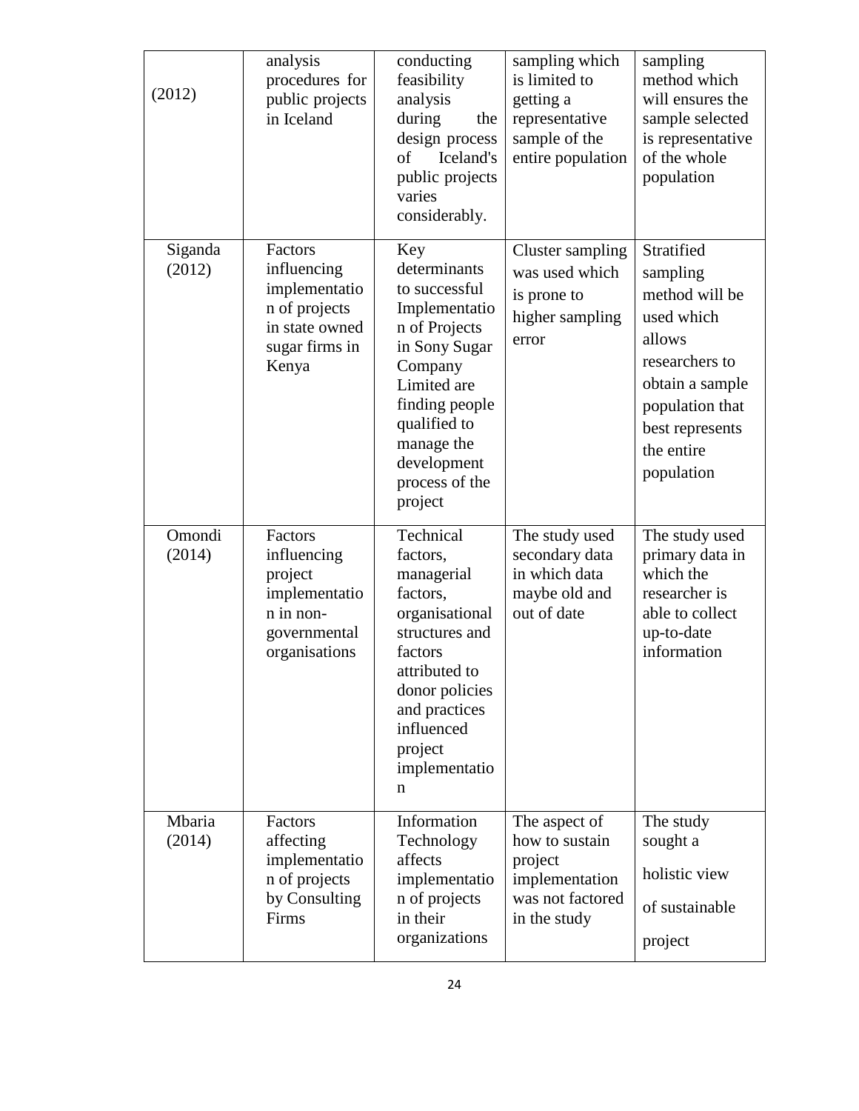| (2012)            | analysis<br>procedures for<br>public projects<br>in Iceland                                           | conducting<br>feasibility<br>analysis<br>during<br>the<br>design process<br>Iceland's<br>of<br>public projects<br>varies<br>considerably.                                                                     | sampling which<br>is limited to<br>getting a<br>representative<br>sample of the<br>entire population | sampling<br>method which<br>will ensures the<br>sample selected<br>is representative<br>of the whole<br>population                                                      |
|-------------------|-------------------------------------------------------------------------------------------------------|---------------------------------------------------------------------------------------------------------------------------------------------------------------------------------------------------------------|------------------------------------------------------------------------------------------------------|-------------------------------------------------------------------------------------------------------------------------------------------------------------------------|
| Siganda<br>(2012) | Factors<br>influencing<br>implementatio<br>n of projects<br>in state owned<br>sugar firms in<br>Kenya | Key<br>determinants<br>to successful<br>Implementatio<br>n of Projects<br>in Sony Sugar<br>Company<br>Limited are<br>finding people<br>qualified to<br>manage the<br>development<br>process of the<br>project | <b>Cluster sampling</b><br>was used which<br>is prone to<br>higher sampling<br>error                 | Stratified<br>sampling<br>method will be<br>used which<br>allows<br>researchers to<br>obtain a sample<br>population that<br>best represents<br>the entire<br>population |
| Omondi<br>(2014)  | Factors<br>influencing<br>project<br>implementatio<br>n in non-<br>governmental<br>organisations      | Technical<br>factors,<br>managerial<br>factors,<br>organisational<br>structures and<br>factors<br>attributed to<br>donor policies<br>and practices<br>influenced<br>project<br>implementatio<br>n             | The study used<br>secondary data<br>in which data<br>maybe old and<br>out of date                    | The study used<br>primary data in<br>which the<br>researcher is<br>able to collect<br>up-to-date<br>information                                                         |
| Mbaria<br>(2014)  | Factors<br>affecting<br>implementatio<br>n of projects<br>by Consulting<br>Firms                      | Information<br>Technology<br>affects<br>implementatio<br>n of projects<br>in their<br>organizations                                                                                                           | The aspect of<br>how to sustain<br>project<br>implementation<br>was not factored<br>in the study     | The study<br>sought a<br>holistic view<br>of sustainable<br>project                                                                                                     |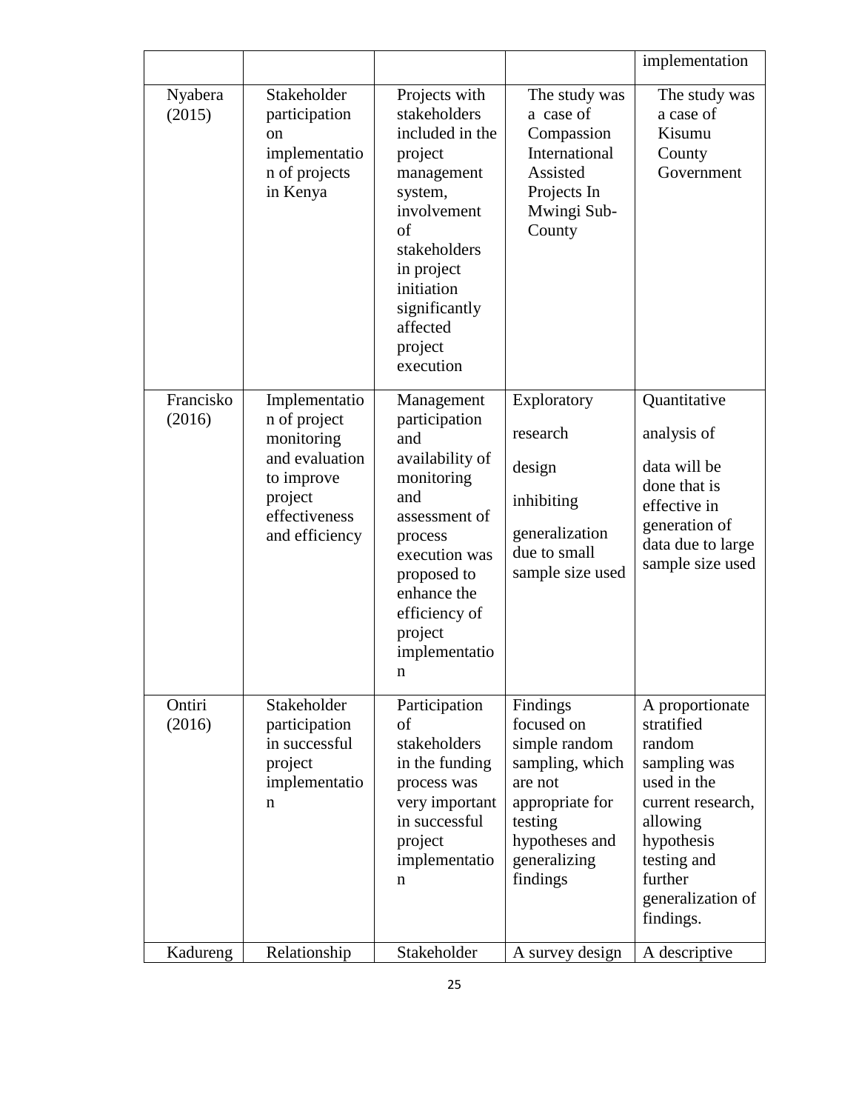|                     |                                                                                                                           |                                                                                                                                                                                                            |                                                                                                                                                   | implementation                                                                                                                                                                    |
|---------------------|---------------------------------------------------------------------------------------------------------------------------|------------------------------------------------------------------------------------------------------------------------------------------------------------------------------------------------------------|---------------------------------------------------------------------------------------------------------------------------------------------------|-----------------------------------------------------------------------------------------------------------------------------------------------------------------------------------|
| Nyabera<br>(2015)   | Stakeholder<br>participation<br><sub>on</sub><br>implementatio<br>n of projects<br>in Kenya                               | Projects with<br>stakeholders<br>included in the<br>project<br>management<br>system,<br>involvement<br>of<br>stakeholders<br>in project<br>initiation<br>significantly<br>affected<br>project<br>execution | The study was<br>a case of<br>Compassion<br>International<br>Assisted<br>Projects In<br>Mwingi Sub-<br>County                                     | The study was<br>a case of<br>Kisumu<br>County<br>Government                                                                                                                      |
| Francisko<br>(2016) | Implementatio<br>n of project<br>monitoring<br>and evaluation<br>to improve<br>project<br>effectiveness<br>and efficiency | Management<br>participation<br>and<br>availability of<br>monitoring<br>and<br>assessment of<br>process<br>execution was<br>proposed to<br>enhance the<br>efficiency of<br>project<br>implementatio<br>n    | Exploratory<br>research<br>design<br>inhibiting<br>generalization<br>due to small<br>sample size used                                             | Quantitative<br>analysis of<br>data will be<br>done that is<br>effective in<br>generation of<br>data due to large<br>sample size used                                             |
| Ontiri<br>(2016)    | Stakeholder<br>participation<br>in successful<br>project<br>implementatio<br>n                                            | Participation<br>οf<br>stakeholders<br>in the funding<br>process was<br>very important<br>in successful<br>project<br>implementatio<br>n                                                                   | Findings<br>focused on<br>simple random<br>sampling, which<br>are not<br>appropriate for<br>testing<br>hypotheses and<br>generalizing<br>findings | A proportionate<br>stratified<br>random<br>sampling was<br>used in the<br>current research,<br>allowing<br>hypothesis<br>testing and<br>further<br>generalization of<br>findings. |
| Kadureng            | Relationship                                                                                                              | Stakeholder                                                                                                                                                                                                | A survey design                                                                                                                                   | A descriptive                                                                                                                                                                     |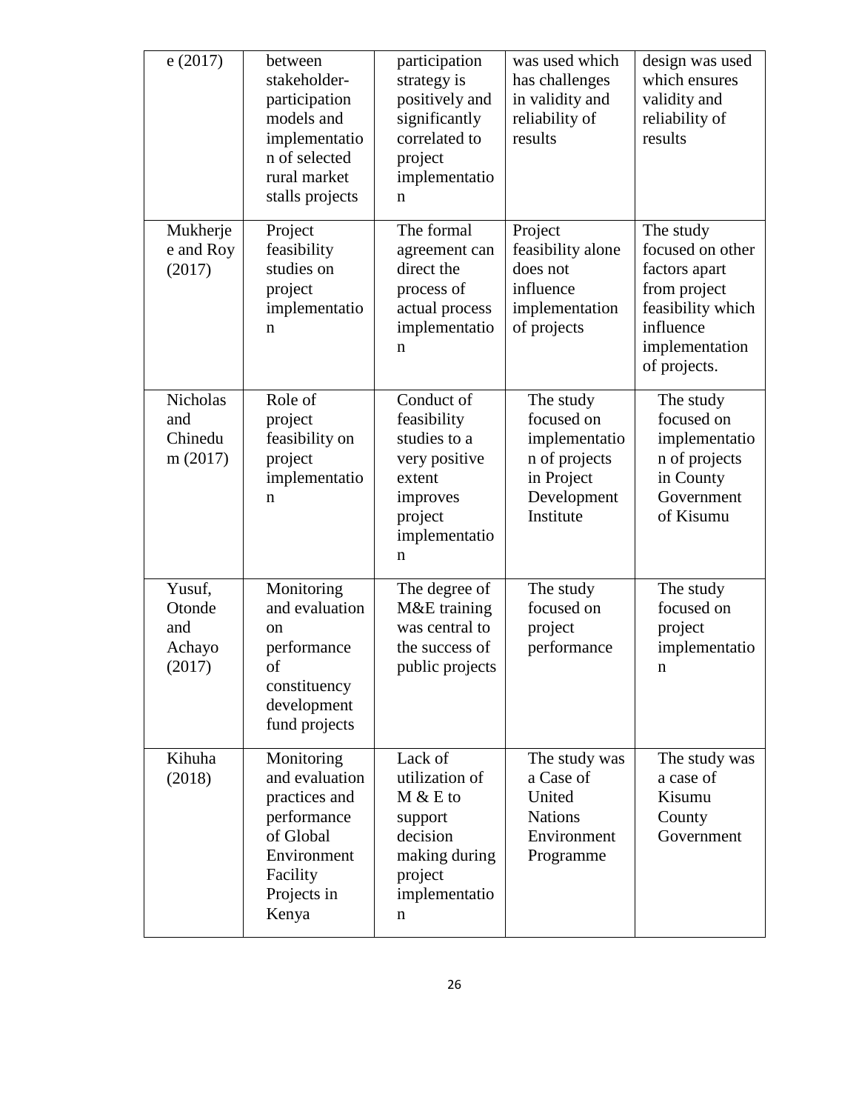| e(2017)                                      | between<br>stakeholder-<br>participation<br>models and<br>implementatio<br>n of selected<br>rural market<br>stalls projects  | participation<br>strategy is<br>positively and<br>significantly<br>correlated to<br>project<br>implementatio<br>n | was used which<br>has challenges<br>in validity and<br>reliability of<br>results                    | design was used<br>which ensures<br>validity and<br>reliability of<br>results                                                      |
|----------------------------------------------|------------------------------------------------------------------------------------------------------------------------------|-------------------------------------------------------------------------------------------------------------------|-----------------------------------------------------------------------------------------------------|------------------------------------------------------------------------------------------------------------------------------------|
| Mukherje<br>e and Roy<br>(2017)              | Project<br>feasibility<br>studies on<br>project<br>implementatio<br>n                                                        | The formal<br>agreement can<br>direct the<br>process of<br>actual process<br>implementatio<br>n                   | Project<br>feasibility alone<br>does not<br>influence<br>implementation<br>of projects              | The study<br>focused on other<br>factors apart<br>from project<br>feasibility which<br>influence<br>implementation<br>of projects. |
| <b>Nicholas</b><br>and<br>Chinedu<br>m(2017) | Role of<br>project<br>feasibility on<br>project<br>implementatio<br>n                                                        | Conduct of<br>feasibility<br>studies to a<br>very positive<br>extent<br>improves<br>project<br>implementatio<br>n | The study<br>focused on<br>implementatio<br>n of projects<br>in Project<br>Development<br>Institute | The study<br>focused on<br>implementatio<br>n of projects<br>in County<br>Government<br>of Kisumu                                  |
| Yusuf,<br>Otonde<br>and<br>Achayo<br>(2017)  | Monitoring<br>and evaluation<br>on<br>performance<br>of<br>constituency<br>development<br>fund projects                      | The degree of<br>M&E training<br>was central to<br>the success of<br>public projects                              | The study<br>focused on<br>project<br>performance                                                   | The study<br>focused on<br>project<br>implementatio<br>n                                                                           |
| Kihuha<br>(2018)                             | Monitoring<br>and evaluation<br>practices and<br>performance<br>of Global<br>Environment<br>Facility<br>Projects in<br>Kenya | Lack of<br>utilization of<br>$M & E$ to<br>support<br>decision<br>making during<br>project<br>implementatio<br>n  | The study was<br>a Case of<br>United<br><b>Nations</b><br>Environment<br>Programme                  | The study was<br>a case of<br>Kisumu<br>County<br>Government                                                                       |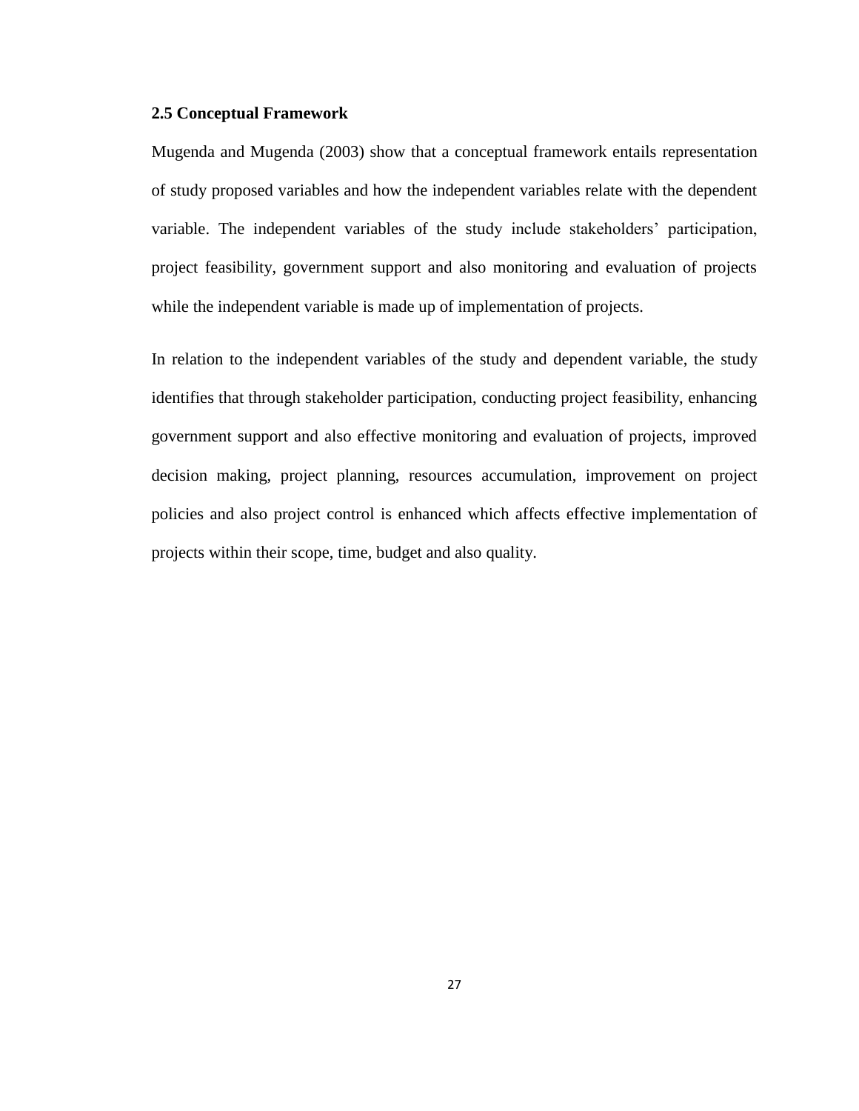#### **2.5 Conceptual Framework**

Mugenda and Mugenda (2003) show that a conceptual framework entails representation of study proposed variables and how the independent variables relate with the dependent variable. The independent variables of the study include stakeholders' participation, project feasibility, government support and also monitoring and evaluation of projects while the independent variable is made up of implementation of projects.

In relation to the independent variables of the study and dependent variable, the study identifies that through stakeholder participation, conducting project feasibility, enhancing government support and also effective monitoring and evaluation of projects, improved decision making, project planning, resources accumulation, improvement on project policies and also project control is enhanced which affects effective implementation of projects within their scope, time, budget and also quality.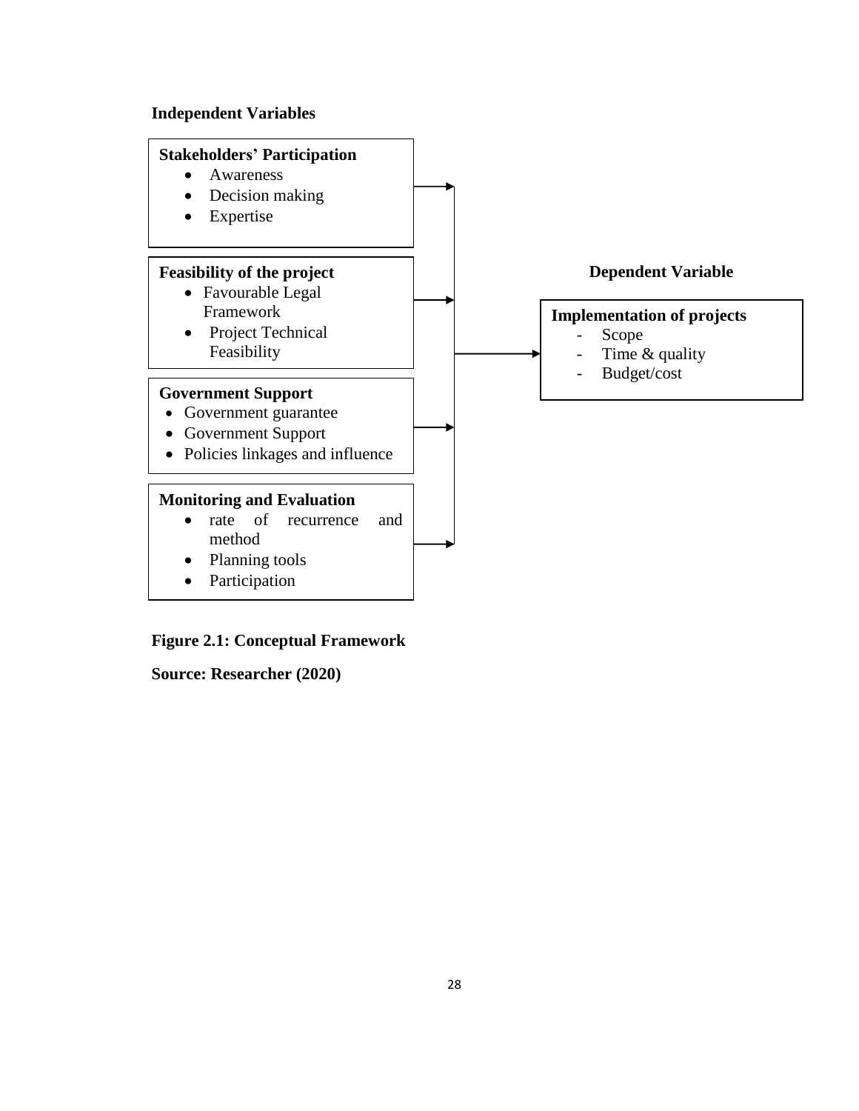# **Independent Variables**



# **Figure 2.1: Conceptual Framework**

**Source: Researcher (2020)**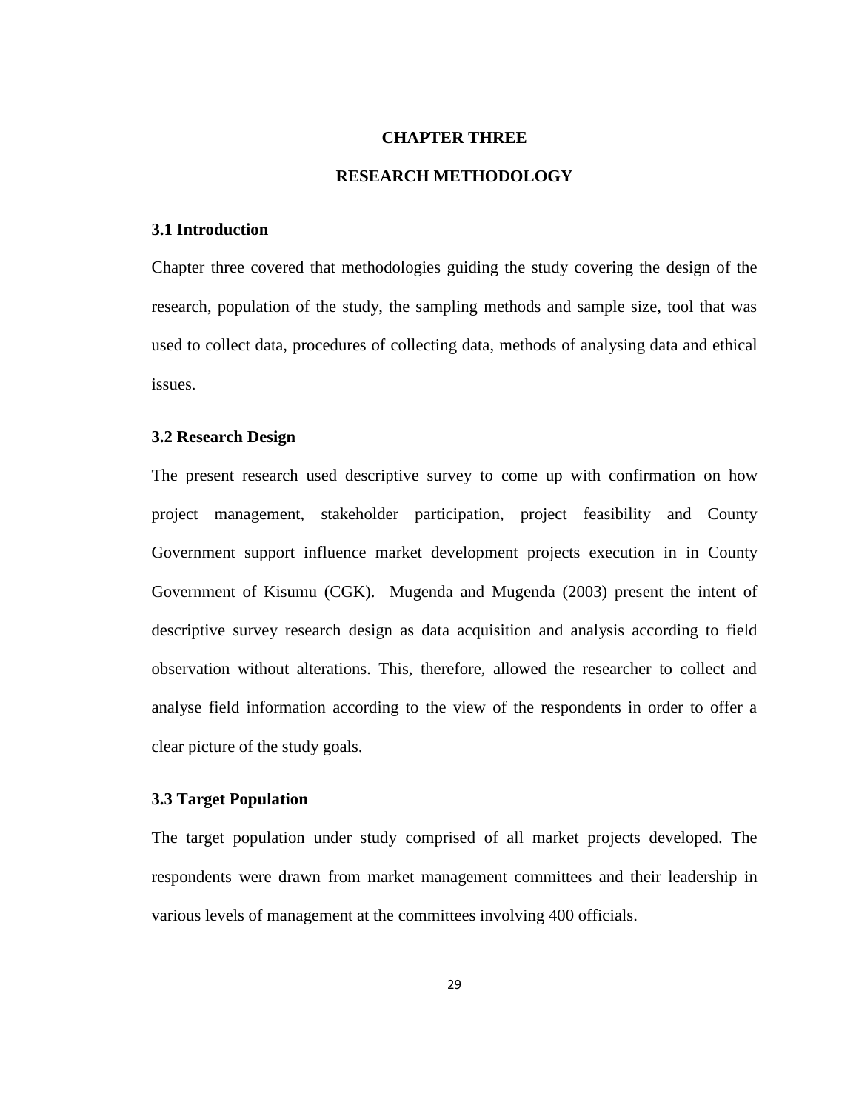#### **CHAPTER THREE**

#### **RESEARCH METHODOLOGY**

#### **3.1 Introduction**

Chapter three covered that methodologies guiding the study covering the design of the research, population of the study, the sampling methods and sample size, tool that was used to collect data, procedures of collecting data, methods of analysing data and ethical issues.

#### **3.2 Research Design**

The present research used descriptive survey to come up with confirmation on how project management, stakeholder participation, project feasibility and County Government support influence market development projects execution in in County Government of Kisumu (CGK). Mugenda and Mugenda (2003) present the intent of descriptive survey research design as data acquisition and analysis according to field observation without alterations. This, therefore, allowed the researcher to collect and analyse field information according to the view of the respondents in order to offer a clear picture of the study goals.

### **3.3 Target Population**

The target population under study comprised of all market projects developed. The respondents were drawn from market management committees and their leadership in various levels of management at the committees involving 400 officials.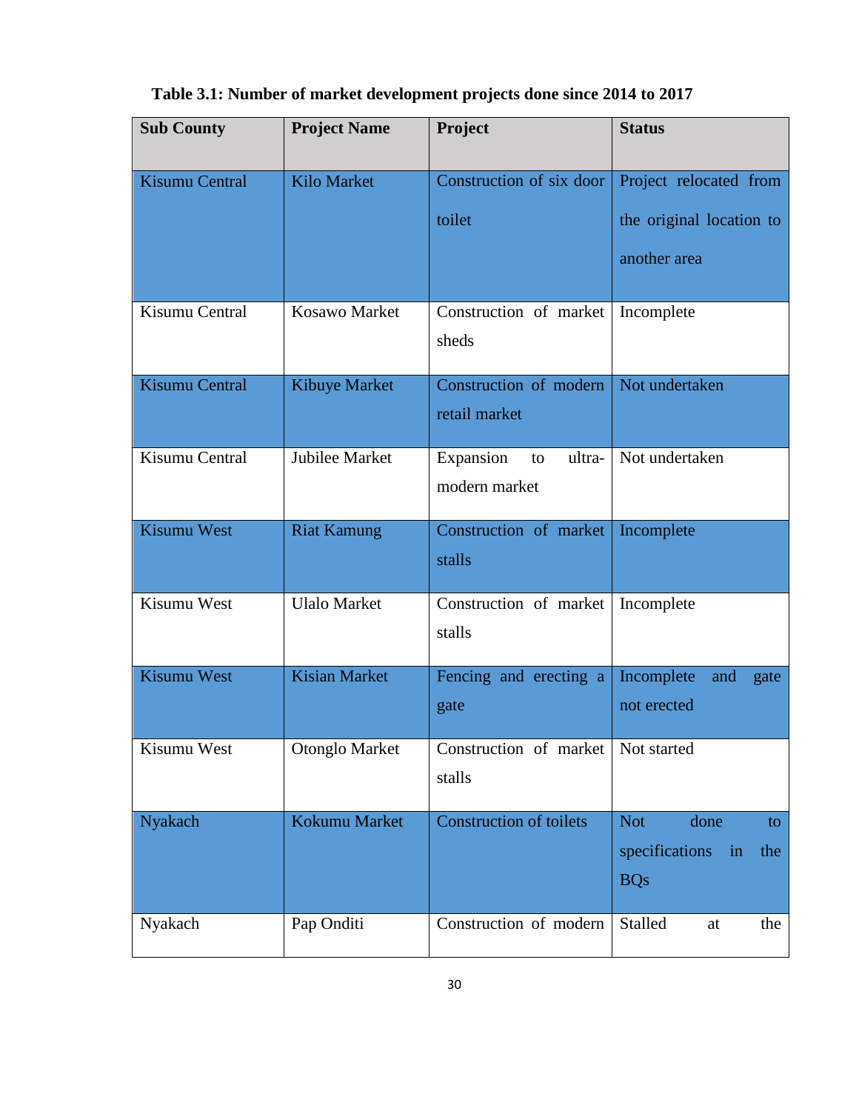| <b>Sub County</b>  | <b>Project Name</b>  | Project                                        | <b>Status</b>                                                      |
|--------------------|----------------------|------------------------------------------------|--------------------------------------------------------------------|
| Kisumu Central     | Kilo Market          | Construction of six door<br>toilet             | Project relocated from<br>the original location to<br>another area |
| Kisumu Central     | Kosawo Market        | Construction of market<br>sheds                | Incomplete                                                         |
| Kisumu Central     | Kibuye Market        | Construction of modern<br>retail market        | Not undertaken                                                     |
| Kisumu Central     | Jubilee Market       | Expansion<br>ultra-<br>to<br>modern market     | Not undertaken                                                     |
| <b>Kisumu West</b> | <b>Riat Kamung</b>   | Construction of market<br>stalls               | Incomplete                                                         |
| Kisumu West        | <b>Ulalo Market</b>  | Construction of market<br>stalls               | Incomplete                                                         |
| Kisumu West        | <b>Kisian Market</b> | Fencing and erecting a<br>gate                 | Incomplete<br>and<br>gate<br>not erected                           |
| Kisumu West        | Otonglo Market       | Construction of market   Not started<br>stalls |                                                                    |
| Nyakach            | Kokumu Market        | <b>Construction of toilets</b>                 | <b>Not</b><br>done<br>to<br>specifications in<br>the<br><b>BQs</b> |
| Nyakach            | Pap Onditi           | Construction of modern                         | Stalled<br>the<br>at                                               |

# **Table 3.1: Number of market development projects done since 2014 to 2017**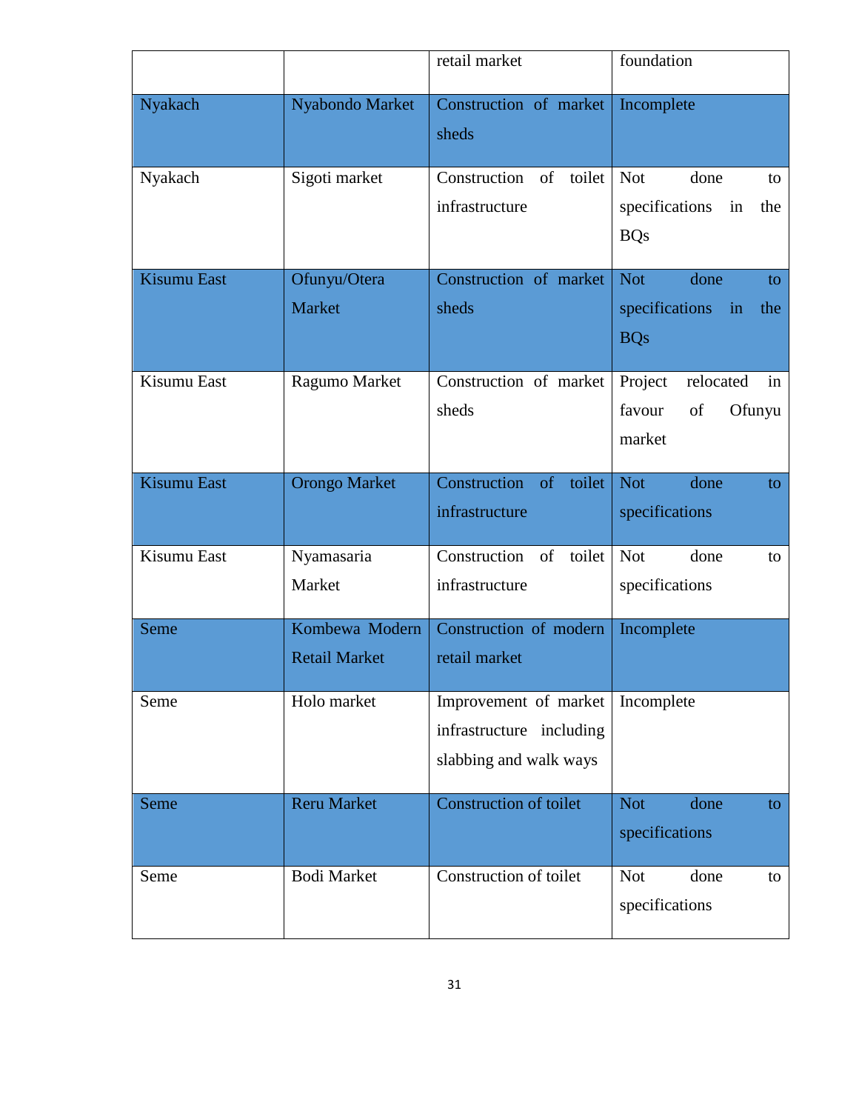|                    |                                        | retail market                                                               | foundation                                                                        |
|--------------------|----------------------------------------|-----------------------------------------------------------------------------|-----------------------------------------------------------------------------------|
| Nyakach            | Nyabondo Market                        | Construction of market<br>sheds                                             | Incomplete                                                                        |
| Nyakach            | Sigoti market                          | Construction of<br>toilet<br>infrastructure                                 | <b>Not</b><br>done<br>to<br>specifications<br>in<br>the<br><b>BQs</b>             |
| <b>Kisumu East</b> | Ofunyu/Otera<br><b>Market</b>          | Construction of market<br>sheds                                             | done<br><b>Not</b><br>to.<br>specifications<br>$\mathbf{in}$<br>the<br><b>BQs</b> |
| Kisumu East        | Ragumo Market                          | Construction of market<br>sheds                                             | Project<br>relocated<br>in<br>favour<br>of<br>Ofunyu<br>market                    |
| <b>Kisumu East</b> | <b>Orongo Market</b>                   | Construction of toilet<br>infrastructure                                    | <b>Not</b><br>done<br>to.<br>specifications                                       |
| Kisumu East        | Nyamasaria<br>Market                   | of<br>Construction<br>toilet<br>infrastructure                              | <b>Not</b><br>done<br>to<br>specifications                                        |
| Seme               | Kombewa Modern<br><b>Retail Market</b> | Construction of modern<br>retail market                                     | Incomplete                                                                        |
| Seme               | Holo market                            | Improvement of market<br>infrastructure including<br>slabbing and walk ways | Incomplete                                                                        |
| Seme               | <b>Reru Market</b>                     | <b>Construction of toilet</b>                                               | <b>Not</b><br>done<br>to<br>specifications                                        |
| Seme               | <b>Bodi Market</b>                     | Construction of toilet                                                      | <b>Not</b><br>done<br>to<br>specifications                                        |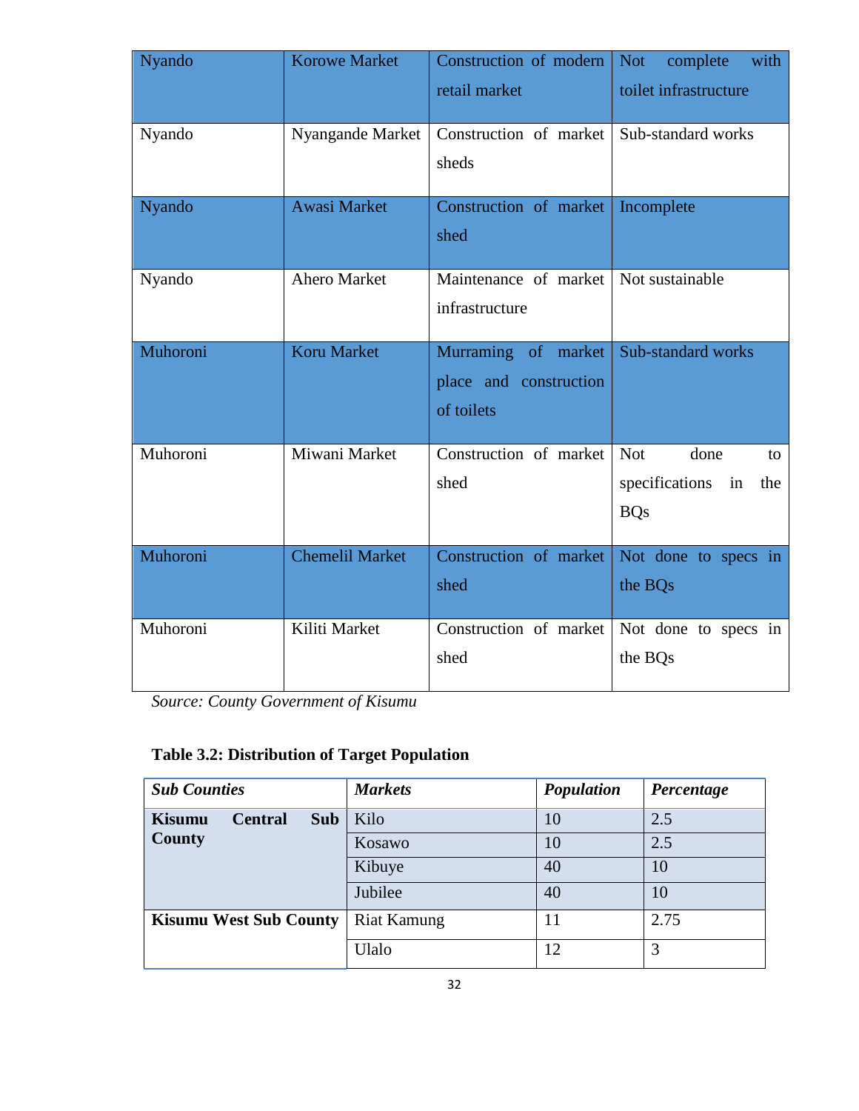| Nyando   | <b>Korowe Market</b>   | Construction of modern<br>retail market                     | <b>Not</b><br>with<br>complete<br>toilet infrastructure               |
|----------|------------------------|-------------------------------------------------------------|-----------------------------------------------------------------------|
| Nyando   | Nyangande Market       | Construction of market<br>sheds                             | Sub-standard works                                                    |
| Nyando   | <b>Awasi Market</b>    | Construction of market<br>shed                              | Incomplete                                                            |
| Nyando   | Ahero Market           | Maintenance of market<br>infrastructure                     | Not sustainable                                                       |
| Muhoroni | Koru Market            | Murraming of market<br>place and construction<br>of toilets | Sub-standard works                                                    |
| Muhoroni | Miwani Market          | Construction of market<br>shed                              | <b>Not</b><br>done<br>to<br>specifications<br>in<br>the<br><b>BQs</b> |
| Muhoroni | <b>Chemelil Market</b> | Construction of market<br>shed                              | Not done to specs in<br>the BQs                                       |
| Muhoroni | Kiliti Market          | Construction of market<br>shed                              | Not done to specs in<br>the BQs                                       |

*Source: County Government of Kisumu*

# **Table 3.2: Distribution of Target Population**

| <b>Sub Counties</b>             |            | <b>Markets</b>     | Population | Percentage |
|---------------------------------|------------|--------------------|------------|------------|
| <b>Kisumu</b><br><b>Central</b> | <b>Sub</b> | Kilo               | 10         | 2.5        |
| <b>County</b>                   |            | Kosawo             | 10         | 2.5        |
|                                 |            | Kibuye             | 40         | 10         |
|                                 |            | Jubilee            | 40         | 10         |
| <b>Kisumu West Sub County</b>   |            | <b>Riat Kamung</b> | 11         | 2.75       |
|                                 |            | Ulalo              | 12         | 3          |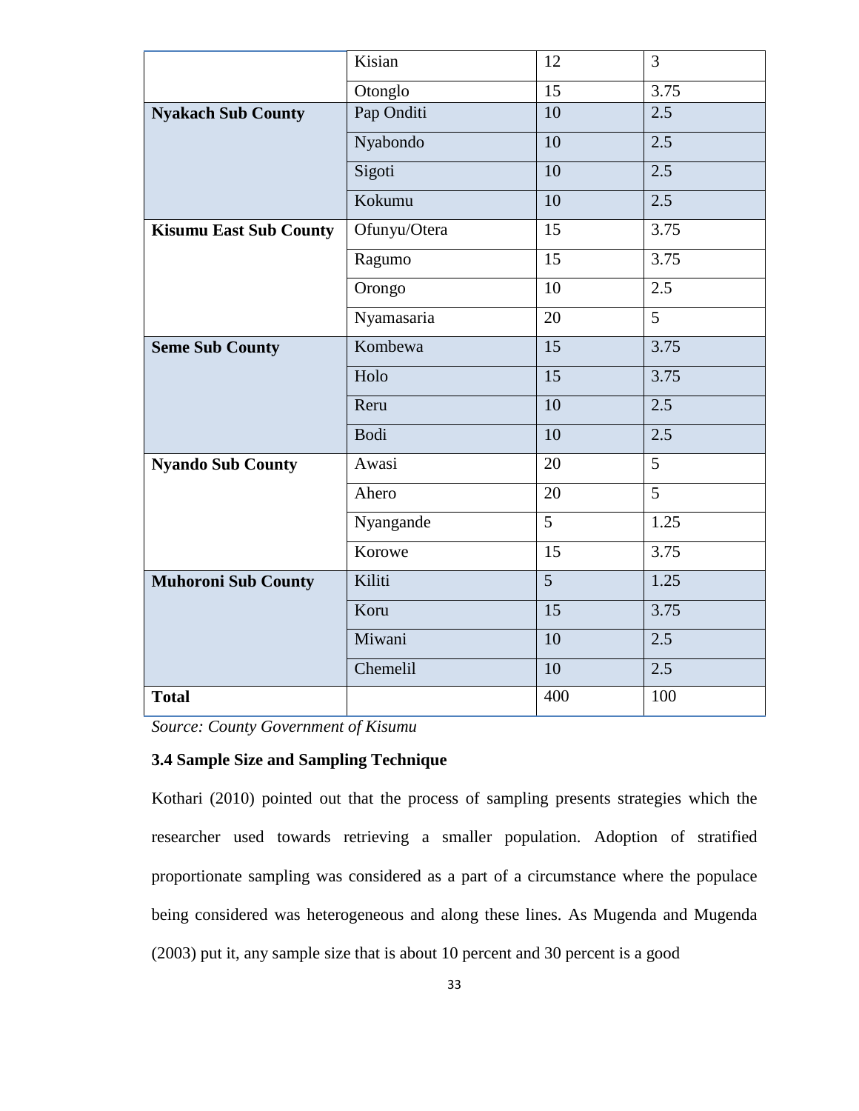|                               | Kisian       | 12              | 3              |
|-------------------------------|--------------|-----------------|----------------|
|                               | Otonglo      | $\overline{15}$ | 3.75           |
| <b>Nyakach Sub County</b>     | Pap Onditi   | 10              | 2.5            |
|                               | Nyabondo     | 10              | 2.5            |
|                               | Sigoti       | 10              | 2.5            |
|                               | Kokumu       | 10              | 2.5            |
| <b>Kisumu East Sub County</b> | Ofunyu/Otera | 15              | 3.75           |
|                               | Ragumo       | $\overline{15}$ | 3.75           |
|                               | Orongo       | 10              | 2.5            |
|                               | Nyamasaria   | 20              | $\overline{5}$ |
| <b>Seme Sub County</b>        | Kombewa      | $\overline{15}$ | 3.75           |
|                               | Holo         | 15              | 3.75           |
|                               | Reru         | $\overline{10}$ | 2.5            |
|                               | Bodi         | 10              | 2.5            |
| <b>Nyando Sub County</b>      | Awasi        | 20              | $\overline{5}$ |
|                               | Ahero        | 20              | $\overline{5}$ |
|                               | Nyangande    | $\overline{5}$  | 1.25           |
|                               | Korowe       | 15              | 3.75           |
| <b>Muhoroni Sub County</b>    | Kiliti       | $\overline{5}$  | 1.25           |
|                               | Koru         | 15              | 3.75           |
|                               | Miwani       | $\overline{10}$ | 2.5            |
|                               | Chemelil     | 10              | 2.5            |
| <b>Total</b>                  |              | 400             | 100            |

*Source: County Government of Kisumu*

# **3.4 Sample Size and Sampling Technique**

Kothari (2010) pointed out that the process of sampling presents strategies which the researcher used towards retrieving a smaller population. Adoption of stratified proportionate sampling was considered as a part of a circumstance where the populace being considered was heterogeneous and along these lines. As Mugenda and Mugenda (2003) put it, any sample size that is about 10 percent and 30 percent is a good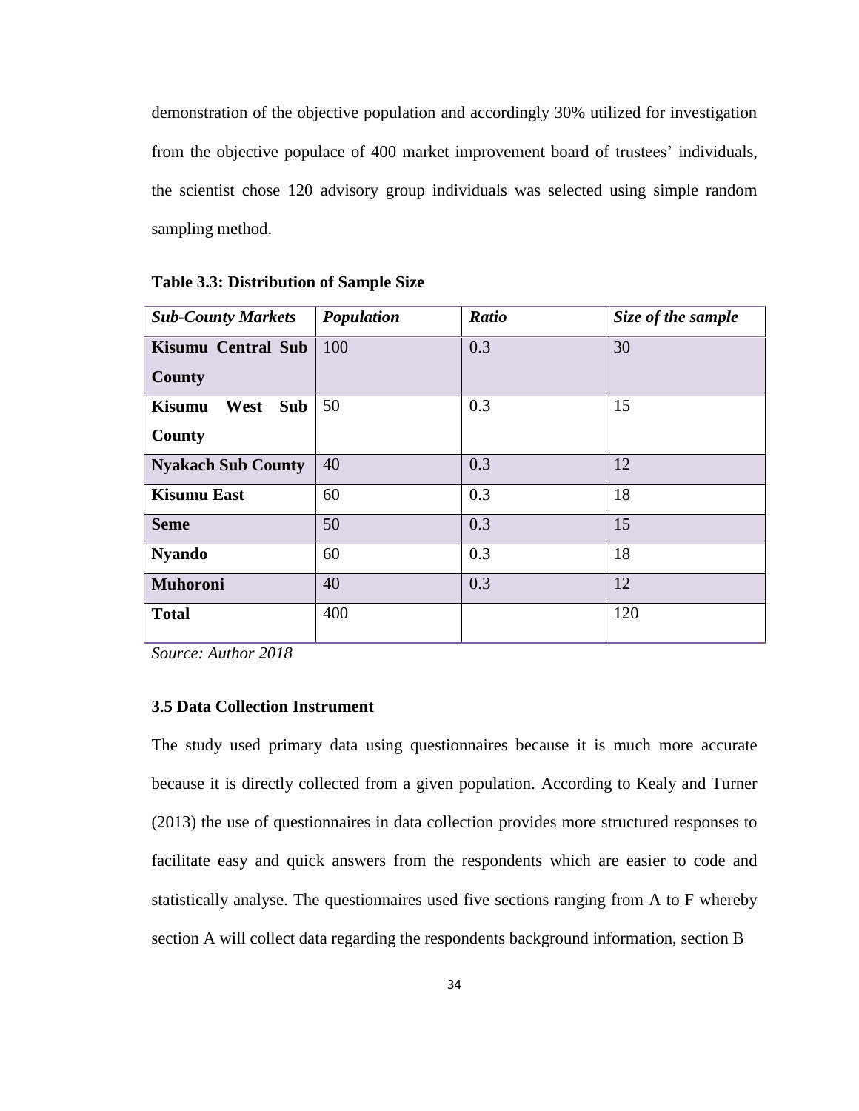demonstration of the objective population and accordingly 30% utilized for investigation from the objective populace of 400 market improvement board of trustees' individuals, the scientist chose 120 advisory group individuals was selected using simple random sampling method.

| <b>Sub-County Markets</b>                     | Population | <b>Ratio</b> | Size of the sample |
|-----------------------------------------------|------------|--------------|--------------------|
| Kisumu Central Sub<br><b>County</b>           | 100        | 0.3          | 30                 |
| West<br><b>Kisumu</b><br><b>Sub</b><br>County | 50         | 0.3          | 15                 |
| <b>Nyakach Sub County</b>                     | 40         | 0.3          | 12                 |
| <b>Kisumu East</b>                            | 60         | 0.3          | 18                 |
| <b>Seme</b>                                   | 50         | 0.3          | 15                 |
| <b>Nyando</b>                                 | 60         | 0.3          | 18                 |
| <b>Muhoroni</b>                               | 40         | 0.3          | 12                 |
| <b>Total</b>                                  | 400        |              | 120                |

**Table 3.3: Distribution of Sample Size**

*Source: Author 2018*

# **3.5 Data Collection Instrument**

The study used primary data using questionnaires because it is much more accurate because it is directly collected from a given population. According to Kealy and Turner (2013) the use of questionnaires in data collection provides more structured responses to facilitate easy and quick answers from the respondents which are easier to code and statistically analyse. The questionnaires used five sections ranging from A to F whereby section A will collect data regarding the respondents background information, section B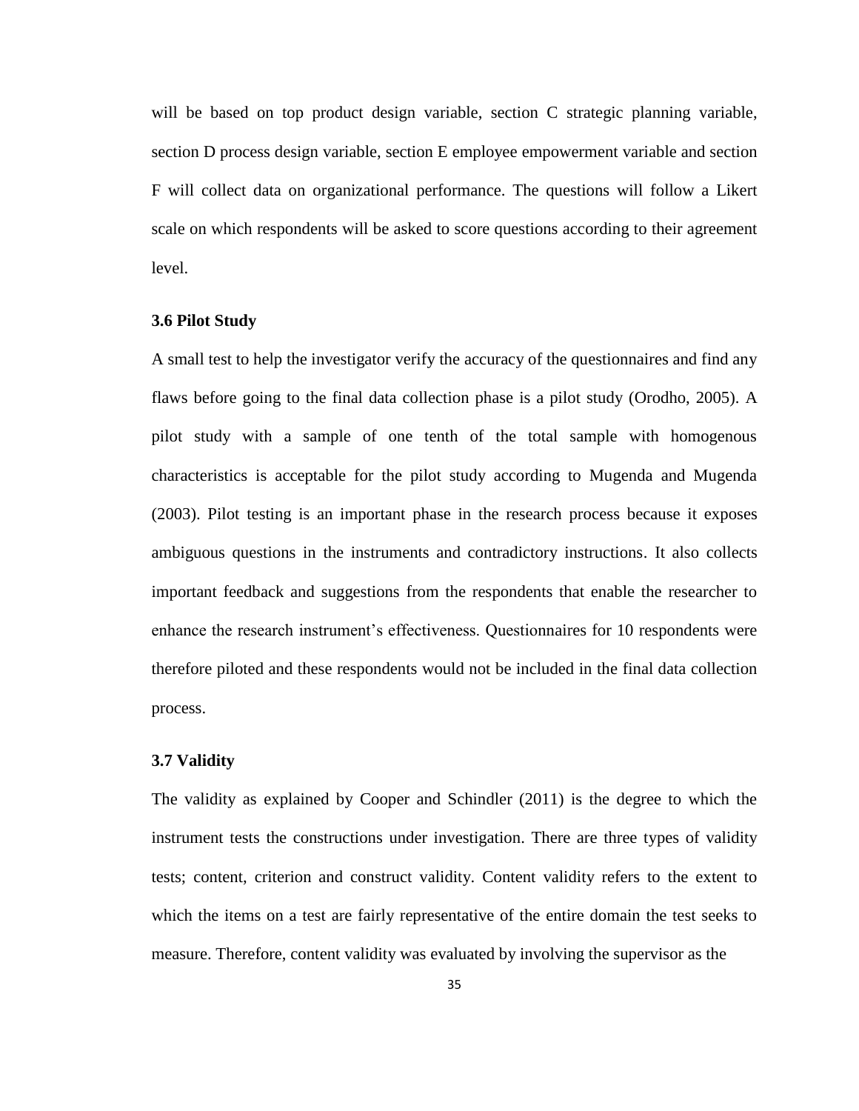will be based on top product design variable, section C strategic planning variable, section D process design variable, section E employee empowerment variable and section F will collect data on organizational performance. The questions will follow a Likert scale on which respondents will be asked to score questions according to their agreement level.

#### **3.6 Pilot Study**

A small test to help the investigator verify the accuracy of the questionnaires and find any flaws before going to the final data collection phase is a pilot study (Orodho, 2005). A pilot study with a sample of one tenth of the total sample with homogenous characteristics is acceptable for the pilot study according to Mugenda and Mugenda (2003). Pilot testing is an important phase in the research process because it exposes ambiguous questions in the instruments and contradictory instructions. It also collects important feedback and suggestions from the respondents that enable the researcher to enhance the research instrument's effectiveness. Questionnaires for 10 respondents were therefore piloted and these respondents would not be included in the final data collection process.

#### **3.7 Validity**

The validity as explained by Cooper and Schindler (2011) is the degree to which the instrument tests the constructions under investigation. There are three types of validity tests; content, criterion and construct validity. Content validity refers to the extent to which the items on a test are fairly representative of the entire domain the test seeks to measure. Therefore, content validity was evaluated by involving the supervisor as the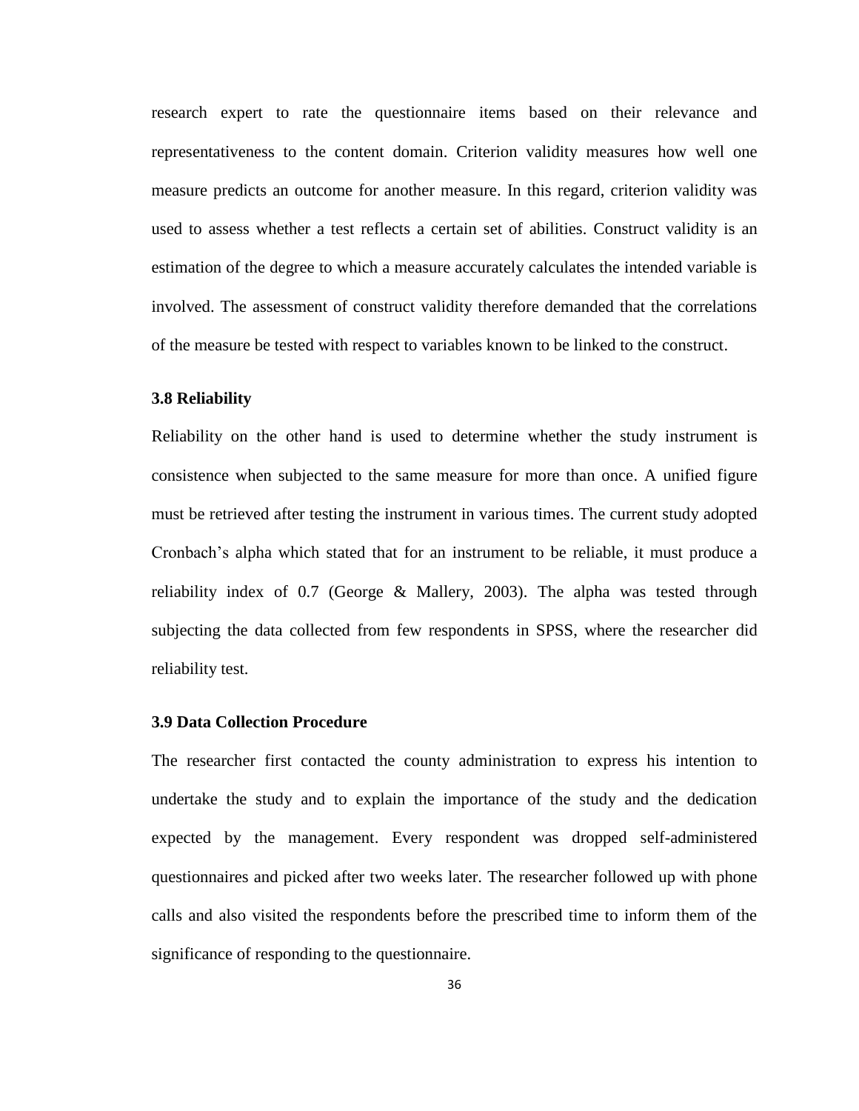research expert to rate the questionnaire items based on their relevance and representativeness to the content domain. Criterion validity measures how well one measure predicts an outcome for another measure. In this regard, criterion validity was used to assess whether a test reflects a certain set of abilities. Construct validity is an estimation of the degree to which a measure accurately calculates the intended variable is involved. The assessment of construct validity therefore demanded that the correlations of the measure be tested with respect to variables known to be linked to the construct.

#### **3.8 Reliability**

Reliability on the other hand is used to determine whether the study instrument is consistence when subjected to the same measure for more than once. A unified figure must be retrieved after testing the instrument in various times. The current study adopted Cronbach's alpha which stated that for an instrument to be reliable, it must produce a reliability index of 0.7 (George & Mallery, 2003). The alpha was tested through subjecting the data collected from few respondents in SPSS, where the researcher did reliability test.

#### **3.9 Data Collection Procedure**

The researcher first contacted the county administration to express his intention to undertake the study and to explain the importance of the study and the dedication expected by the management. Every respondent was dropped self-administered questionnaires and picked after two weeks later. The researcher followed up with phone calls and also visited the respondents before the prescribed time to inform them of the significance of responding to the questionnaire.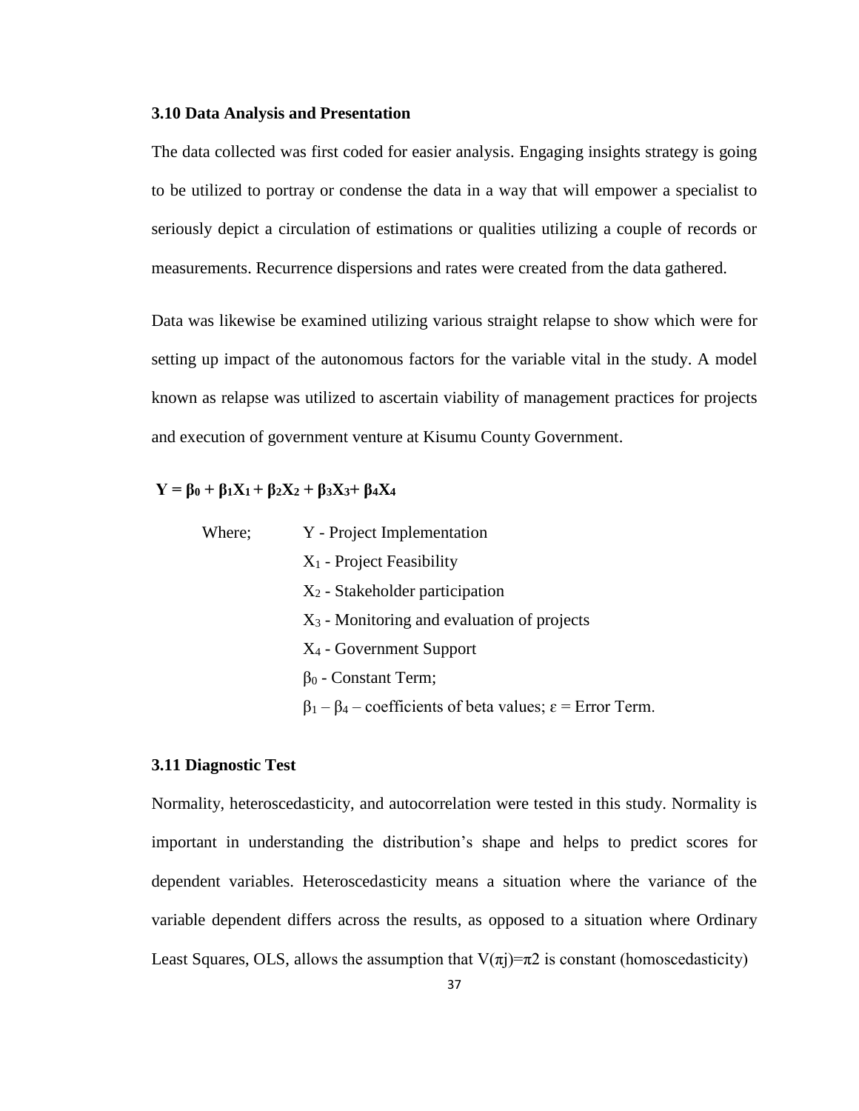#### **3.10 Data Analysis and Presentation**

The data collected was first coded for easier analysis. Engaging insights strategy is going to be utilized to portray or condense the data in a way that will empower a specialist to seriously depict a circulation of estimations or qualities utilizing a couple of records or measurements. Recurrence dispersions and rates were created from the data gathered.

Data was likewise be examined utilizing various straight relapse to show which were for setting up impact of the autonomous factors for the variable vital in the study. A model known as relapse was utilized to ascertain viability of management practices for projects and execution of government venture at Kisumu County Government.

# $Y = \beta_0 + \beta_1 X_1 + \beta_2 X_2 + \beta_3 X_3 + \beta_4 X_4$

| Where; | Y - Project Implementation                                                     |
|--------|--------------------------------------------------------------------------------|
|        | $X_1$ - Project Feasibility                                                    |
|        | $X_2$ - Stakeholder participation                                              |
|        | $X_3$ - Monitoring and evaluation of projects                                  |
|        | $X_4$ - Government Support                                                     |
|        | $\beta_0$ - Constant Term;                                                     |
|        | $\beta_1 - \beta_4$ – coefficients of beta values; $\varepsilon$ = Error Term. |

#### **3.11 Diagnostic Test**

Normality, heteroscedasticity, and autocorrelation were tested in this study. Normality is important in understanding the distribution's shape and helps to predict scores for dependent variables. Heteroscedasticity means a situation where the variance of the variable dependent differs across the results, as opposed to a situation where Ordinary Least Squares, OLS, allows the assumption that  $V(\pi) = \pi 2$  is constant (homoscedasticity)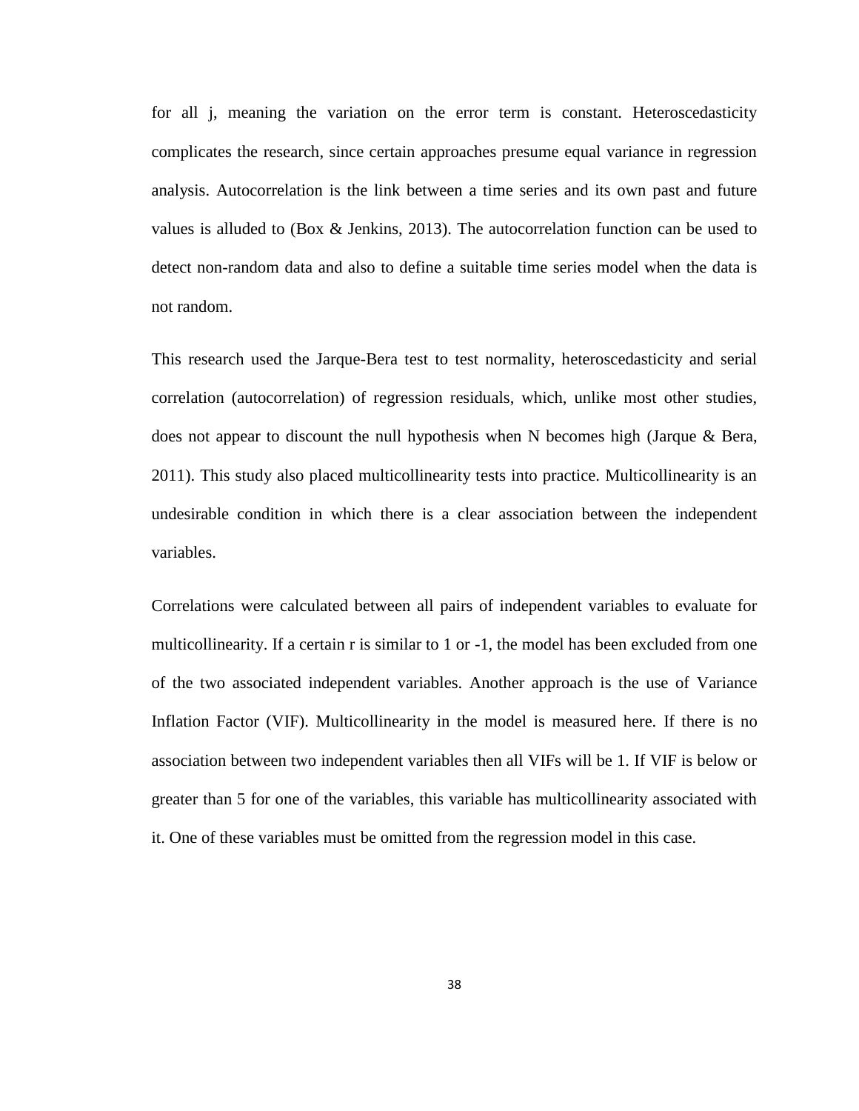for all j, meaning the variation on the error term is constant. Heteroscedasticity complicates the research, since certain approaches presume equal variance in regression analysis. Autocorrelation is the link between a time series and its own past and future values is alluded to (Box  $\&$  Jenkins, 2013). The autocorrelation function can be used to detect non-random data and also to define a suitable time series model when the data is not random.

This research used the Jarque-Bera test to test normality, heteroscedasticity and serial correlation (autocorrelation) of regression residuals, which, unlike most other studies, does not appear to discount the null hypothesis when N becomes high (Jarque & Bera, 2011). This study also placed multicollinearity tests into practice. Multicollinearity is an undesirable condition in which there is a clear association between the independent variables.

Correlations were calculated between all pairs of independent variables to evaluate for multicollinearity. If a certain r is similar to 1 or -1, the model has been excluded from one of the two associated independent variables. Another approach is the use of Variance Inflation Factor (VIF). Multicollinearity in the model is measured here. If there is no association between two independent variables then all VIFs will be 1. If VIF is below or greater than 5 for one of the variables, this variable has multicollinearity associated with it. One of these variables must be omitted from the regression model in this case.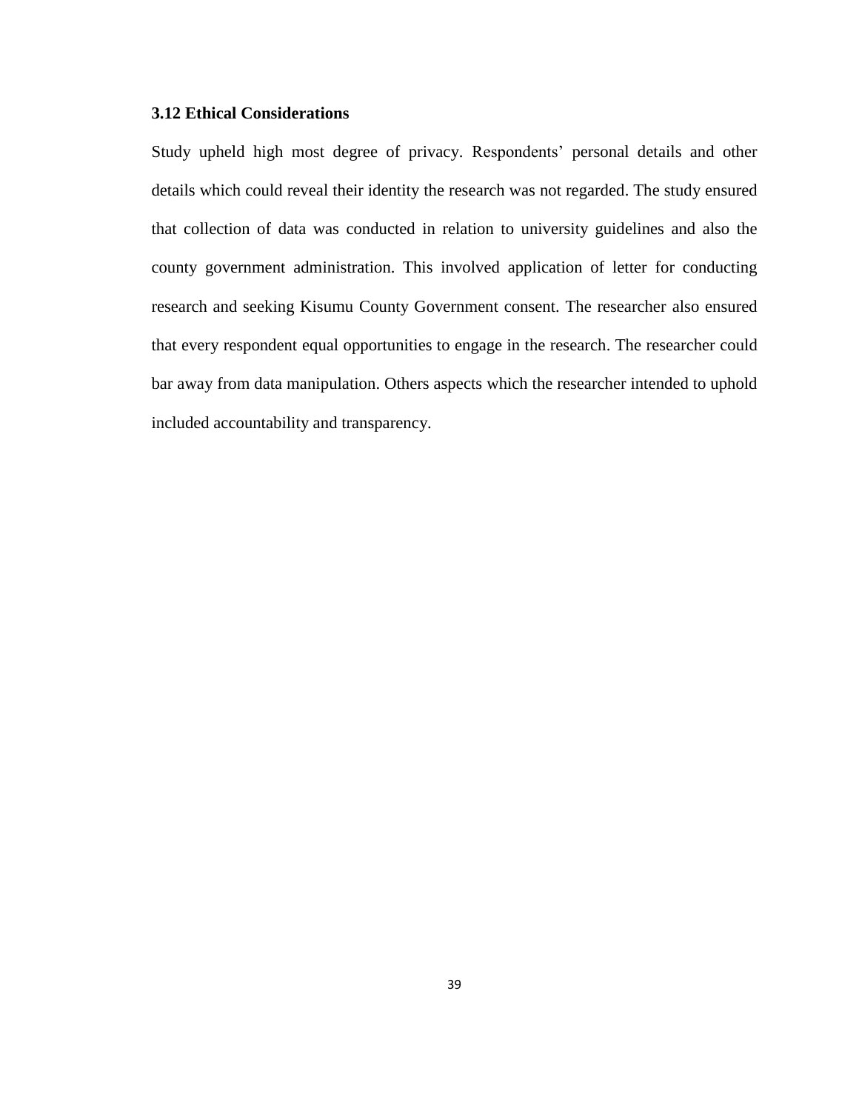# **3.12 Ethical Considerations**

Study upheld high most degree of privacy. Respondents' personal details and other details which could reveal their identity the research was not regarded. The study ensured that collection of data was conducted in relation to university guidelines and also the county government administration. This involved application of letter for conducting research and seeking Kisumu County Government consent. The researcher also ensured that every respondent equal opportunities to engage in the research. The researcher could bar away from data manipulation. Others aspects which the researcher intended to uphold included accountability and transparency.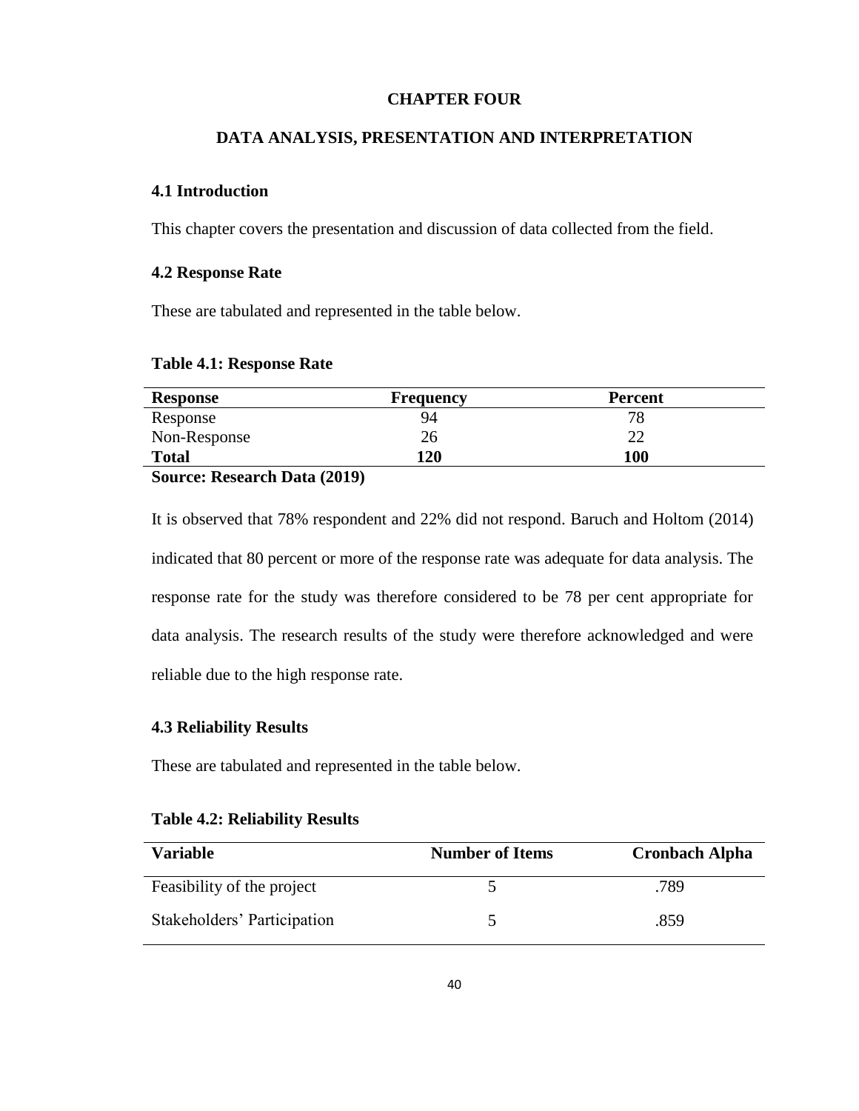# **CHAPTER FOUR**

# **DATA ANALYSIS, PRESENTATION AND INTERPRETATION**

# **4.1 Introduction**

This chapter covers the presentation and discussion of data collected from the field.

# **4.2 Response Rate**

These are tabulated and represented in the table below.

| <b>Table 4.1: Response Rate</b> |  |  |
|---------------------------------|--|--|
|---------------------------------|--|--|

| <b>Response</b>        | <b>Frequency</b> | <b>Percent</b> |  |
|------------------------|------------------|----------------|--|
| Response               | 94               | 79.            |  |
| Non-Response           | 26               |                |  |
| <b>Total</b>           | 120              | <b>100</b>     |  |
| $\alpha$ n in $(2010)$ |                  |                |  |

**Source: Research Data (2019)**

It is observed that 78% respondent and 22% did not respond. Baruch and Holtom (2014) indicated that 80 percent or more of the response rate was adequate for data analysis. The response rate for the study was therefore considered to be 78 per cent appropriate for data analysis. The research results of the study were therefore acknowledged and were reliable due to the high response rate.

# **4.3 Reliability Results**

These are tabulated and represented in the table below.

| <b>Variable</b>             | <b>Number of Items</b> | <b>Cronbach Alpha</b> |
|-----------------------------|------------------------|-----------------------|
| Feasibility of the project  |                        | .789                  |
| Stakeholders' Participation |                        | .859                  |

### **Table 4.2: Reliability Results**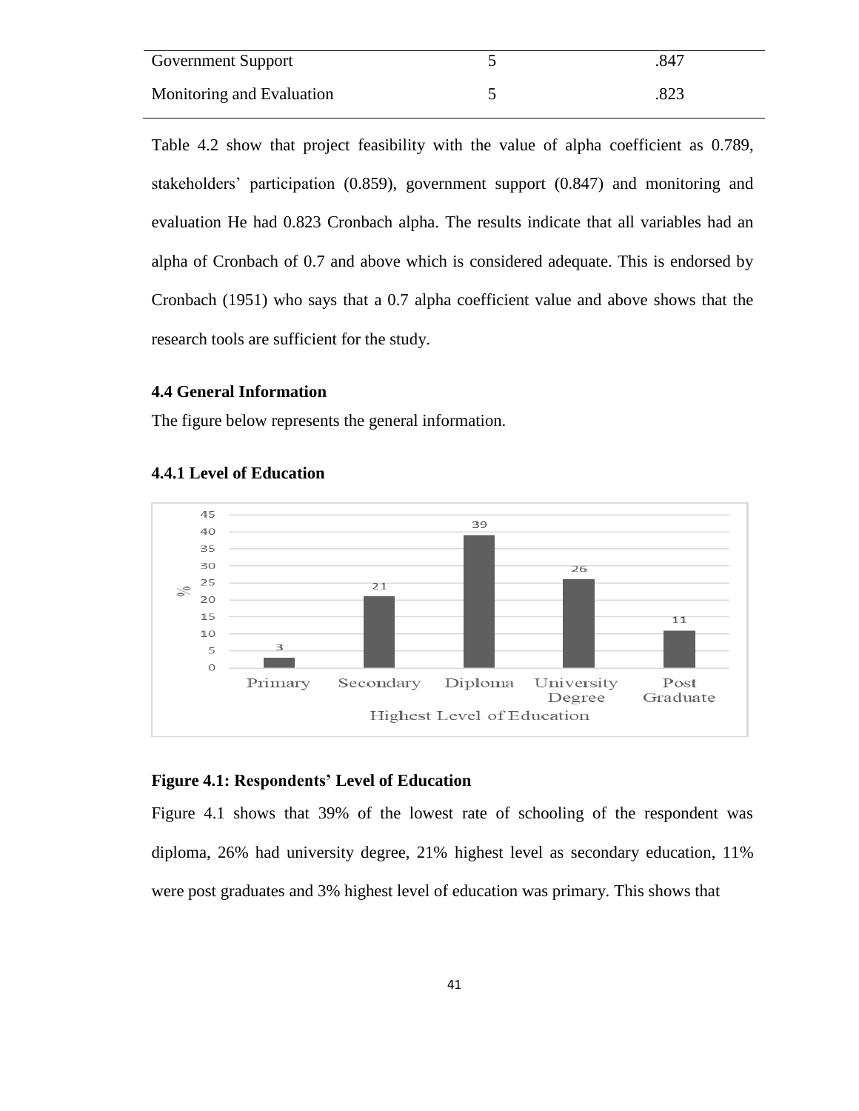| Government Support        | .847 |
|---------------------------|------|
| Monitoring and Evaluation | .823 |

Table 4.2 show that project feasibility with the value of alpha coefficient as 0.789, stakeholders' participation (0.859), government support (0.847) and monitoring and evaluation He had 0.823 Cronbach alpha. The results indicate that all variables had an alpha of Cronbach of 0.7 and above which is considered adequate. This is endorsed by Cronbach (1951) who says that a 0.7 alpha coefficient value and above shows that the research tools are sufficient for the study.

#### **4.4 General Information**

The figure below represents the general information.



### **4.4.1 Level of Education**

# **Figure 4.1: Respondents' Level of Education**

Figure 4.1 shows that 39% of the lowest rate of schooling of the respondent was diploma, 26% had university degree, 21% highest level as secondary education, 11% were post graduates and 3% highest level of education was primary. This shows that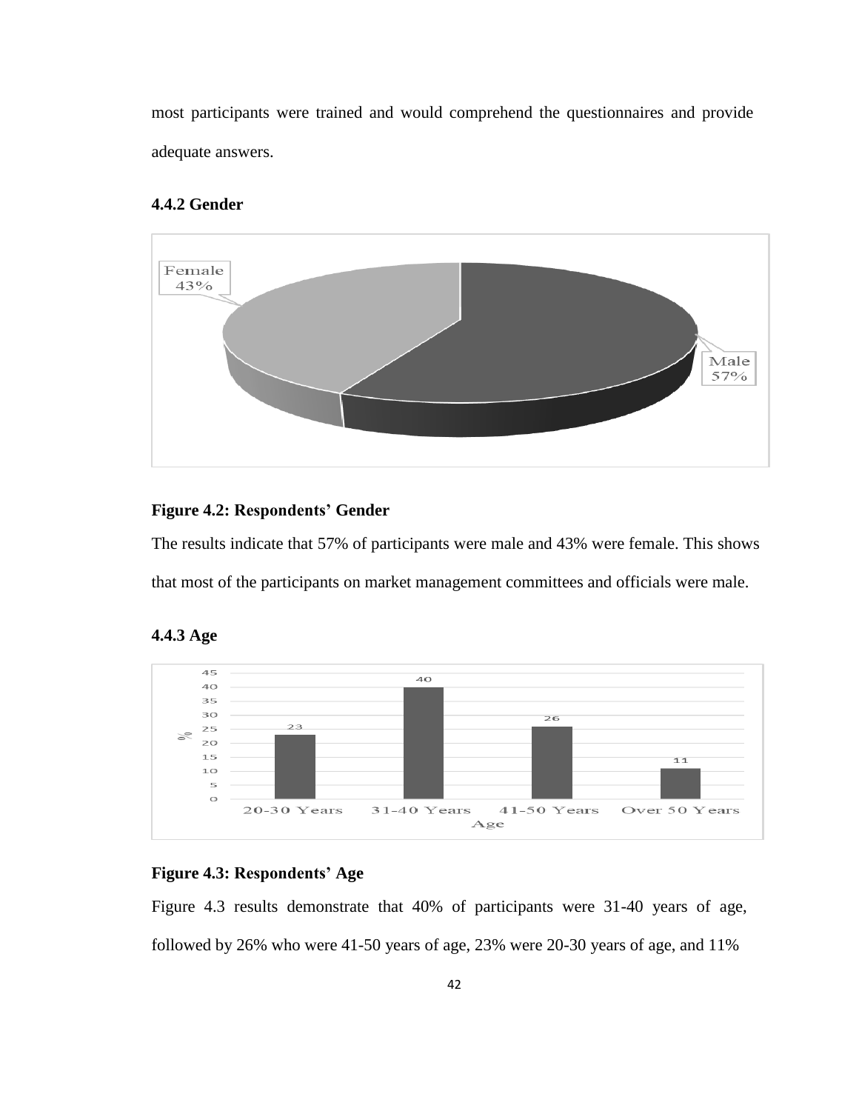most participants were trained and would comprehend the questionnaires and provide adequate answers.

# **4.4.2 Gender**



# **Figure 4.2: Respondents' Gender**

The results indicate that 57% of participants were male and 43% were female. This shows that most of the participants on market management committees and officials were male.



# **4.4.3 Age**

# **Figure 4.3: Respondents' Age**

Figure 4.3 results demonstrate that 40% of participants were 31-40 years of age, followed by 26% who were 41-50 years of age, 23% were 20-30 years of age, and 11%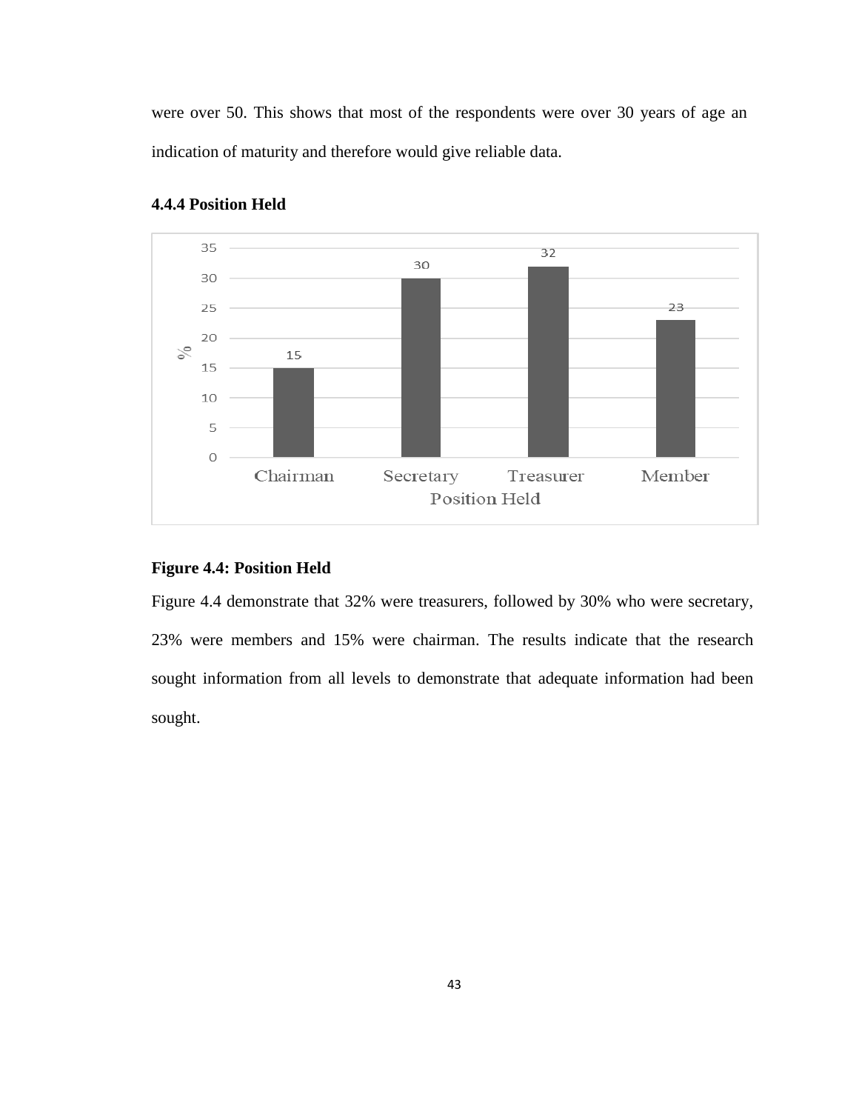were over 50. This shows that most of the respondents were over 30 years of age an indication of maturity and therefore would give reliable data.



#### **4.4.4 Position Held**

# **Figure 4.4: Position Held**

Figure 4.4 demonstrate that 32% were treasurers, followed by 30% who were secretary, 23% were members and 15% were chairman. The results indicate that the research sought information from all levels to demonstrate that adequate information had been sought.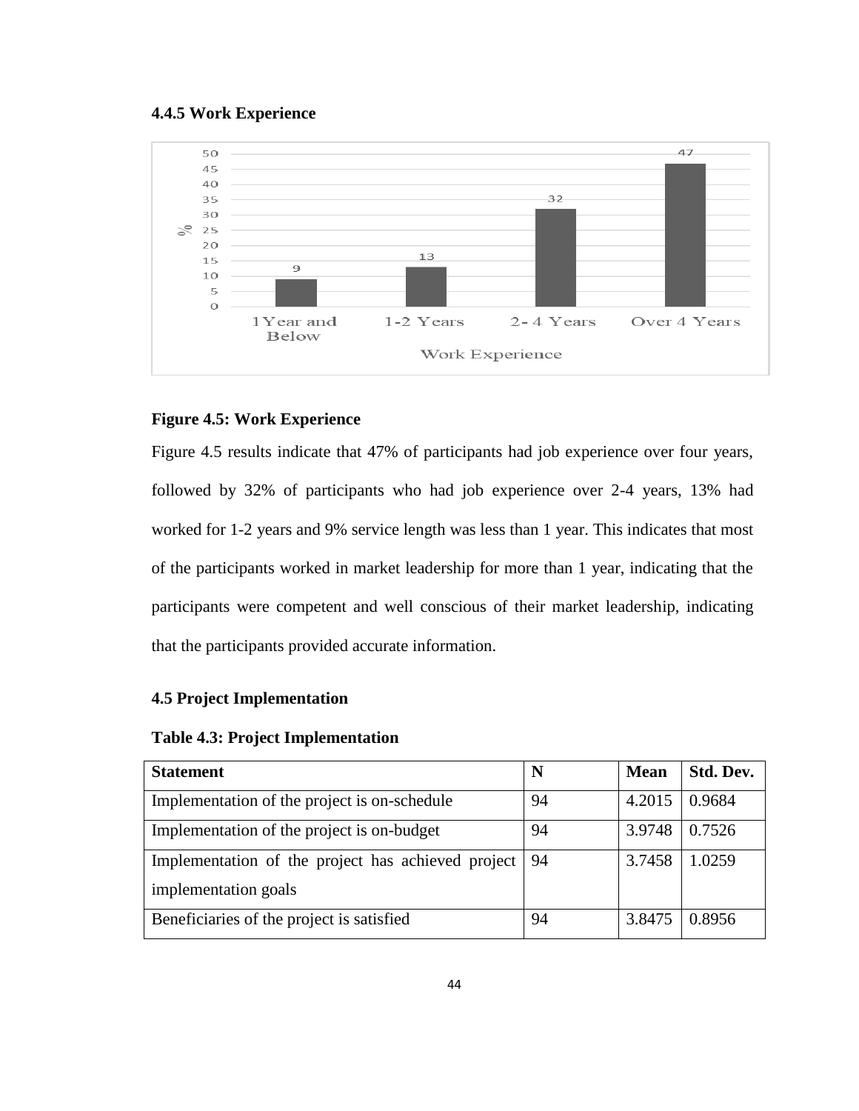#### **4.4.5 Work Experience**



# **Figure 4.5: Work Experience**

Figure 4.5 results indicate that 47% of participants had job experience over four years, followed by 32% of participants who had job experience over 2-4 years, 13% had worked for 1-2 years and 9% service length was less than 1 year. This indicates that most of the participants worked in market leadership for more than 1 year, indicating that the participants were competent and well conscious of their market leadership, indicating that the participants provided accurate information.

# **4.5 Project Implementation**

#### **Table 4.3: Project Implementation**

| <b>Statement</b>                                   | N  | <b>Mean</b> | Std. Dev. |
|----------------------------------------------------|----|-------------|-----------|
| Implementation of the project is on-schedule       | 94 | 4.2015      | 0.9684    |
| Implementation of the project is on-budget         | 94 | 3.9748      | 0.7526    |
| Implementation of the project has achieved project | 94 | 3.7458      | 1.0259    |
| implementation goals                               |    |             |           |
| Beneficiaries of the project is satisfied          | 94 | 3.8475      | 0.8956    |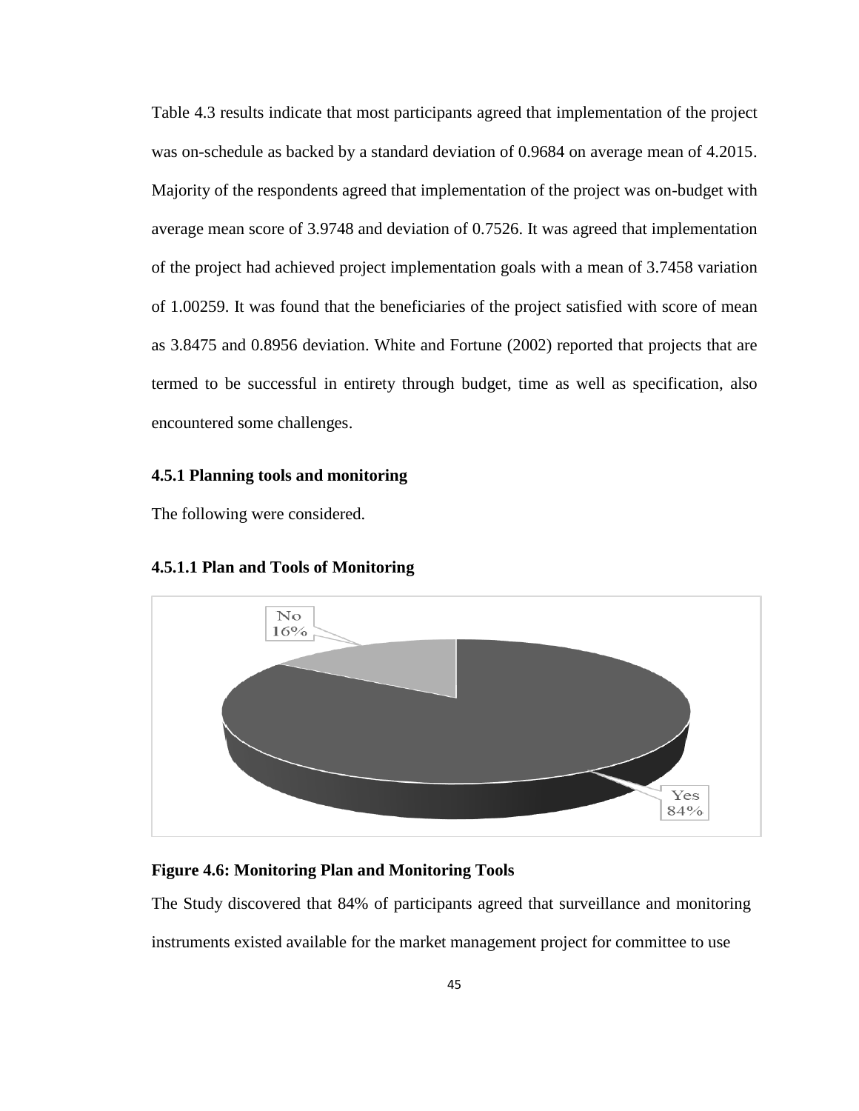Table 4.3 results indicate that most participants agreed that implementation of the project was on-schedule as backed by a standard deviation of 0.9684 on average mean of 4.2015. Majority of the respondents agreed that implementation of the project was on-budget with average mean score of 3.9748 and deviation of 0.7526. It was agreed that implementation of the project had achieved project implementation goals with a mean of 3.7458 variation of 1.00259. It was found that the beneficiaries of the project satisfied with score of mean as 3.8475 and 0.8956 deviation. White and Fortune (2002) reported that projects that are termed to be successful in entirety through budget, time as well as specification, also encountered some challenges.

## **4.5.1 Planning tools and monitoring**

The following were considered.



# **4.5.1.1 Plan and Tools of Monitoring**

#### **Figure 4.6: Monitoring Plan and Monitoring Tools**

The Study discovered that 84% of participants agreed that surveillance and monitoring instruments existed available for the market management project for committee to use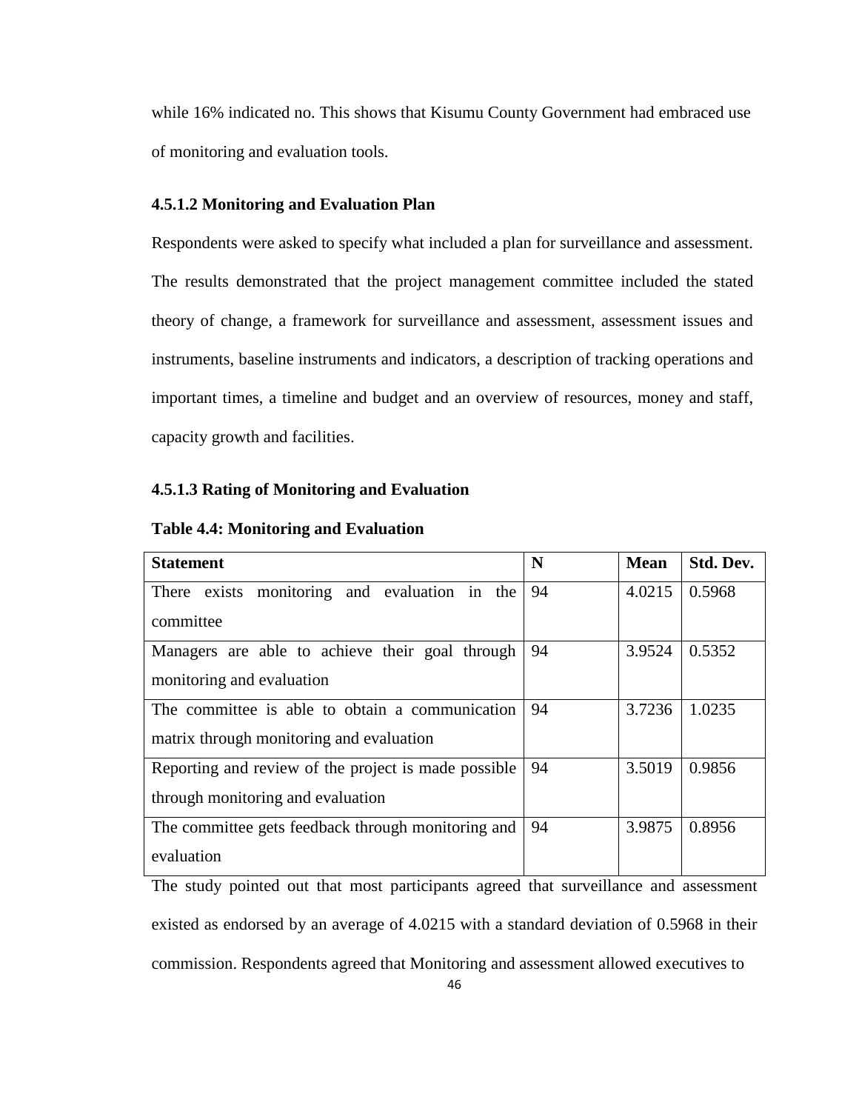while 16% indicated no. This shows that Kisumu County Government had embraced use of monitoring and evaluation tools.

### **4.5.1.2 Monitoring and Evaluation Plan**

Respondents were asked to specify what included a plan for surveillance and assessment. The results demonstrated that the project management committee included the stated theory of change, a framework for surveillance and assessment, assessment issues and instruments, baseline instruments and indicators, a description of tracking operations and important times, a timeline and budget and an overview of resources, money and staff, capacity growth and facilities.

#### **4.5.1.3 Rating of Monitoring and Evaluation**

| <b>Statement</b>                                      | N  | <b>Mean</b> | Std. Dev. |
|-------------------------------------------------------|----|-------------|-----------|
| There exists monitoring and evaluation in the         | 94 | 4.0215      | 0.5968    |
| committee                                             |    |             |           |
| Managers are able to achieve their goal through       | 94 | 3.9524      | 0.5352    |
| monitoring and evaluation                             |    |             |           |
| The committee is able to obtain a communication       | 94 | 3.7236      | 1.0235    |
| matrix through monitoring and evaluation              |    |             |           |
| Reporting and review of the project is made possible. | 94 | 3.5019      | 0.9856    |
| through monitoring and evaluation                     |    |             |           |
| The committee gets feedback through monitoring and    | 94 | 3.9875      | 0.8956    |
| evaluation                                            |    |             |           |

**Table 4.4: Monitoring and Evaluation**

The study pointed out that most participants agreed that surveillance and assessment existed as endorsed by an average of 4.0215 with a standard deviation of 0.5968 in their commission. Respondents agreed that Monitoring and assessment allowed executives to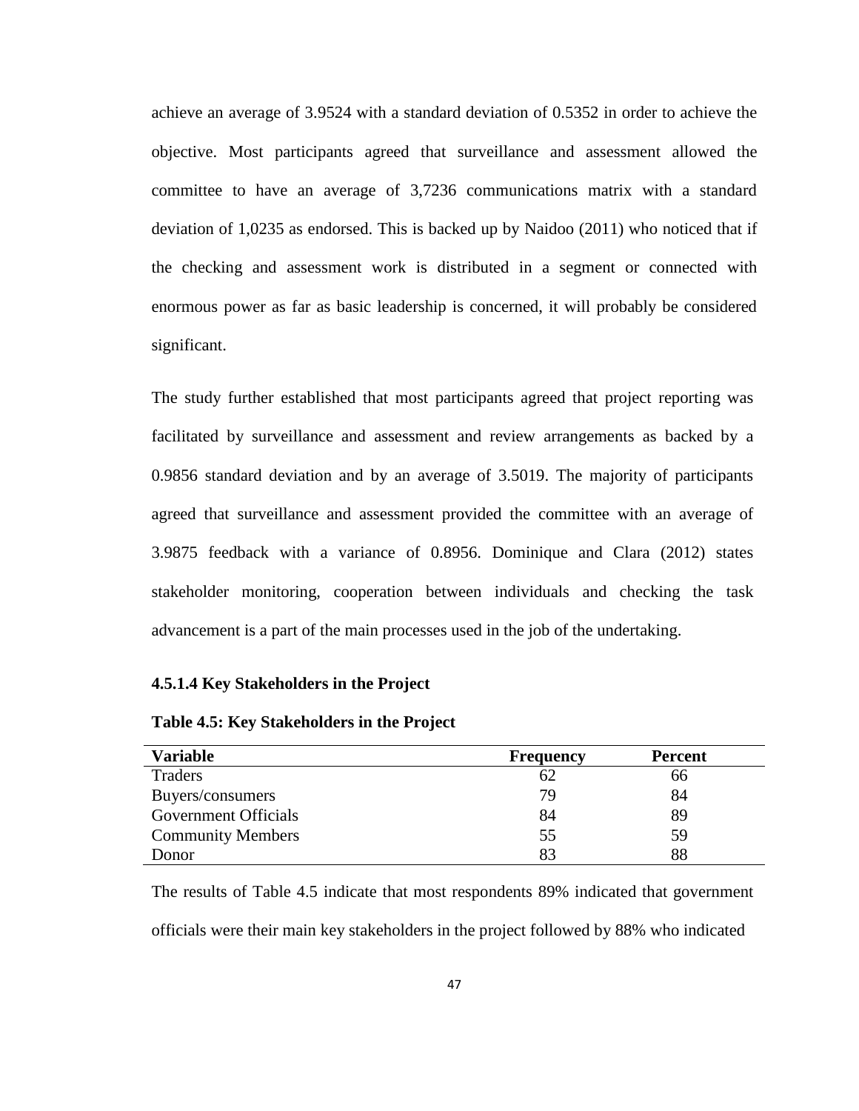achieve an average of 3.9524 with a standard deviation of 0.5352 in order to achieve the objective. Most participants agreed that surveillance and assessment allowed the committee to have an average of 3,7236 communications matrix with a standard deviation of 1,0235 as endorsed. This is backed up by Naidoo (2011) who noticed that if the checking and assessment work is distributed in a segment or connected with enormous power as far as basic leadership is concerned, it will probably be considered significant.

The study further established that most participants agreed that project reporting was facilitated by surveillance and assessment and review arrangements as backed by a 0.9856 standard deviation and by an average of 3.5019. The majority of participants agreed that surveillance and assessment provided the committee with an average of 3.9875 feedback with a variance of 0.8956. Dominique and Clara (2012) states stakeholder monitoring, cooperation between individuals and checking the task advancement is a part of the main processes used in the job of the undertaking.

#### **4.5.1.4 Key Stakeholders in the Project**

| <b>Variable</b>             | <b>Frequency</b> | <b>Percent</b> |
|-----------------------------|------------------|----------------|
| Traders                     | 62               | 66             |
| Buyers/consumers            | 79               | 84             |
| <b>Government Officials</b> | 84               | 89             |
| <b>Community Members</b>    | 55               | 59             |
| Donor                       | 83               | 88             |

The results of Table 4.5 indicate that most respondents 89% indicated that government officials were their main key stakeholders in the project followed by 88% who indicated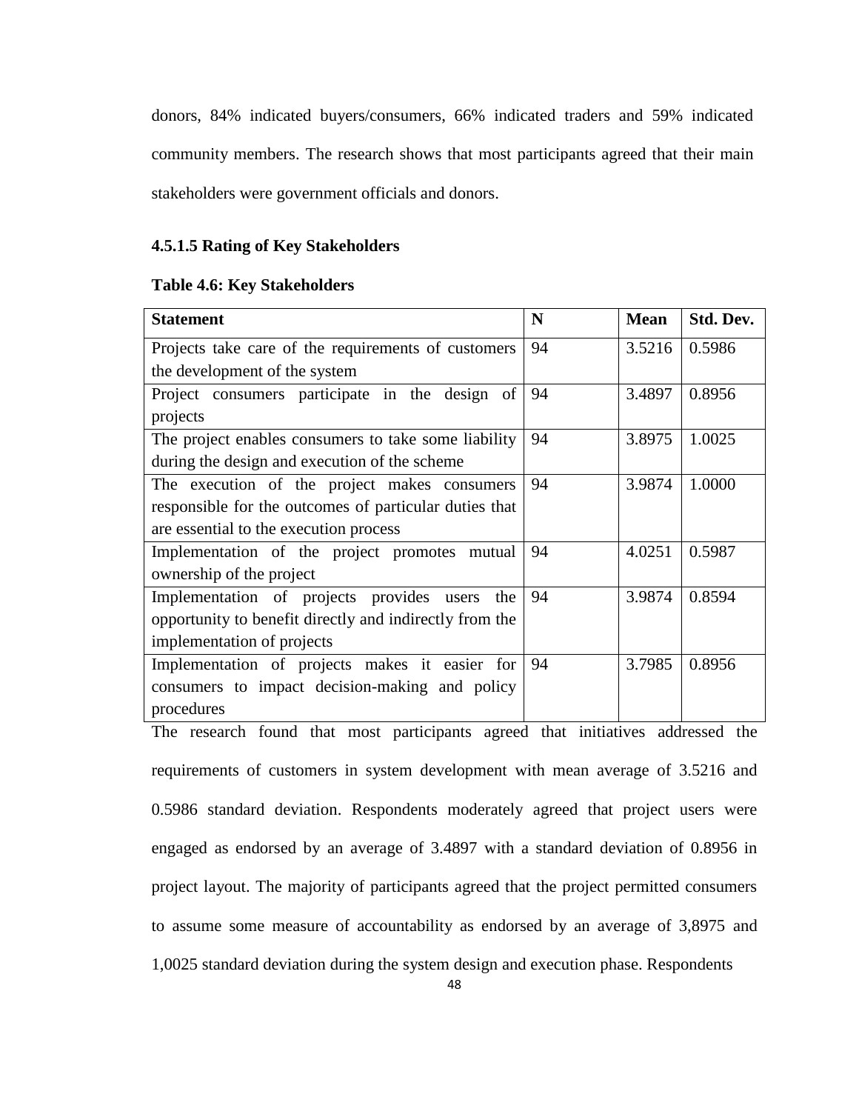donors, 84% indicated buyers/consumers, 66% indicated traders and 59% indicated community members. The research shows that most participants agreed that their main stakeholders were government officials and donors.

# **4.5.1.5 Rating of Key Stakeholders**

#### **Table 4.6: Key Stakeholders**

| <b>Statement</b>                                        | N  | <b>Mean</b> | Std. Dev. |
|---------------------------------------------------------|----|-------------|-----------|
| Projects take care of the requirements of customers     | 94 | 3.5216      | 0.5986    |
| the development of the system                           |    |             |           |
| Project consumers participate in the design of          | 94 | 3.4897      | 0.8956    |
| projects                                                |    |             |           |
| The project enables consumers to take some liability    | 94 | 3.8975      | 1.0025    |
| during the design and execution of the scheme           |    |             |           |
| The execution of the project makes consumers            | 94 | 3.9874      | 1.0000    |
| responsible for the outcomes of particular duties that  |    |             |           |
| are essential to the execution process                  |    |             |           |
| Implementation of the project promotes mutual           | 94 | 4.0251      | 0.5987    |
| ownership of the project                                |    |             |           |
| Implementation of projects provides<br>the<br>users     | 94 | 3.9874      | 0.8594    |
| opportunity to benefit directly and indirectly from the |    |             |           |
| implementation of projects                              |    |             |           |
| Implementation of projects makes it easier for          | 94 | 3.7985      | 0.8956    |
| consumers to impact decision-making and policy          |    |             |           |
| procedures                                              |    |             |           |

The research found that most participants agreed that initiatives addressed the requirements of customers in system development with mean average of 3.5216 and 0.5986 standard deviation. Respondents moderately agreed that project users were engaged as endorsed by an average of 3.4897 with a standard deviation of 0.8956 in project layout. The majority of participants agreed that the project permitted consumers to assume some measure of accountability as endorsed by an average of 3,8975 and 1,0025 standard deviation during the system design and execution phase. Respondents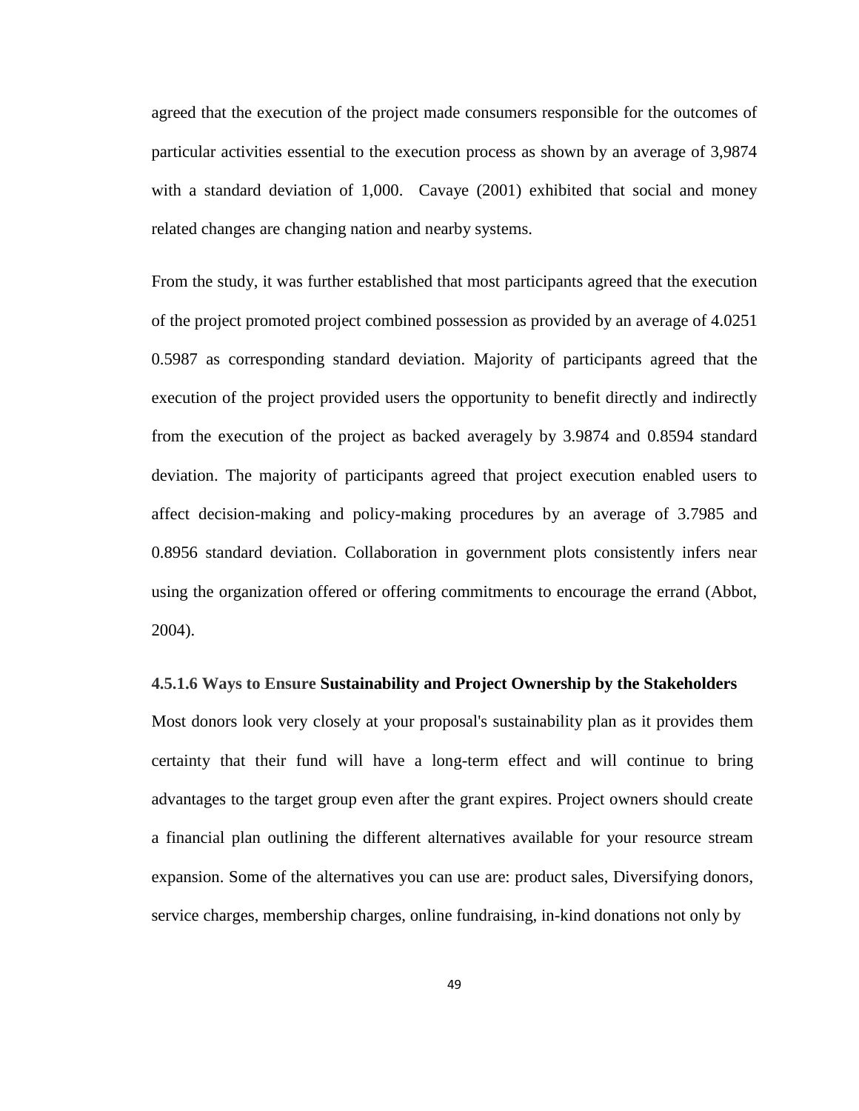agreed that the execution of the project made consumers responsible for the outcomes of particular activities essential to the execution process as shown by an average of 3,9874 with a standard deviation of 1,000. Cavaye (2001) exhibited that social and money related changes are changing nation and nearby systems.

From the study, it was further established that most participants agreed that the execution of the project promoted project combined possession as provided by an average of 4.0251 0.5987 as corresponding standard deviation. Majority of participants agreed that the execution of the project provided users the opportunity to benefit directly and indirectly from the execution of the project as backed averagely by 3.9874 and 0.8594 standard deviation. The majority of participants agreed that project execution enabled users to affect decision-making and policy-making procedures by an average of 3.7985 and 0.8956 standard deviation. Collaboration in government plots consistently infers near using the organization offered or offering commitments to encourage the errand (Abbot, 2004).

#### **4.5.1.6 Ways to Ensure Sustainability and Project Ownership by the Stakeholders**

Most donors look very closely at your proposal's sustainability plan as it provides them certainty that their fund will have a long-term effect and will continue to bring advantages to the target group even after the grant expires. Project owners should create a financial plan outlining the different alternatives available for your resource stream expansion. Some of the alternatives you can use are: product sales, Diversifying donors, service charges, membership charges, online fundraising, in-kind donations not only by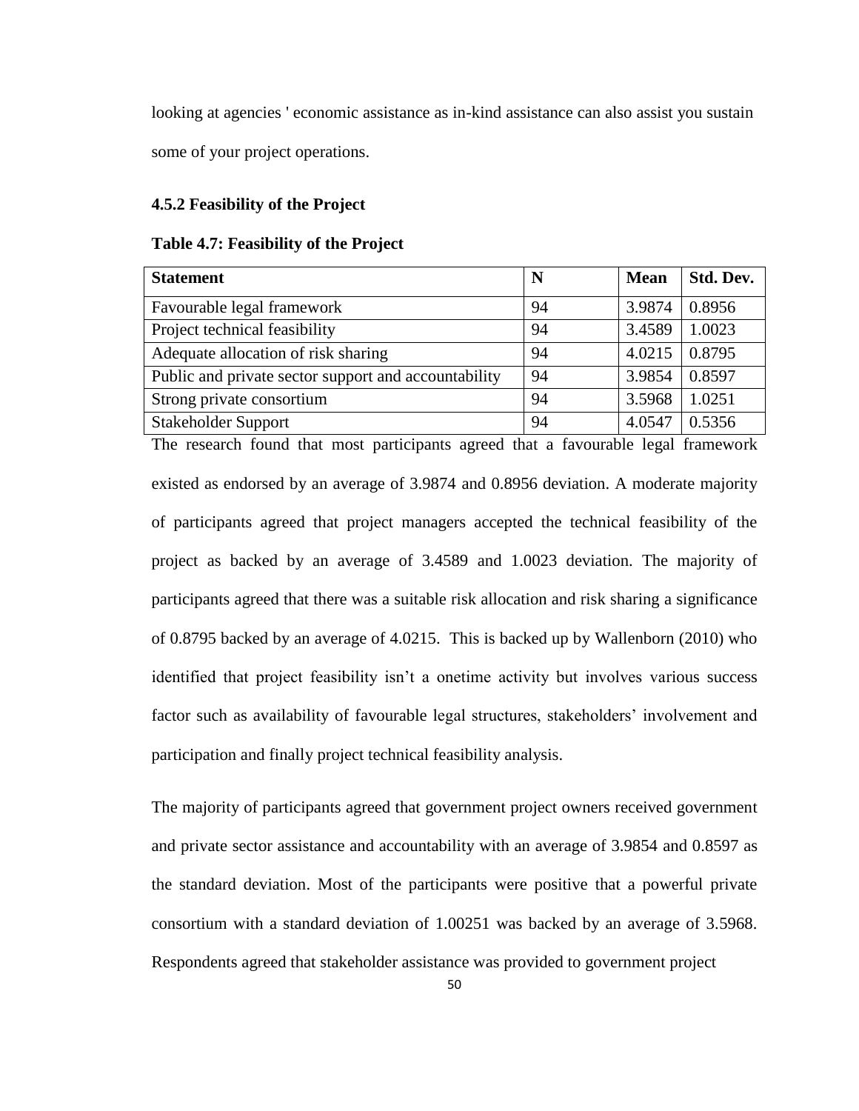looking at agencies ' economic assistance as in-kind assistance can also assist you sustain some of your project operations.

#### **4.5.2 Feasibility of the Project**

#### **Table 4.7: Feasibility of the Project**

| <b>Statement</b>                                     | N  | <b>Mean</b> | Std. Dev. |
|------------------------------------------------------|----|-------------|-----------|
| Favourable legal framework                           | 94 | 3.9874      | 0.8956    |
| Project technical feasibility                        | 94 | 3.4589      | 1.0023    |
| Adequate allocation of risk sharing                  | 94 | 4.0215      | 0.8795    |
| Public and private sector support and accountability | 94 | 3.9854      | 0.8597    |
| Strong private consortium                            | 94 | 3.5968      | 1.0251    |
| <b>Stakeholder Support</b>                           | 94 | 4.0547      | 0.5356    |

The research found that most participants agreed that a favourable legal framework existed as endorsed by an average of 3.9874 and 0.8956 deviation. A moderate majority of participants agreed that project managers accepted the technical feasibility of the project as backed by an average of 3.4589 and 1.0023 deviation. The majority of participants agreed that there was a suitable risk allocation and risk sharing a significance of 0.8795 backed by an average of 4.0215. This is backed up by Wallenborn (2010) who identified that project feasibility isn't a onetime activity but involves various success factor such as availability of favourable legal structures, stakeholders' involvement and participation and finally project technical feasibility analysis.

The majority of participants agreed that government project owners received government and private sector assistance and accountability with an average of 3.9854 and 0.8597 as the standard deviation. Most of the participants were positive that a powerful private consortium with a standard deviation of 1.00251 was backed by an average of 3.5968. Respondents agreed that stakeholder assistance was provided to government project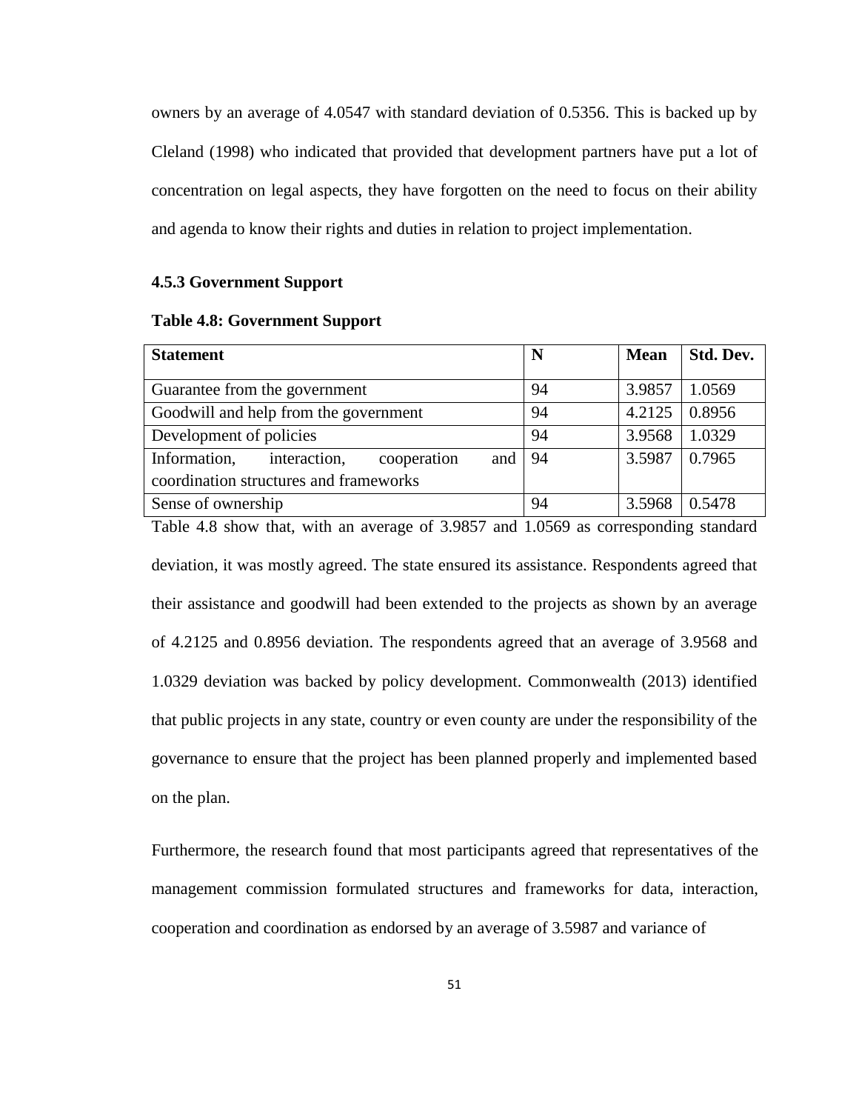owners by an average of 4.0547 with standard deviation of 0.5356. This is backed up by Cleland (1998) who indicated that provided that development partners have put a lot of concentration on legal aspects, they have forgotten on the need to focus on their ability and agenda to know their rights and duties in relation to project implementation.

#### **4.5.3 Government Support**

|  | <b>Table 4.8: Government Support</b> |  |
|--|--------------------------------------|--|
|--|--------------------------------------|--|

| <b>Statement</b>                                   | N  | <b>Mean</b> | Std. Dev. |
|----------------------------------------------------|----|-------------|-----------|
|                                                    |    |             |           |
| Guarantee from the government                      | 94 | 3.9857      | 1.0569    |
| Goodwill and help from the government              | 94 | 4.2125      | 0.8956    |
| Development of policies                            | 94 | 3.9568      | 1.0329    |
| Information,<br>interaction,<br>and<br>cooperation | 94 | 3.5987      | 0.7965    |
| coordination structures and frameworks             |    |             |           |
| Sense of ownership                                 | 94 | 3.5968      | 0.5478    |

Table 4.8 show that, with an average of 3.9857 and 1.0569 as corresponding standard deviation, it was mostly agreed. The state ensured its assistance. Respondents agreed that their assistance and goodwill had been extended to the projects as shown by an average of 4.2125 and 0.8956 deviation. The respondents agreed that an average of 3.9568 and 1.0329 deviation was backed by policy development. Commonwealth (2013) identified that public projects in any state, country or even county are under the responsibility of the governance to ensure that the project has been planned properly and implemented based on the plan.

Furthermore, the research found that most participants agreed that representatives of the management commission formulated structures and frameworks for data, interaction, cooperation and coordination as endorsed by an average of 3.5987 and variance of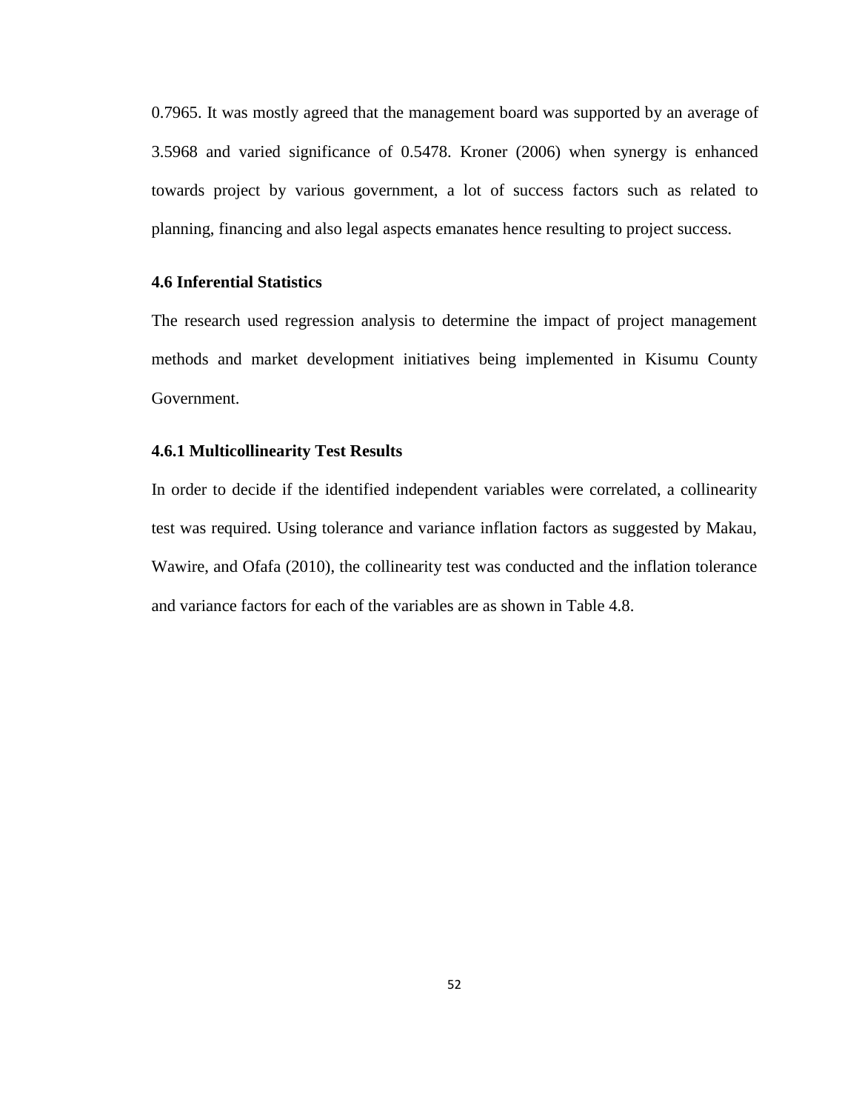0.7965. It was mostly agreed that the management board was supported by an average of 3.5968 and varied significance of 0.5478. Kroner (2006) when synergy is enhanced towards project by various government, a lot of success factors such as related to planning, financing and also legal aspects emanates hence resulting to project success.

# **4.6 Inferential Statistics**

The research used regression analysis to determine the impact of project management methods and market development initiatives being implemented in Kisumu County Government.

### **4.6.1 Multicollinearity Test Results**

In order to decide if the identified independent variables were correlated, a collinearity test was required. Using tolerance and variance inflation factors as suggested by Makau, Wawire, and Ofafa (2010), the collinearity test was conducted and the inflation tolerance and variance factors for each of the variables are as shown in Table 4.8.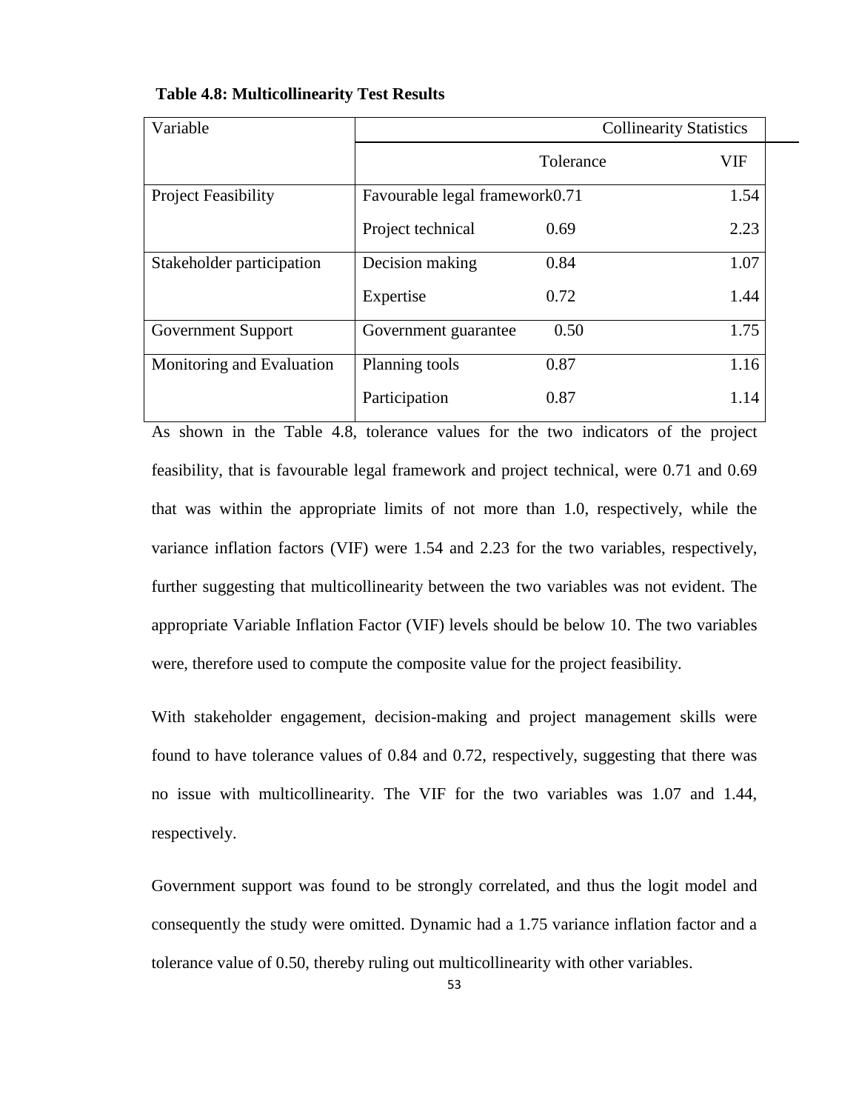| Variable                   | <b>Collinearity Statistics</b> |           |      |
|----------------------------|--------------------------------|-----------|------|
|                            |                                | Tolerance | VIF  |
| <b>Project Feasibility</b> | Favourable legal framework0.71 |           | 1.54 |
|                            | Project technical              | 0.69      | 2.23 |
| Stakeholder participation  | Decision making                | 0.84      | 1.07 |
|                            | Expertise                      | 0.72      | 1.44 |
| Government Support         | Government guarantee           | 0.50      | 1.75 |
| Monitoring and Evaluation  | Planning tools                 | 0.87      | 1.16 |
|                            | Participation                  | 0.87      | 1.14 |

#### **Table 4.8: Multicollinearity Test Results**

As shown in the Table 4.8, tolerance values for the two indicators of the project feasibility, that is favourable legal framework and project technical, were 0.71 and 0.69 that was within the appropriate limits of not more than 1.0, respectively, while the variance inflation factors (VIF) were 1.54 and 2.23 for the two variables, respectively, further suggesting that multicollinearity between the two variables was not evident. The appropriate Variable Inflation Factor (VIF) levels should be below 10. The two variables were, therefore used to compute the composite value for the project feasibility.

With stakeholder engagement, decision-making and project management skills were found to have tolerance values of 0.84 and 0.72, respectively, suggesting that there was no issue with multicollinearity. The VIF for the two variables was 1.07 and 1.44, respectively.

Government support was found to be strongly correlated, and thus the logit model and consequently the study were omitted. Dynamic had a 1.75 variance inflation factor and a tolerance value of 0.50, thereby ruling out multicollinearity with other variables.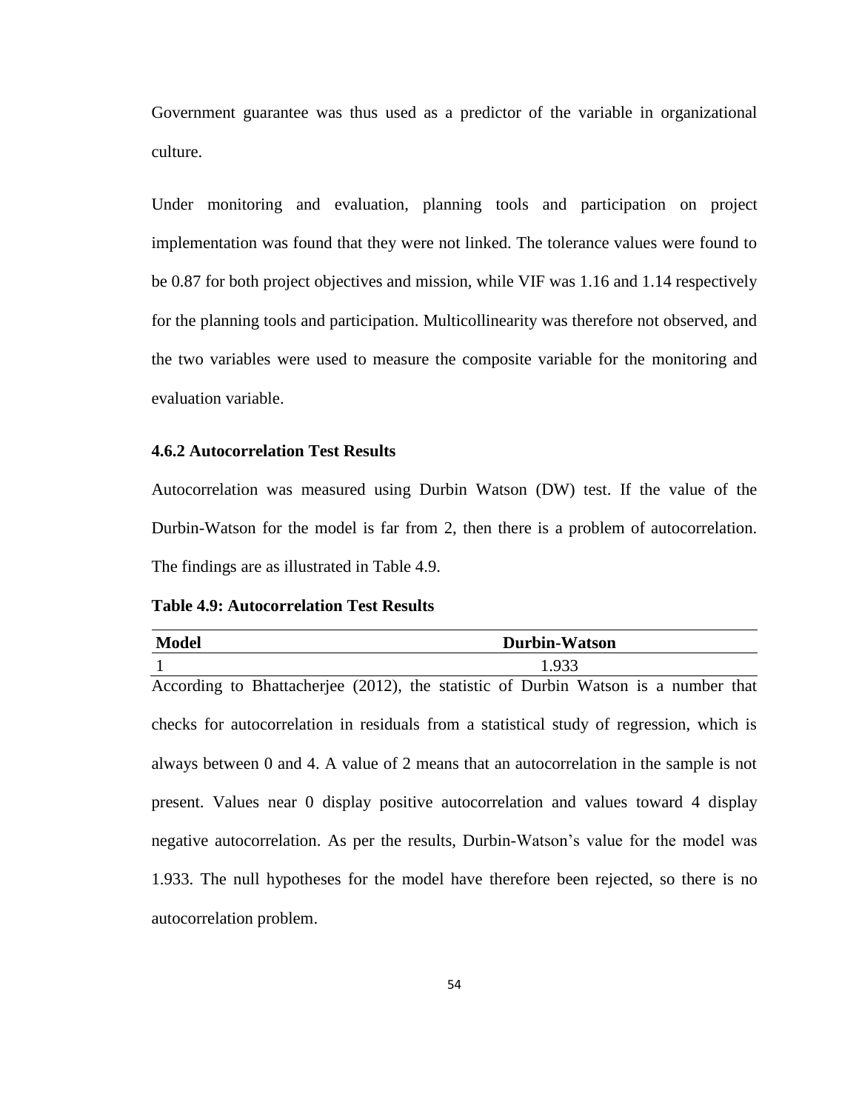Government guarantee was thus used as a predictor of the variable in organizational culture.

Under monitoring and evaluation, planning tools and participation on project implementation was found that they were not linked. The tolerance values were found to be 0.87 for both project objectives and mission, while VIF was 1.16 and 1.14 respectively for the planning tools and participation. Multicollinearity was therefore not observed, and the two variables were used to measure the composite variable for the monitoring and evaluation variable.

# **4.6.2 Autocorrelation Test Results**

Autocorrelation was measured using Durbin Watson (DW) test. If the value of the Durbin-Watson for the model is far from 2, then there is a problem of autocorrelation. The findings are as illustrated in Table 4.9.

**Table 4.9: Autocorrelation Test Results**

| <b>Model</b>             | <b>Durbin-Watson</b>                                                                     |
|--------------------------|------------------------------------------------------------------------------------------|
|                          | 1.933                                                                                    |
|                          | According to Bhattacherjee (2012), the statistic of Durbin Watson is a number that       |
|                          | checks for autocorrelation in residuals from a statistical study of regression, which is |
|                          | always between 0 and 4. A value of 2 means that an autocorrelation in the sample is not  |
|                          | present. Values near 0 display positive autocorrelation and values toward 4 display      |
|                          | negative autocorrelation. As per the results, Durbin-Watson's value for the model was    |
|                          | 1.933. The null hypotheses for the model have therefore been rejected, so there is no    |
| autocorrelation problem. |                                                                                          |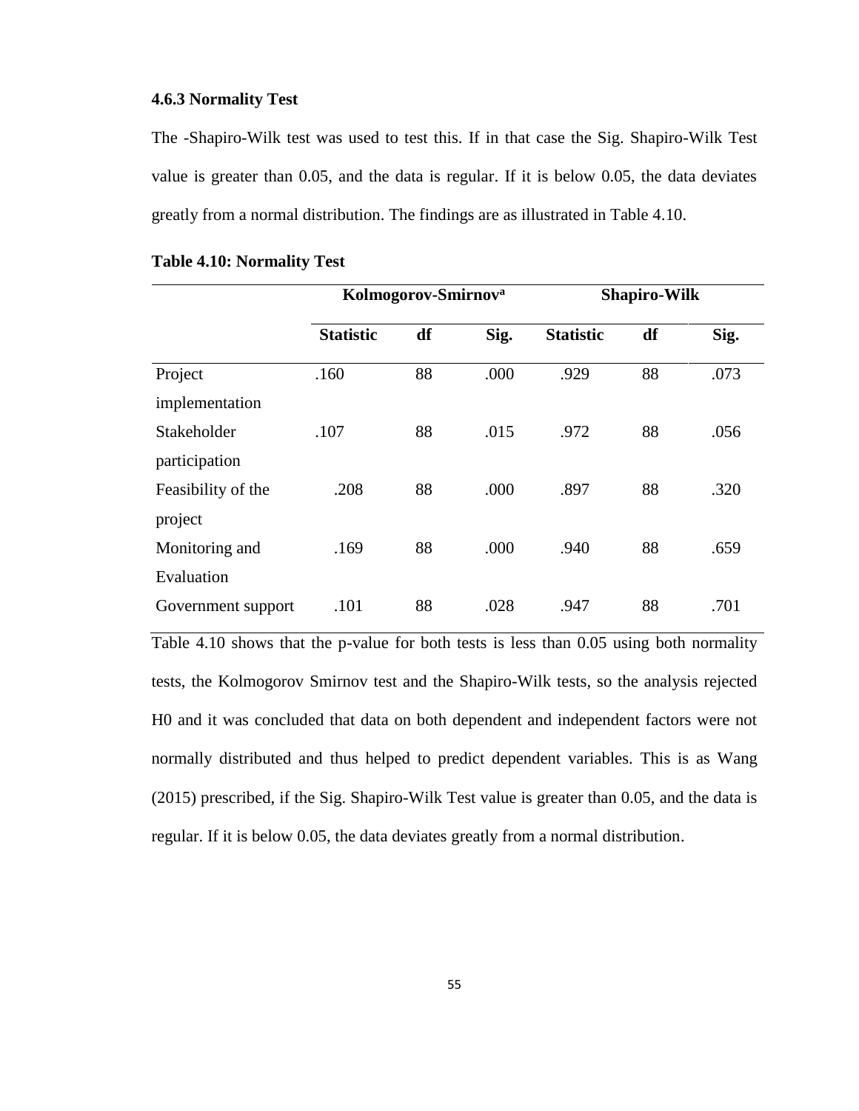#### **4.6.3 Normality Test**

The -Shapiro-Wilk test was used to test this. If in that case the Sig. Shapiro-Wilk Test value is greater than 0.05, and the data is regular. If it is below 0.05, the data deviates greatly from a normal distribution. The findings are as illustrated in Table 4.10.

|                    | Kolmogorov-Smirnov <sup>a</sup> |    | <b>Shapiro-Wilk</b> |                  |    |      |
|--------------------|---------------------------------|----|---------------------|------------------|----|------|
|                    | <b>Statistic</b>                | df | Sig.                | <b>Statistic</b> | df | Sig. |
| Project            | .160                            | 88 | .000                | .929             | 88 | .073 |
| implementation     |                                 |    |                     |                  |    |      |
| Stakeholder        | .107                            | 88 | .015                | .972             | 88 | .056 |
| participation      |                                 |    |                     |                  |    |      |
| Feasibility of the | .208                            | 88 | .000                | .897             | 88 | .320 |
| project            |                                 |    |                     |                  |    |      |
| Monitoring and     | .169                            | 88 | .000                | .940             | 88 | .659 |
| Evaluation         |                                 |    |                     |                  |    |      |
| Government support | .101                            | 88 | .028                | .947             | 88 | .701 |

## **Table 4.10: Normality Test**

Table 4.10 shows that the p-value for both tests is less than 0.05 using both normality tests, the Kolmogorov Smirnov test and the Shapiro-Wilk tests, so the analysis rejected H0 and it was concluded that data on both dependent and independent factors were not normally distributed and thus helped to predict dependent variables. This is as Wang (2015) prescribed, if the Sig. Shapiro-Wilk Test value is greater than 0.05, and the data is regular. If it is below 0.05, the data deviates greatly from a normal distribution.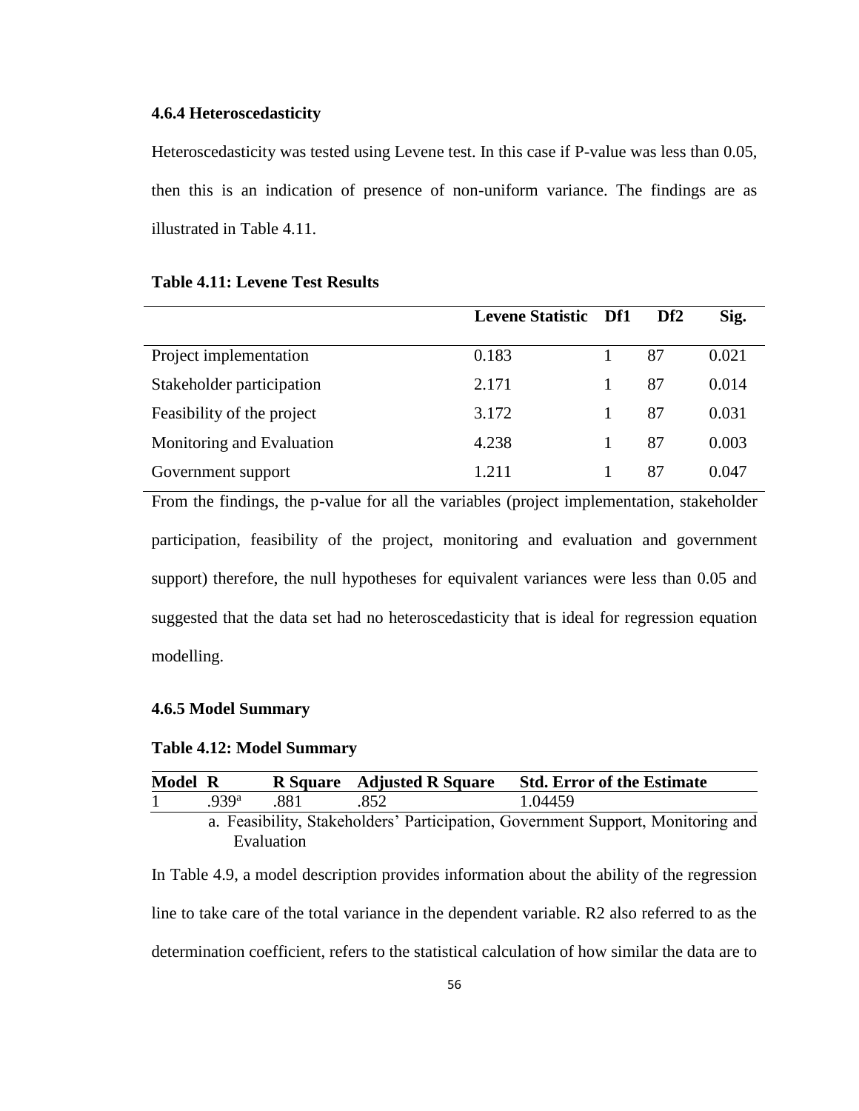#### **4.6.4 Heteroscedasticity**

Heteroscedasticity was tested using Levene test. In this case if P-value was less than 0.05, then this is an indication of presence of non-uniform variance. The findings are as illustrated in Table 4.11.

|                            | <b>Levene Statistic Df1</b> | Df <sub>2</sub> | Sig.  |
|----------------------------|-----------------------------|-----------------|-------|
| Project implementation     | 0.183                       | 87              | 0.021 |
| Stakeholder participation  | 2.171                       | 87              | 0.014 |
| Feasibility of the project | 3.172                       | 87              | 0.031 |
| Monitoring and Evaluation  | 4.238                       | 87              | 0.003 |
| Government support         | 1 2 1 1                     | 87              | 0.047 |

#### **Table 4.11: Levene Test Results**

From the findings, the p-value for all the variables (project implementation, stakeholder participation, feasibility of the project, monitoring and evaluation and government support) therefore, the null hypotheses for equivalent variances were less than 0.05 and suggested that the data set had no heteroscedasticity that is ideal for regression equation modelling.

#### **4.6.5 Model Summary**

# **Table 4.12: Model Summary**

| Model R |                  |            | R Square Adjusted R Square | <b>Std. Error of the Estimate</b>                                               |
|---------|------------------|------------|----------------------------|---------------------------------------------------------------------------------|
|         | 939 <sup>a</sup> | 881        |                            | 1.04459                                                                         |
|         |                  |            |                            | a. Feasibility, Stakeholders' Participation, Government Support, Monitoring and |
|         |                  | Evaluation |                            |                                                                                 |

In Table 4.9, a model description provides information about the ability of the regression line to take care of the total variance in the dependent variable. R2 also referred to as the determination coefficient, refers to the statistical calculation of how similar the data are to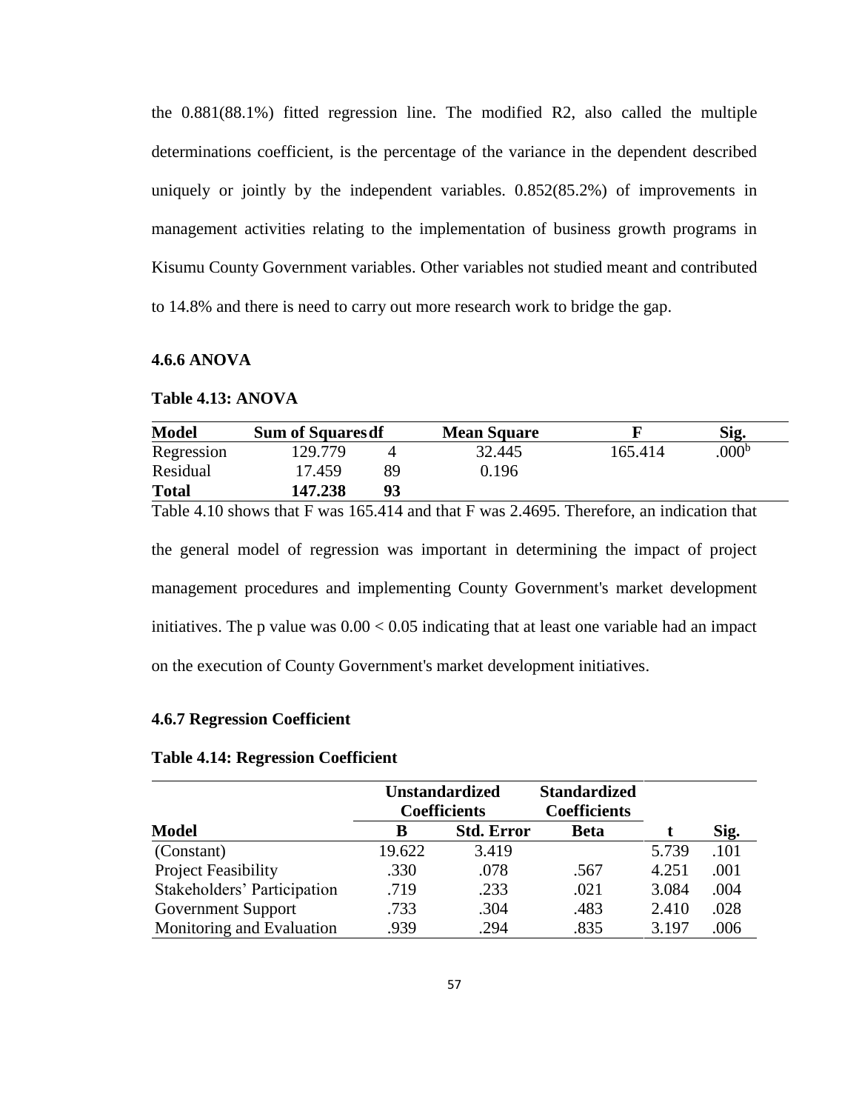the 0.881(88.1%) fitted regression line. The modified R2, also called the multiple determinations coefficient, is the percentage of the variance in the dependent described uniquely or jointly by the independent variables. 0.852(85.2%) of improvements in management activities relating to the implementation of business growth programs in Kisumu County Government variables. Other variables not studied meant and contributed to 14.8% and there is need to carry out more research work to bridge the gap.

#### **4.6.6 ANOVA**

#### **Table 4.13: ANOVA**

| <b>Model</b> | <b>Sum of Squares of</b> |    | <b>Mean Square</b> |         | Sig.              |
|--------------|--------------------------|----|--------------------|---------|-------------------|
| Regression   | 129.779                  |    | 32.445             | 165.414 | .000 <sup>b</sup> |
| Residual     | 17.459                   | 89 | 0.196              |         |                   |
| <b>Total</b> | 147.238                  | 93 |                    |         |                   |

Table 4.10 shows that F was 165.414 and that F was 2.4695. Therefore, an indication that the general model of regression was important in determining the impact of project management procedures and implementing County Government's market development initiatives. The p value was  $0.00 < 0.05$  indicating that at least one variable had an impact on the execution of County Government's market development initiatives.

# **4.6.7 Regression Coefficient**

#### **Table 4.14: Regression Coefficient**

| <b>Unstandardized</b>       |                     |                   | <b>Standardized</b> |       |      |
|-----------------------------|---------------------|-------------------|---------------------|-------|------|
|                             | <b>Coefficients</b> |                   | <b>Coefficients</b> |       |      |
| <b>Model</b>                | B                   | <b>Std. Error</b> | <b>Beta</b>         |       | Sig. |
| (Constant)                  | 19.622              | 3.419             |                     | 5.739 | .101 |
| <b>Project Feasibility</b>  | .330                | .078              | .567                | 4.251 | .001 |
| Stakeholders' Participation | .719                | .233              | .021                | 3.084 | .004 |
| Government Support          | .733                | .304              | .483                | 2.410 | .028 |
| Monitoring and Evaluation   | .939                | .294              | .835                | 3.197 | .006 |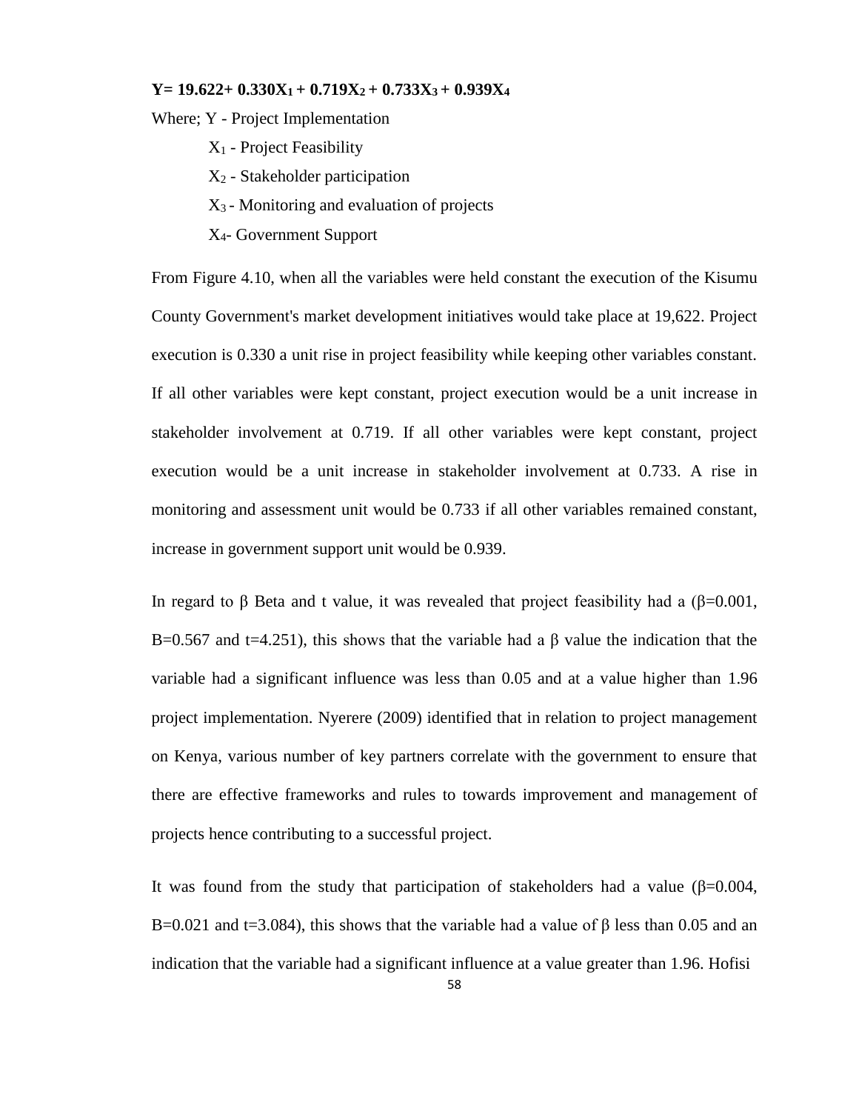#### **Y= 19.622+ 0.330X1 + 0.719X2 + 0.733X3 + 0.939X<sup>4</sup>**

Where; Y - Project Implementation

- X<sup>1</sup> Project Feasibility
- X<sup>2</sup> Stakeholder participation
- $X_3$  Monitoring and evaluation of projects
- X4- Government Support

From Figure 4.10, when all the variables were held constant the execution of the Kisumu County Government's market development initiatives would take place at 19,622. Project execution is 0.330 a unit rise in project feasibility while keeping other variables constant. If all other variables were kept constant, project execution would be a unit increase in stakeholder involvement at 0.719. If all other variables were kept constant, project execution would be a unit increase in stakeholder involvement at 0.733. A rise in monitoring and assessment unit would be 0.733 if all other variables remained constant, increase in government support unit would be 0.939.

In regard to β Beta and t value, it was revealed that project feasibility had a  $(β=0.001,$ B=0.567 and t=4.251), this shows that the variable had a  $\beta$  value the indication that the variable had a significant influence was less than 0.05 and at a value higher than 1.96 project implementation. Nyerere (2009) identified that in relation to project management on Kenya, various number of key partners correlate with the government to ensure that there are effective frameworks and rules to towards improvement and management of projects hence contributing to a successful project.

It was found from the study that participation of stakeholders had a value ( $\beta$ =0.004, B=0.021 and t=3.084), this shows that the variable had a value of  $\beta$  less than 0.05 and an indication that the variable had a significant influence at a value greater than 1.96. Hofisi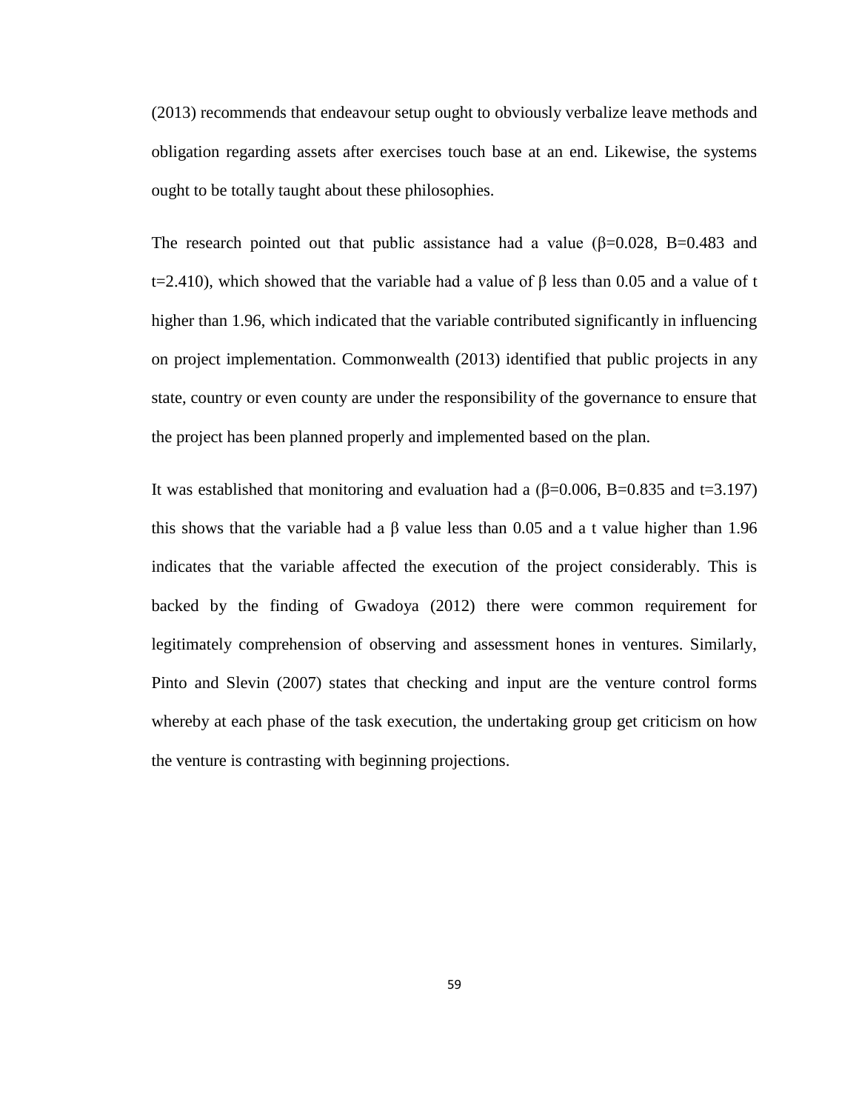(2013) recommends that endeavour setup ought to obviously verbalize leave methods and obligation regarding assets after exercises touch base at an end. Likewise, the systems ought to be totally taught about these philosophies.

The research pointed out that public assistance had a value ( $\beta$ =0.028, B=0.483 and t=2.410), which showed that the variable had a value of β less than 0.05 and a value of t higher than 1.96, which indicated that the variable contributed significantly in influencing on project implementation. Commonwealth (2013) identified that public projects in any state, country or even county are under the responsibility of the governance to ensure that the project has been planned properly and implemented based on the plan.

It was established that monitoring and evaluation had a  $(\beta=0.006, B=0.835)$  and t=3.197) this shows that the variable had a β value less than 0.05 and a t value higher than 1.96 indicates that the variable affected the execution of the project considerably. This is backed by the finding of Gwadoya (2012) there were common requirement for legitimately comprehension of observing and assessment hones in ventures. Similarly, Pinto and Slevin (2007) states that checking and input are the venture control forms whereby at each phase of the task execution, the undertaking group get criticism on how the venture is contrasting with beginning projections.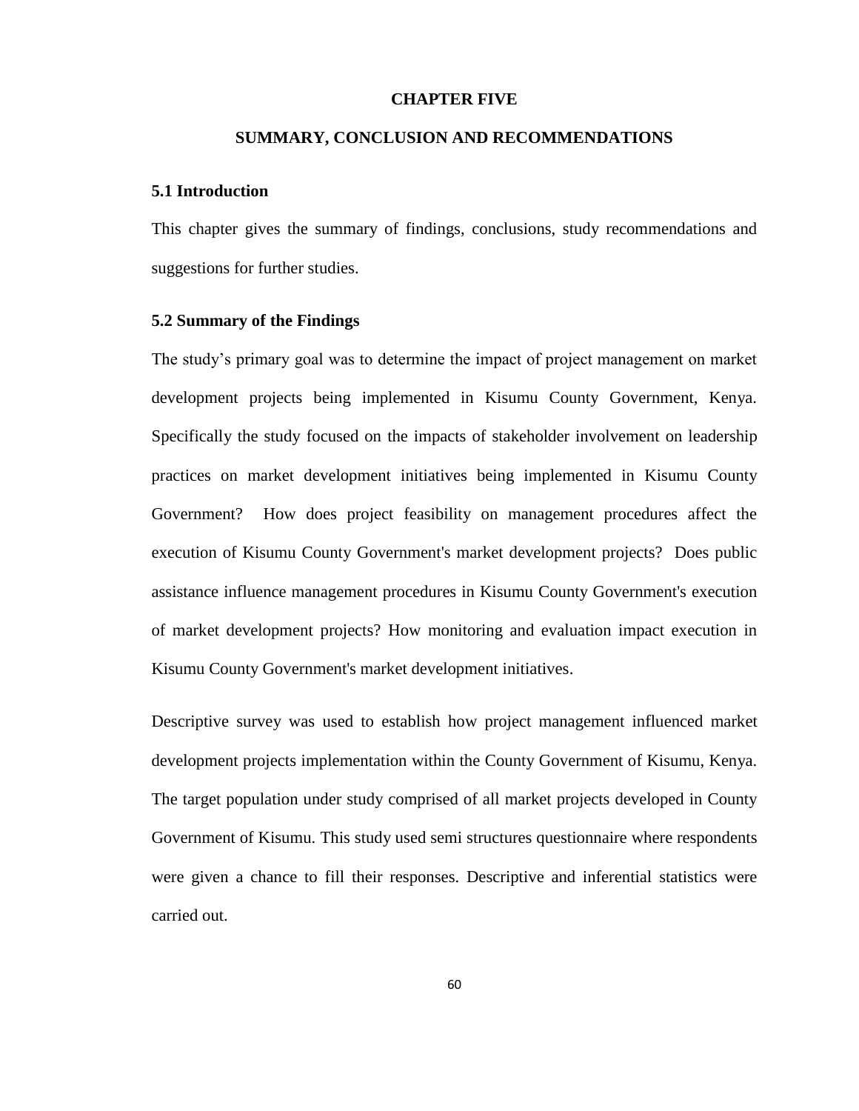#### **CHAPTER FIVE**

#### **SUMMARY, CONCLUSION AND RECOMMENDATIONS**

#### **5.1 Introduction**

This chapter gives the summary of findings, conclusions, study recommendations and suggestions for further studies.

### **5.2 Summary of the Findings**

The study's primary goal was to determine the impact of project management on market development projects being implemented in Kisumu County Government, Kenya. Specifically the study focused on the impacts of stakeholder involvement on leadership practices on market development initiatives being implemented in Kisumu County Government? How does project feasibility on management procedures affect the execution of Kisumu County Government's market development projects? Does public assistance influence management procedures in Kisumu County Government's execution of market development projects? How monitoring and evaluation impact execution in Kisumu County Government's market development initiatives.

Descriptive survey was used to establish how project management influenced market development projects implementation within the County Government of Kisumu, Kenya. The target population under study comprised of all market projects developed in County Government of Kisumu. This study used semi structures questionnaire where respondents were given a chance to fill their responses. Descriptive and inferential statistics were carried out.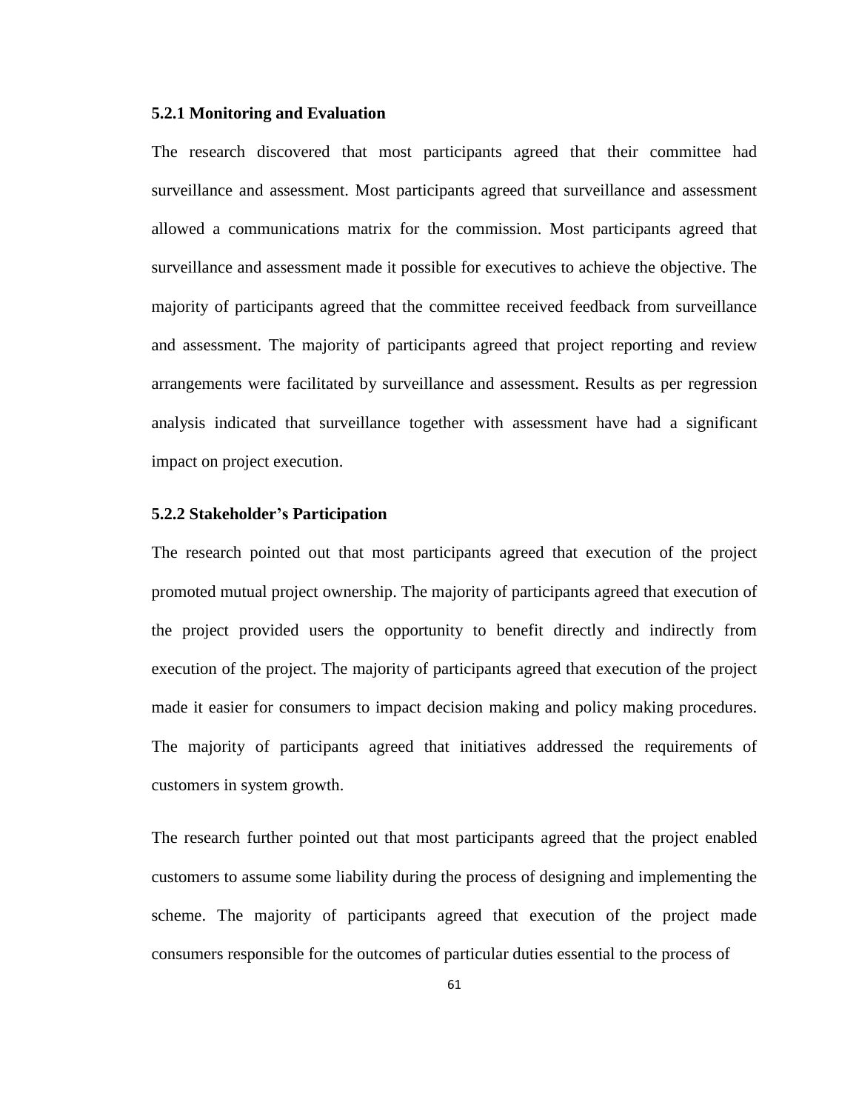### **5.2.1 Monitoring and Evaluation**

The research discovered that most participants agreed that their committee had surveillance and assessment. Most participants agreed that surveillance and assessment allowed a communications matrix for the commission. Most participants agreed that surveillance and assessment made it possible for executives to achieve the objective. The majority of participants agreed that the committee received feedback from surveillance and assessment. The majority of participants agreed that project reporting and review arrangements were facilitated by surveillance and assessment. Results as per regression analysis indicated that surveillance together with assessment have had a significant impact on project execution.

### **5.2.2 Stakeholder's Participation**

The research pointed out that most participants agreed that execution of the project promoted mutual project ownership. The majority of participants agreed that execution of the project provided users the opportunity to benefit directly and indirectly from execution of the project. The majority of participants agreed that execution of the project made it easier for consumers to impact decision making and policy making procedures. The majority of participants agreed that initiatives addressed the requirements of customers in system growth.

The research further pointed out that most participants agreed that the project enabled customers to assume some liability during the process of designing and implementing the scheme. The majority of participants agreed that execution of the project made consumers responsible for the outcomes of particular duties essential to the process of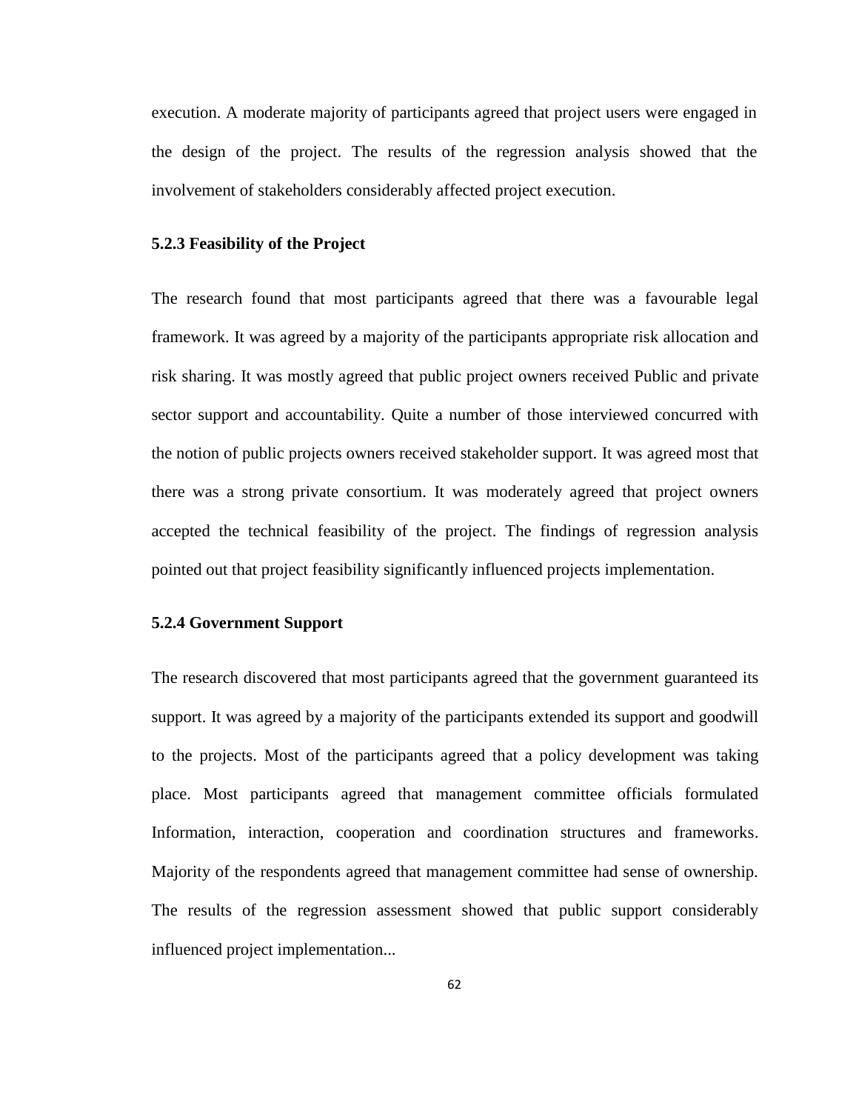execution. A moderate majority of participants agreed that project users were engaged in the design of the project. The results of the regression analysis showed that the involvement of stakeholders considerably affected project execution.

#### **5.2.3 Feasibility of the Project**

The research found that most participants agreed that there was a favourable legal framework. It was agreed by a majority of the participants appropriate risk allocation and risk sharing. It was mostly agreed that public project owners received Public and private sector support and accountability. Quite a number of those interviewed concurred with the notion of public projects owners received stakeholder support. It was agreed most that there was a strong private consortium. It was moderately agreed that project owners accepted the technical feasibility of the project. The findings of regression analysis pointed out that project feasibility significantly influenced projects implementation.

#### **5.2.4 Government Support**

The research discovered that most participants agreed that the government guaranteed its support. It was agreed by a majority of the participants extended its support and goodwill to the projects. Most of the participants agreed that a policy development was taking place. Most participants agreed that management committee officials formulated Information, interaction, cooperation and coordination structures and frameworks. Majority of the respondents agreed that management committee had sense of ownership. The results of the regression assessment showed that public support considerably influenced project implementation...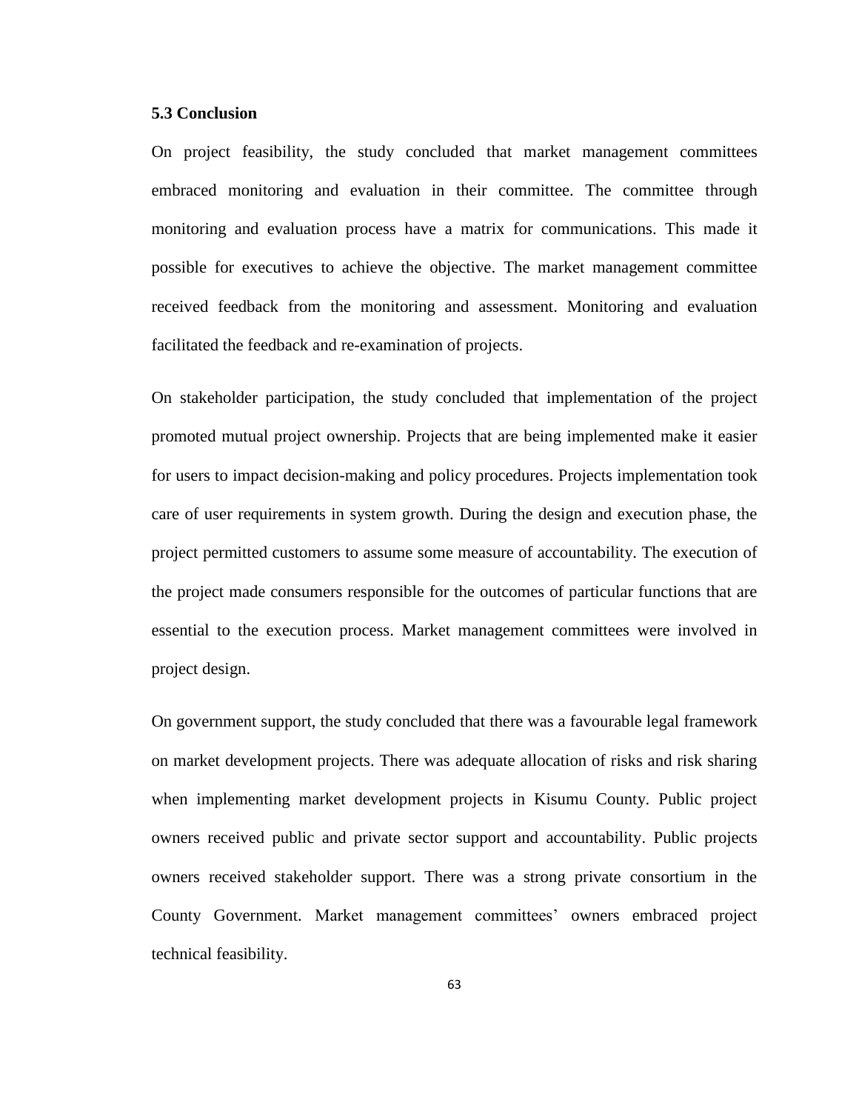### **5.3 Conclusion**

On project feasibility, the study concluded that market management committees embraced monitoring and evaluation in their committee. The committee through monitoring and evaluation process have a matrix for communications. This made it possible for executives to achieve the objective. The market management committee received feedback from the monitoring and assessment. Monitoring and evaluation facilitated the feedback and re-examination of projects.

On stakeholder participation, the study concluded that implementation of the project promoted mutual project ownership. Projects that are being implemented make it easier for users to impact decision-making and policy procedures. Projects implementation took care of user requirements in system growth. During the design and execution phase, the project permitted customers to assume some measure of accountability. The execution of the project made consumers responsible for the outcomes of particular functions that are essential to the execution process. Market management committees were involved in project design.

On government support, the study concluded that there was a favourable legal framework on market development projects. There was adequate allocation of risks and risk sharing when implementing market development projects in Kisumu County. Public project owners received public and private sector support and accountability. Public projects owners received stakeholder support. There was a strong private consortium in the County Government. Market management committees' owners embraced project technical feasibility.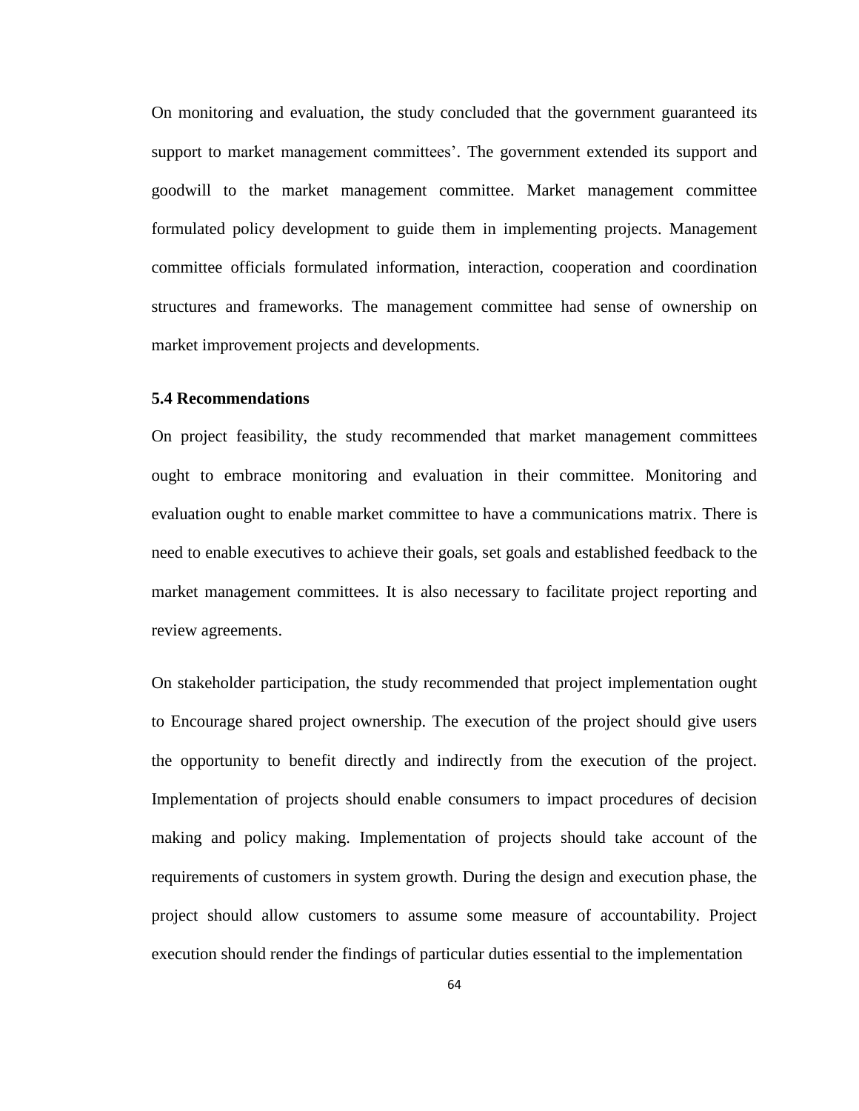On monitoring and evaluation, the study concluded that the government guaranteed its support to market management committees'. The government extended its support and goodwill to the market management committee. Market management committee formulated policy development to guide them in implementing projects. Management committee officials formulated information, interaction, cooperation and coordination structures and frameworks. The management committee had sense of ownership on market improvement projects and developments.

### **5.4 Recommendations**

On project feasibility, the study recommended that market management committees ought to embrace monitoring and evaluation in their committee. Monitoring and evaluation ought to enable market committee to have a communications matrix. There is need to enable executives to achieve their goals, set goals and established feedback to the market management committees. It is also necessary to facilitate project reporting and review agreements.

On stakeholder participation, the study recommended that project implementation ought to Encourage shared project ownership. The execution of the project should give users the opportunity to benefit directly and indirectly from the execution of the project. Implementation of projects should enable consumers to impact procedures of decision making and policy making. Implementation of projects should take account of the requirements of customers in system growth. During the design and execution phase, the project should allow customers to assume some measure of accountability. Project execution should render the findings of particular duties essential to the implementation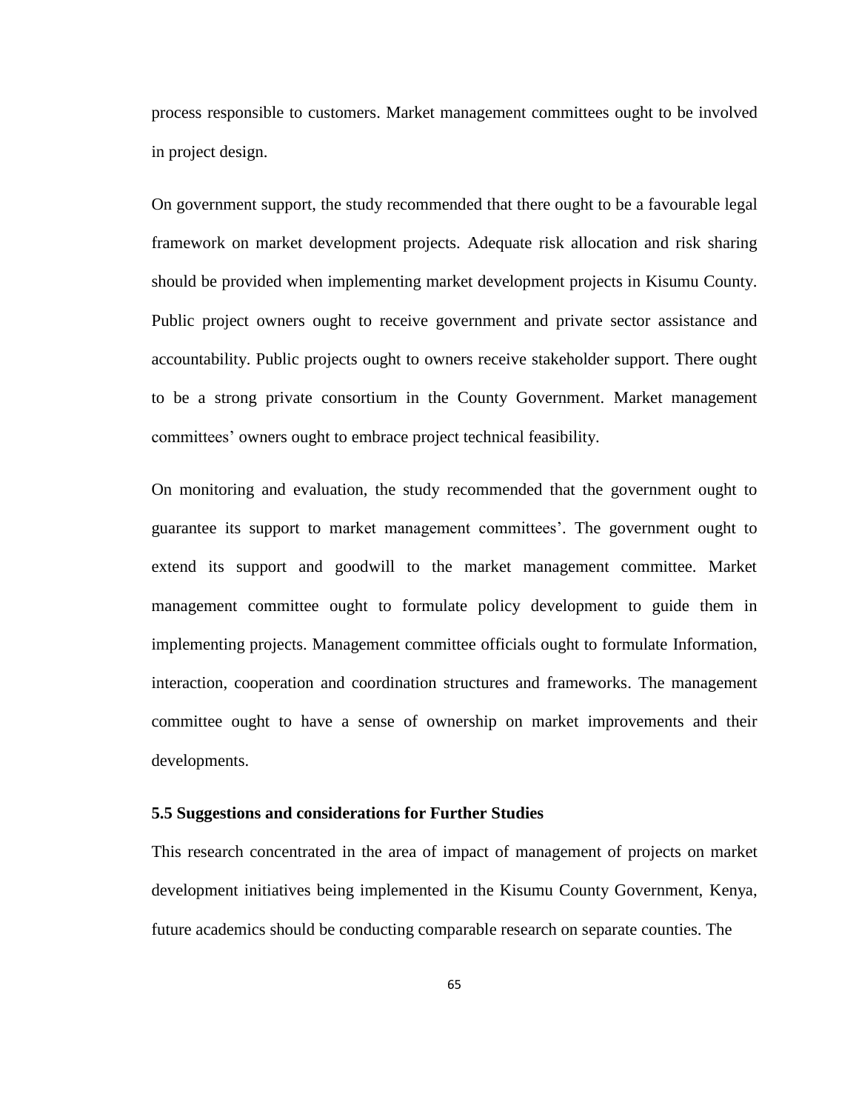process responsible to customers. Market management committees ought to be involved in project design.

On government support, the study recommended that there ought to be a favourable legal framework on market development projects. Adequate risk allocation and risk sharing should be provided when implementing market development projects in Kisumu County. Public project owners ought to receive government and private sector assistance and accountability. Public projects ought to owners receive stakeholder support. There ought to be a strong private consortium in the County Government. Market management committees' owners ought to embrace project technical feasibility.

On monitoring and evaluation, the study recommended that the government ought to guarantee its support to market management committees'. The government ought to extend its support and goodwill to the market management committee. Market management committee ought to formulate policy development to guide them in implementing projects. Management committee officials ought to formulate Information, interaction, cooperation and coordination structures and frameworks. The management committee ought to have a sense of ownership on market improvements and their developments.

### **5.5 Suggestions and considerations for Further Studies**

This research concentrated in the area of impact of management of projects on market development initiatives being implemented in the Kisumu County Government, Kenya, future academics should be conducting comparable research on separate counties. The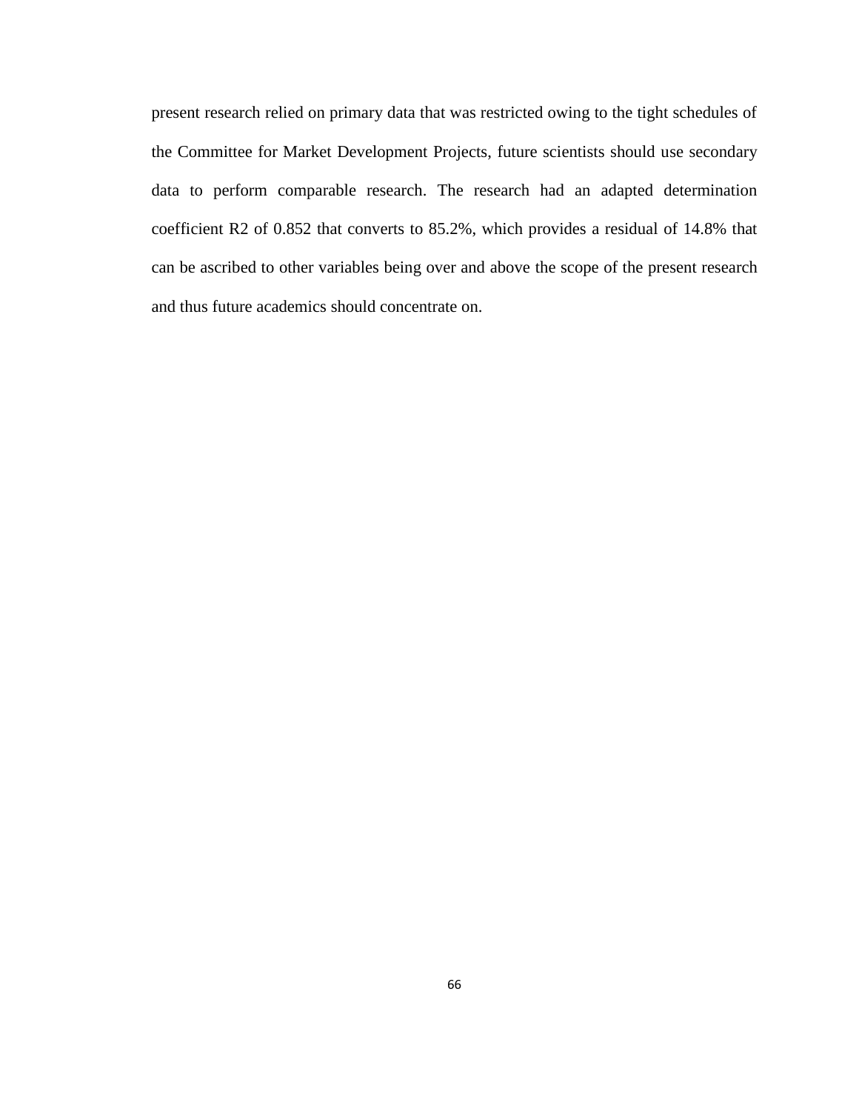present research relied on primary data that was restricted owing to the tight schedules of the Committee for Market Development Projects, future scientists should use secondary data to perform comparable research. The research had an adapted determination coefficient R2 of 0.852 that converts to 85.2%, which provides a residual of 14.8% that can be ascribed to other variables being over and above the scope of the present research and thus future academics should concentrate on.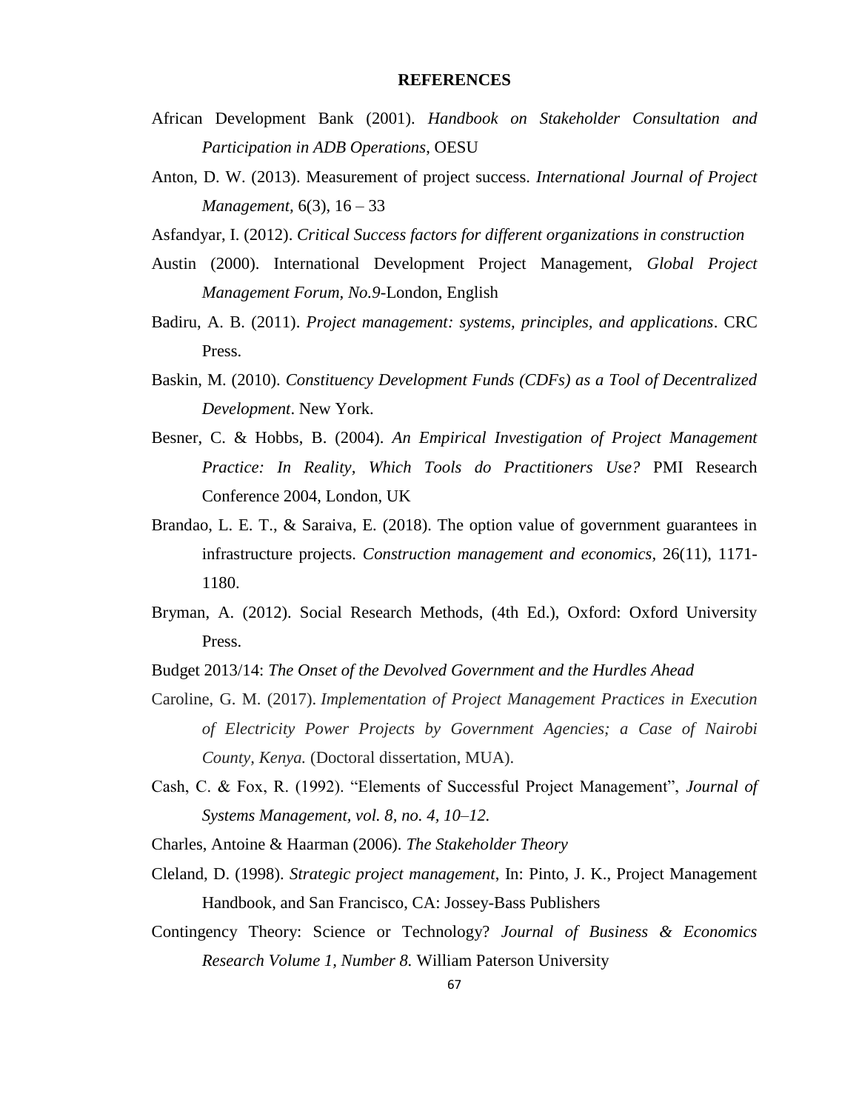#### **REFERENCES**

- African Development Bank (2001). *Handbook on Stakeholder Consultation and Participation in ADB Operations*, OESU
- Anton, D. W. (2013). Measurement of project success. *International Journal of Project Management,* 6(3), 16 – 33
- Asfandyar, I. (2012). *Critical Success factors for different organizations in construction*
- Austin (2000). International Development Project Management, *Global Project Management Forum, No.9*-London, English
- Badiru, A. B. (2011). *Project management: systems, principles, and applications*. CRC Press.
- Baskin, M. (2010). *Constituency Development Funds (CDFs) as a Tool of Decentralized Development*. New York.
- Besner, C. & Hobbs, B. (2004). *An Empirical Investigation of Project Management Practice: In Reality, Which Tools do Practitioners Use?* PMI Research Conference 2004, London, UK
- Brandao, L. E. T., & Saraiva, E. (2018). The option value of government guarantees in infrastructure projects. *Construction management and economics,* 26(11), 1171- 1180.
- Bryman, A. (2012). Social Research Methods, (4th Ed.), Oxford: Oxford University Press.
- Budget 2013/14: *The Onset of the Devolved Government and the Hurdles Ahead*
- Caroline, G. M. (2017). *Implementation of Project Management Practices in Execution of Electricity Power Projects by Government Agencies; a Case of Nairobi County, Kenya.* (Doctoral dissertation, MUA).
- Cash, C. & Fox, R. (1992). "Elements of Successful Project Management", *Journal of Systems Management, vol. 8, no. 4, 10–12.*
- Charles, Antoine & Haarman (2006). *The Stakeholder Theory*
- Cleland, D. (1998). *Strategic project management*, In: Pinto, J. K., Project Management Handbook, and San Francisco, CA: Jossey-Bass Publishers
- Contingency Theory: Science or Technology? *Journal of Business & Economics Research Volume 1, Number 8.* William Paterson University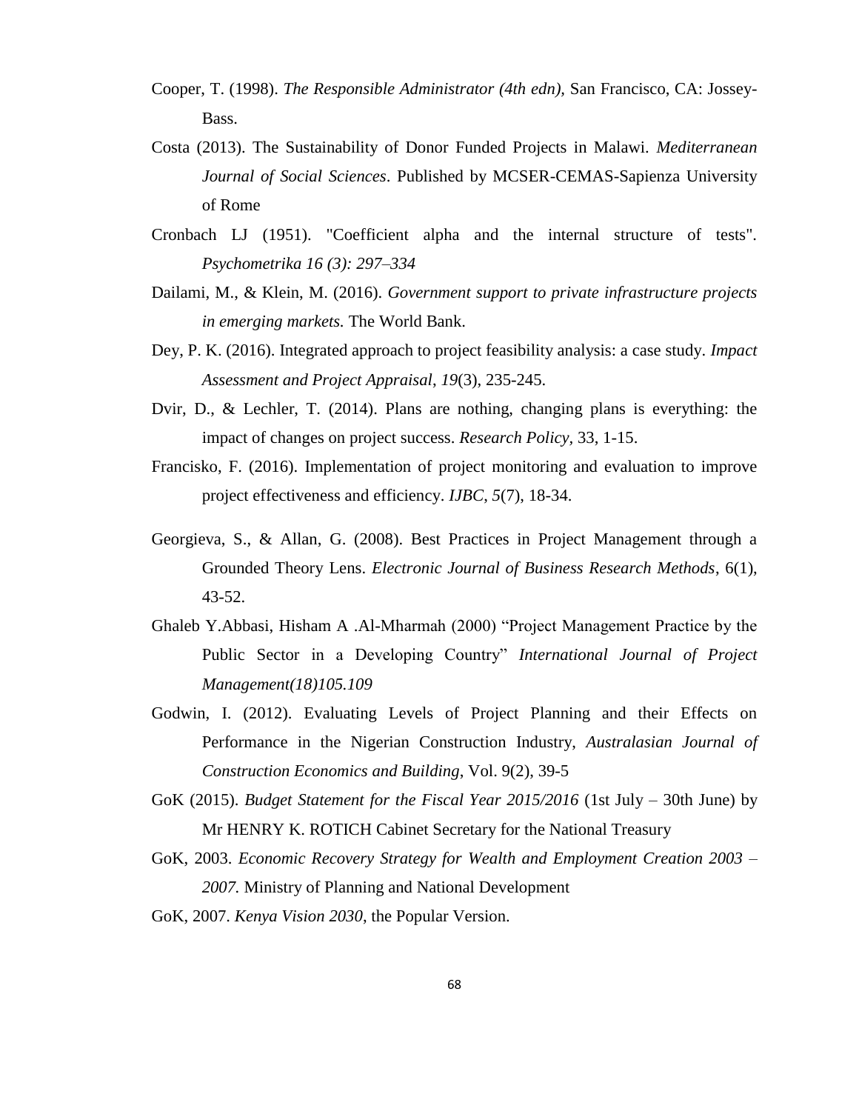- Cooper, T. (1998). *The Responsible Administrator (4th edn),* San Francisco, CA: Jossey-Bass.
- Costa (2013). The Sustainability of Donor Funded Projects in Malawi. *Mediterranean Journal of Social Sciences*. Published by MCSER-CEMAS-Sapienza University of Rome
- Cronbach LJ (1951). "Coefficient alpha and the internal structure of tests". *Psychometrika 16 (3): 297–334*
- Dailami, M., & Klein, M. (2016). *Government support to private infrastructure projects in emerging markets.* The World Bank.
- Dey, P. K. (2016). Integrated approach to project feasibility analysis: a case study. *Impact Assessment and Project Appraisal*, *19*(3), 235-245.
- Dvir, D., & Lechler, T. (2014). Plans are nothing, changing plans is everything: the impact of changes on project success. *Research Policy,* 33, 1-15.
- Francisko, F. (2016). Implementation of project monitoring and evaluation to improve project effectiveness and efficiency. *IJBC*, *5*(7), 18-34.
- Georgieva, S., & Allan, G. (2008). Best Practices in Project Management through a Grounded Theory Lens. *Electronic Journal of Business Research Methods*, 6(1), 43-52.
- Ghaleb Y.Abbasi, Hisham A .Al-Mharmah (2000) "Project Management Practice by the Public Sector in a Developing Country" *International Journal of Project Management(18)105.109*
- Godwin, I. (2012). Evaluating Levels of Project Planning and their Effects on Performance in the Nigerian Construction Industry, *Australasian Journal of Construction Economics and Building*, Vol. 9(2), 39-5
- GoK (2015). *Budget Statement for the Fiscal Year 2015/2016* (1st July 30th June) by Mr HENRY K. ROTICH Cabinet Secretary for the National Treasury
- GoK, 2003. *Economic Recovery Strategy for Wealth and Employment Creation 2003 – 2007.* Ministry of Planning and National Development
- GoK, 2007. *Kenya Vision 2030*, the Popular Version.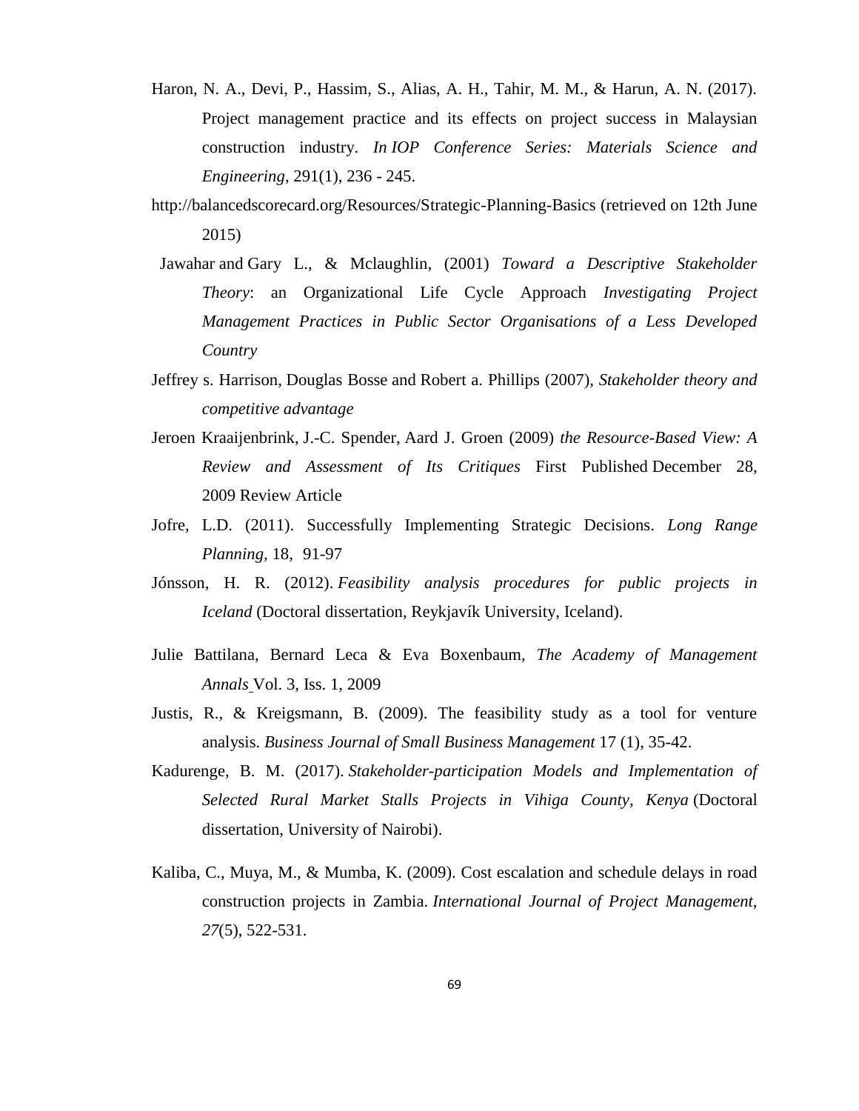- Haron, N. A., Devi, P., Hassim, S., Alias, A. H., Tahir, M. M., & Harun, A. N. (2017). Project management practice and its effects on project success in Malaysian construction industry. *In IOP Conference Series: Materials Science and Engineering*, 291(1), 236 - 245.
- http://balancedscorecard.org/Resources/Strategic-Planning-Basics (retrieved on 12th June 2015)
- [Jawahar](http://amr.aom.org/search?author1=I.+M.+Jawahar&sortspec=date&submit=Submit) and Gary L., & [Mclaughlin,](http://amr.aom.org/search?author1=Gary+L.+Mclaughlin&sortspec=date&submit=Submit) (2001) *Toward a Descriptive Stakeholder Theory*: an Organizational Life Cycle Approach *Investigating Project Management Practices in Public Sector Organisations of a Less Developed Country*
- Jeffrey s. [Harrison,](http://proceedings.aom.org/search?author1=JEFFREY+S.+HARRISON&sortspec=date&submit=Submit) [Douglas](http://proceedings.aom.org/search?author1=DOUGLAS+BOSSE&sortspec=date&submit=Submit) Bosse and Robert a. [Phillips](http://proceedings.aom.org/search?author1=ROBERT+A.+PHILLIPS&sortspec=date&submit=Submit) (2007), *Stakeholder theory and competitive advantage*
- [Jeroen Kraaijenbrink,](http://journals.sagepub.com/author/Kraaijenbrink%2C+Jeroen) [J.-C. Spender,](http://journals.sagepub.com/author/Spender%2C+J-C) [Aard J. Groen](http://journals.sagepub.com/author/Groen%2C+Aard+J) (2009) *the Resource-Based View: A Review and Assessment of Its Critiques* First Published December 28, 2009 Review Article
- Jofre, L.D. (2011). Successfully Implementing Strategic Decisions. *Long Range Planning,* 18, 91-97
- Jónsson, H. R. (2012). *Feasibility analysis procedures for public projects in Iceland* (Doctoral dissertation, Reykjavík University, Iceland).
- Julie Battilana, Bernard Leca & Eva Boxenbaum, *[The Academy of Management](http://www.tandfonline.com/toc/rama20/3/1)  [Annals](http://www.tandfonline.com/toc/rama20/3/1)* Vol. 3, Iss. 1, 2009
- Justis, R., & Kreigsmann, B. (2009). The feasibility study as a tool for venture analysis. *Business Journal of Small Business Management* 17 (1), 35-42.
- Kadurenge, B. M. (2017). *Stakeholder-participation Models and Implementation of Selected Rural Market Stalls Projects in Vihiga County, Kenya* (Doctoral dissertation, University of Nairobi).
- Kaliba, C., Muya, M., & Mumba, K. (2009). Cost escalation and schedule delays in road construction projects in Zambia. *International Journal of Project Management, 27*(5), 522-531.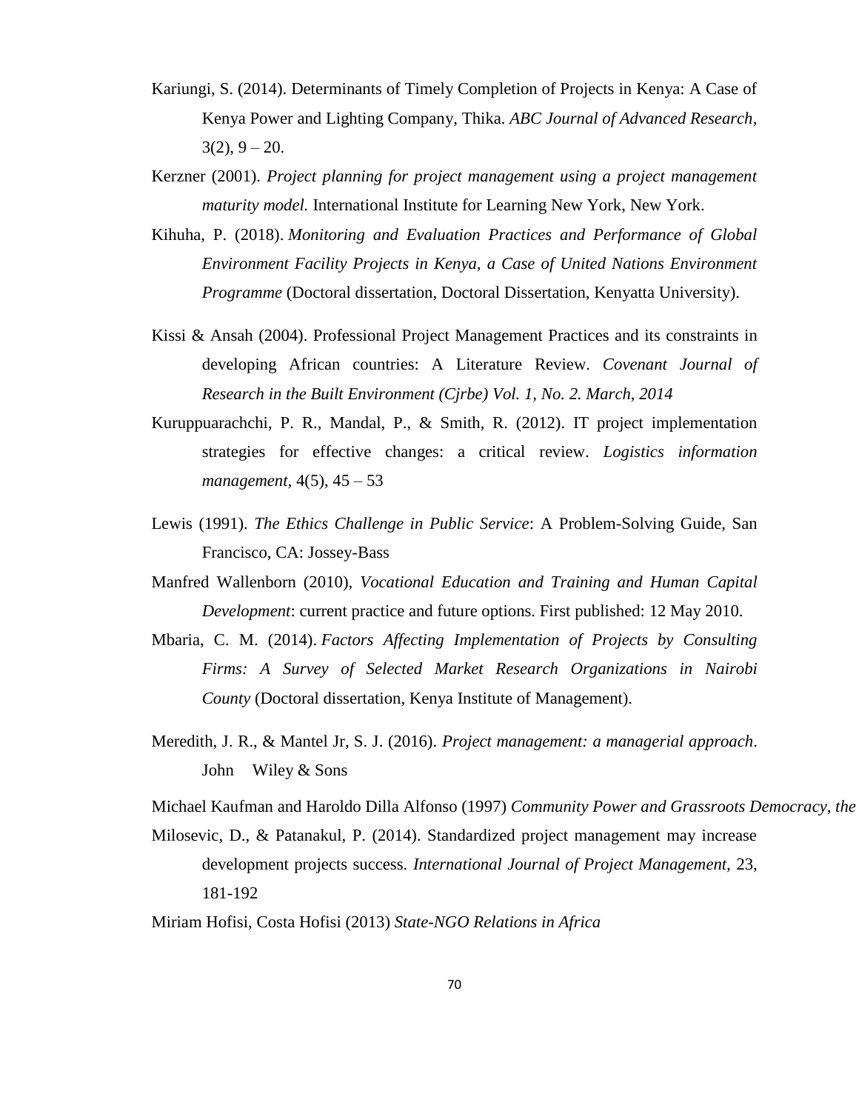- Kariungi, S. (2014). Determinants of Timely Completion of Projects in Kenya: A Case of Kenya Power and Lighting Company, Thika. *ABC Journal of Advanced Research,*  $3(2)$ ,  $9 - 20$ .
- Kerzner (2001). *Project planning for project management using a project management maturity model.* International Institute for Learning New York, New York.
- Kihuha, P. (2018). *Monitoring and Evaluation Practices and Performance of Global Environment Facility Projects in Kenya, a Case of United Nations Environment Programme* (Doctoral dissertation, Doctoral Dissertation, Kenyatta University).
- Kissi & Ansah (2004). Professional Project Management Practices and its constraints in developing African countries: A Literature Review. *Covenant Journal of Research in the Built Environment (Cjrbe) Vol. 1, No. 2. March, 2014*
- Kuruppuarachchi, P. R., Mandal, P., & Smith, R. (2012). IT project implementation strategies for effective changes: a critical review. *Logistics information management,* 4(5), 45 – 53
- Lewis (1991). *The Ethics Challenge in Public Service*: A Problem-Solving Guide, San Francisco, CA: Jossey-Bass
- Manfred Wallenborn (2010), *Vocational Education and Training and Human Capital Development*: current practice and future options. First published: 12 May 2010.
- Mbaria, C. M. (2014). *Factors Affecting Implementation of Projects by Consulting Firms: A Survey of Selected Market Research Organizations in Nairobi County* (Doctoral dissertation, Kenya Institute of Management).
- Meredith, J. R., & Mantel Jr, S. J. (2016). *Project management: a managerial approach*. John Wiley & Sons

Michael Kaufman and Haroldo Dilla Alfonso (1997) *Community Power and Grassroots Democracy, the Transformation of Social Life* 

Milosevic, D., & Patanakul, P. (2014). Standardized project management may increase development projects success. *International Journal of Project Management,* 23, 181-192

Miriam Hofisi, Costa Hofisi (2013) *State-NGO Relations in Africa*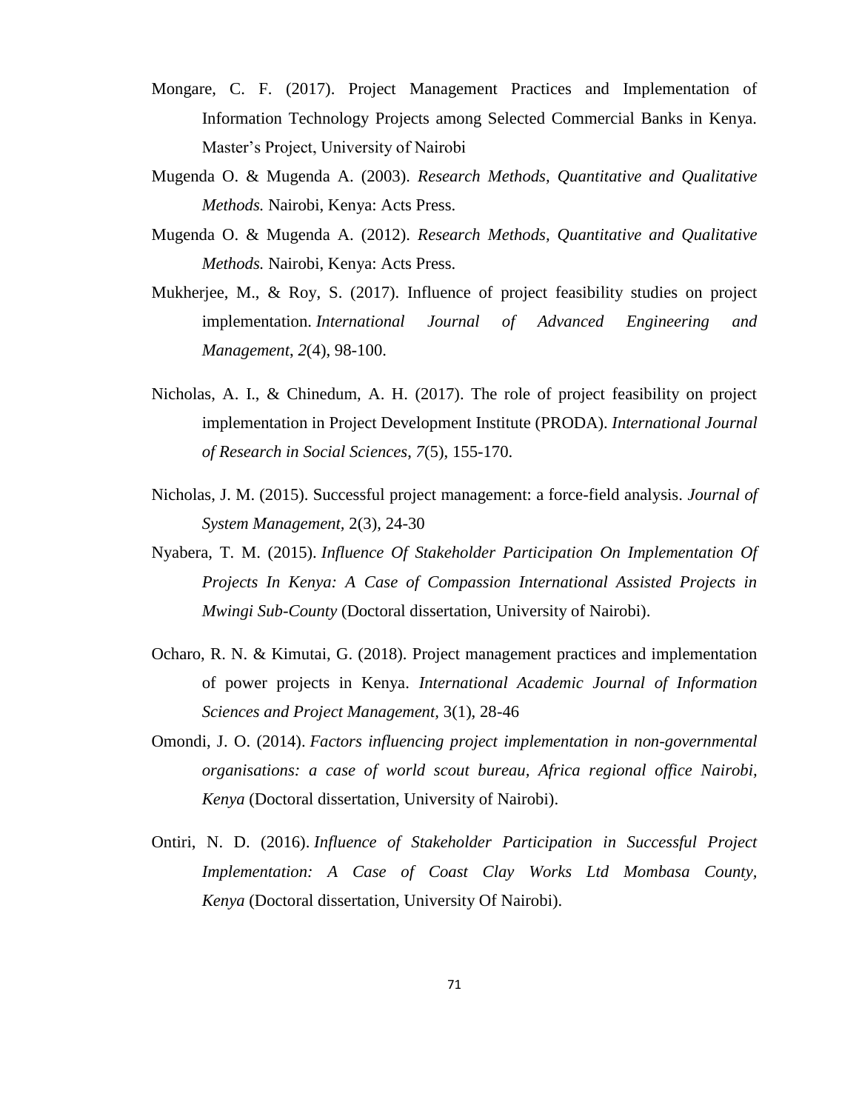- Mongare, C. F. (2017). Project Management Practices and Implementation of Information Technology Projects among Selected Commercial Banks in Kenya. Master's Project, University of Nairobi
- Mugenda O. & Mugenda A. (2003). *Research Methods, Quantitative and Qualitative Methods.* Nairobi, Kenya: Acts Press.
- Mugenda O. & Mugenda A. (2012). *Research Methods, Quantitative and Qualitative Methods.* Nairobi, Kenya: Acts Press.
- Mukherjee, M., & Roy, S. (2017). Influence of project feasibility studies on project implementation. *International Journal of Advanced Engineering and Management*, *2*(4), 98-100.
- Nicholas, A. I., & Chinedum, A. H. (2017). The role of project feasibility on project implementation in Project Development Institute (PRODA). *International Journal of Research in Social Sciences*, *7*(5), 155-170.
- Nicholas, J. M. (2015). Successful project management: a force-field analysis. *Journal of System Management,* 2(3), 24-30
- Nyabera, T. M. (2015). *Influence Of Stakeholder Participation On Implementation Of Projects In Kenya: A Case of Compassion International Assisted Projects in Mwingi Sub-County* (Doctoral dissertation, University of Nairobi).
- Ocharo, R. N. & Kimutai, G. (2018). Project management practices and implementation of power projects in Kenya. *International Academic Journal of Information Sciences and Project Management,* 3(1), 28-46
- Omondi, J. O. (2014). *Factors influencing project implementation in non-governmental organisations: a case of world scout bureau, Africa regional office Nairobi, Kenya* (Doctoral dissertation, University of Nairobi).
- Ontiri, N. D. (2016). *Influence of Stakeholder Participation in Successful Project Implementation: A Case of Coast Clay Works Ltd Mombasa County, Kenya* (Doctoral dissertation, University Of Nairobi).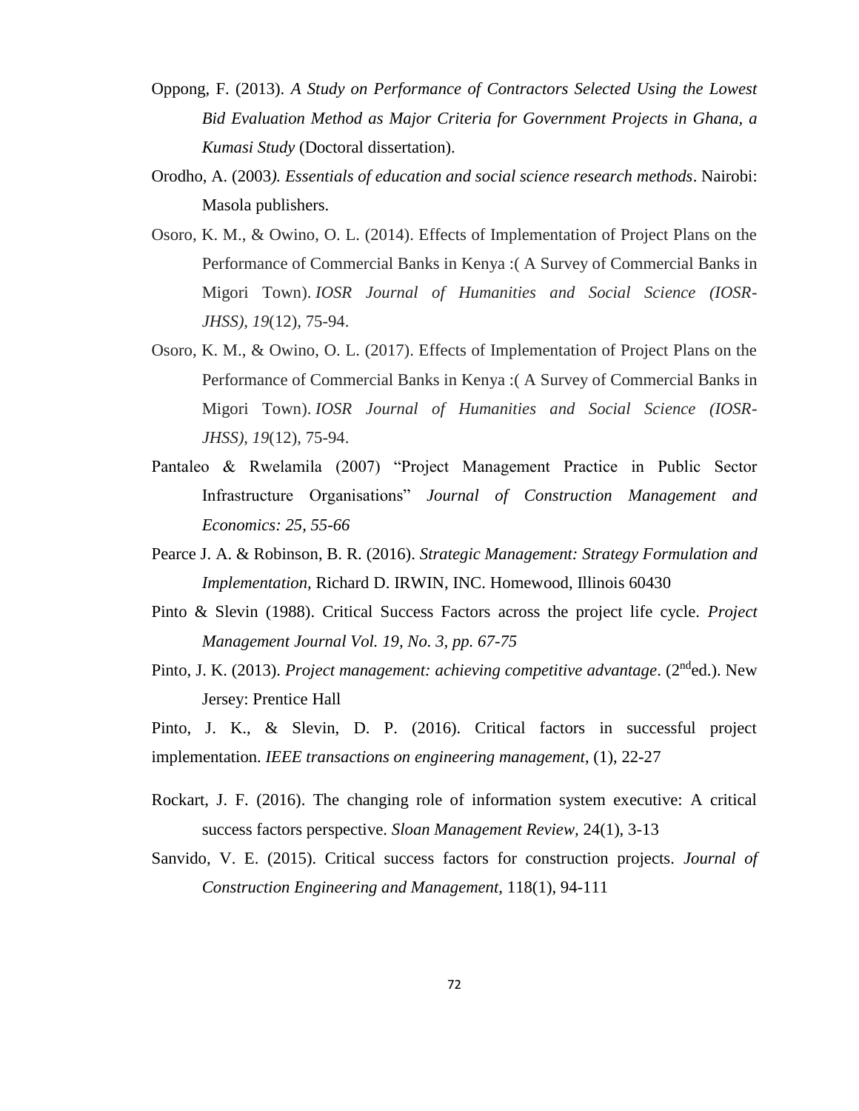- Oppong, F. (2013). *A Study on Performance of Contractors Selected Using the Lowest Bid Evaluation Method as Major Criteria for Government Projects in Ghana, a Kumasi Study* (Doctoral dissertation).
- Orodho, A. (2003*). Essentials of education and social science research methods*. Nairobi: Masola publishers.
- Osoro, K. M., & Owino, O. L. (2014). Effects of Implementation of Project Plans on the Performance of Commercial Banks in Kenya :( A Survey of Commercial Banks in Migori Town). *IOSR Journal of Humanities and Social Science (IOSR-JHSS)*, *19*(12), 75-94.
- Osoro, K. M., & Owino, O. L. (2017). Effects of Implementation of Project Plans on the Performance of Commercial Banks in Kenya :( A Survey of Commercial Banks in Migori Town). *IOSR Journal of Humanities and Social Science (IOSR-JHSS)*, *19*(12), 75-94.
- Pantaleo & Rwelamila (2007) "Project Management Practice in Public Sector Infrastructure Organisations" *Journal of Construction Management and Economics: 25, 55-66*
- Pearce J. A. & Robinson, B. R. (2016). *Strategic Management: Strategy Formulation and Implementation,* Richard D. IRWIN, INC. Homewood, Illinois 60430
- Pinto & Slevin (1988). Critical Success Factors across the project life cycle. *Project Management Journal Vol. 19, No. 3, pp. 67-75*
- Pinto, J. K. (2013). *Project management: achieving competitive advantage.* (2<sup>nd</sup>ed.). New Jersey: Prentice Hall
- Pinto, J. K., & Slevin, D. P. (2016). Critical factors in successful project implementation. *IEEE transactions on engineering management*, (1), 22-27
- Rockart, J. F. (2016). The changing role of information system executive: A critical success factors perspective. *Sloan Management Review,* 24(1), 3-13
- Sanvido, V. E. (2015). Critical success factors for construction projects. *Journal of Construction Engineering and Management,* 118(1), 94-111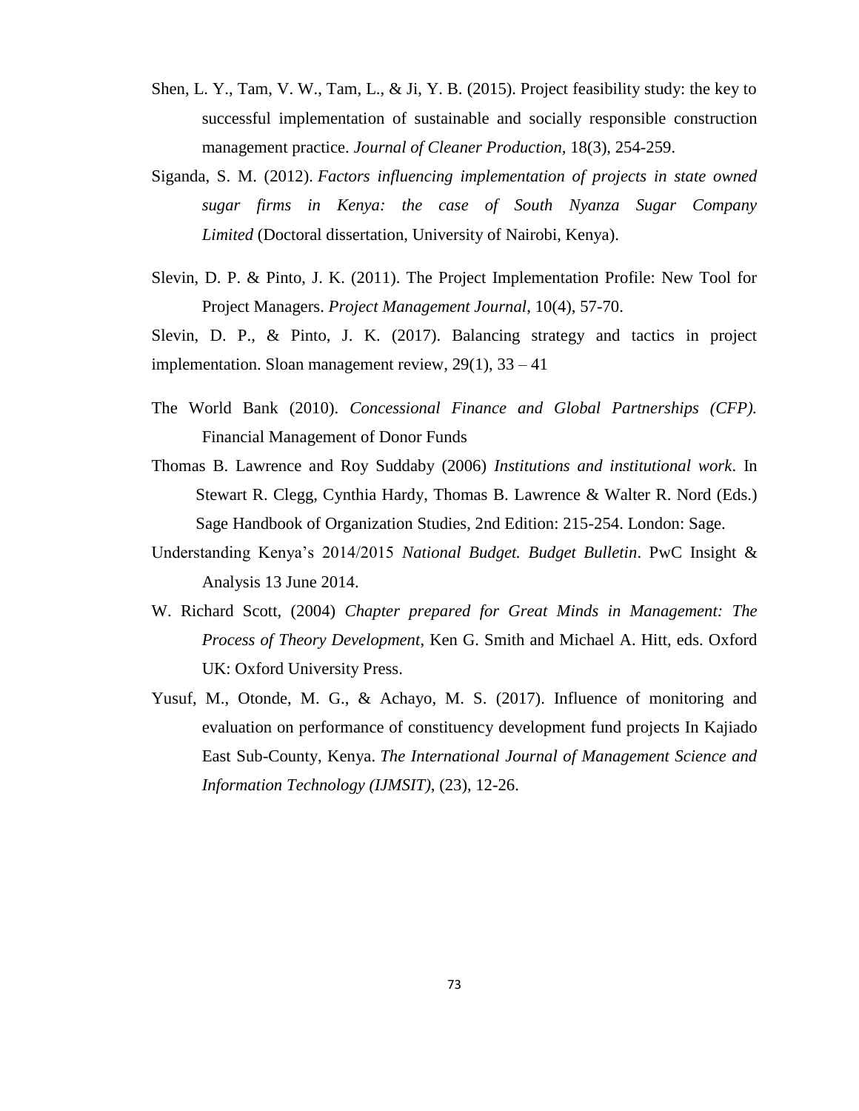- Shen, L. Y., Tam, V. W., Tam, L., & Ji, Y. B. (2015). Project feasibility study: the key to successful implementation of sustainable and socially responsible construction management practice. *Journal of Cleaner Production,* 18(3), 254-259.
- Siganda, S. M. (2012). *Factors influencing implementation of projects in state owned sugar firms in Kenya: the case of South Nyanza Sugar Company Limited* (Doctoral dissertation, University of Nairobi, Kenya).
- Slevin, D. P. & Pinto, J. K. (2011). The Project Implementation Profile: New Tool for Project Managers. *Project Management Journal*, 10(4), 57-70.

Slevin, D. P., & Pinto, J. K. (2017). Balancing strategy and tactics in project implementation. Sloan management review, 29(1), 33 – 41

- The World Bank (2010). *Concessional Finance and Global Partnerships (CFP).* Financial Management of Donor Funds
- Thomas B. Lawrence and Roy Suddaby (2006) *Institutions and institutional work*. In Stewart R. Clegg, Cynthia Hardy, Thomas B. Lawrence & Walter R. Nord (Eds.) Sage Handbook of Organization Studies, 2nd Edition: 215-254. London: Sage.
- Understanding Kenya's 2014/2015 *National Budget. Budget Bulletin*. PwC Insight & Analysis 13 June 2014.
- W. Richard Scott, (2004) *Chapter prepared for Great Minds in Management: The Process of Theory Development*, Ken G. Smith and Michael A. Hitt, eds. Oxford UK: Oxford University Press.
- Yusuf, M., Otonde, M. G., & Achayo, M. S. (2017). Influence of monitoring and evaluation on performance of constituency development fund projects In Kajiado East Sub-County, Kenya. *The International Journal of Management Science and Information Technology (IJMSIT)*, (23), 12-26.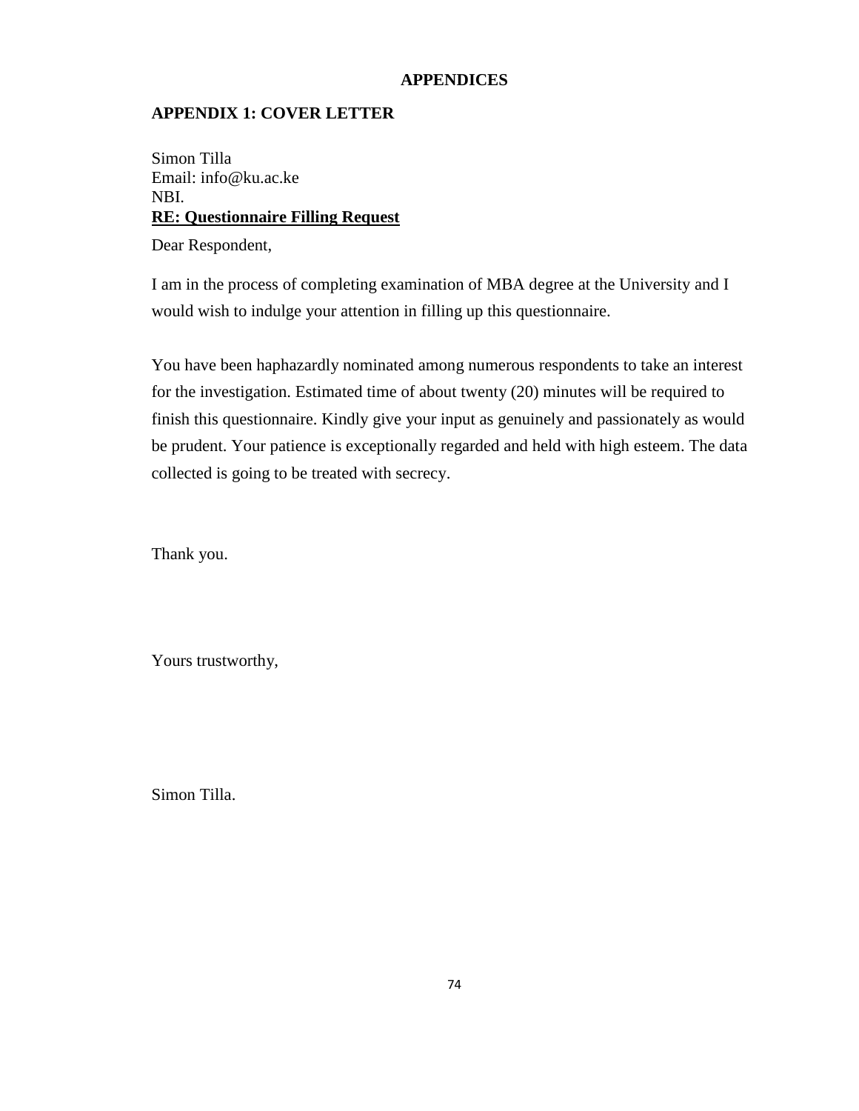## **APPENDICES**

## **APPENDIX 1: COVER LETTER**

Simon Tilla Email: info@ku.ac.ke NBI. **RE: Questionnaire Filling Request**

Dear Respondent,

I am in the process of completing examination of MBA degree at the University and I would wish to indulge your attention in filling up this questionnaire.

You have been haphazardly nominated among numerous respondents to take an interest for the investigation. Estimated time of about twenty (20) minutes will be required to finish this questionnaire. Kindly give your input as genuinely and passionately as would be prudent. Your patience is exceptionally regarded and held with high esteem. The data collected is going to be treated with secrecy.

Thank you.

Yours trustworthy,

Simon Tilla.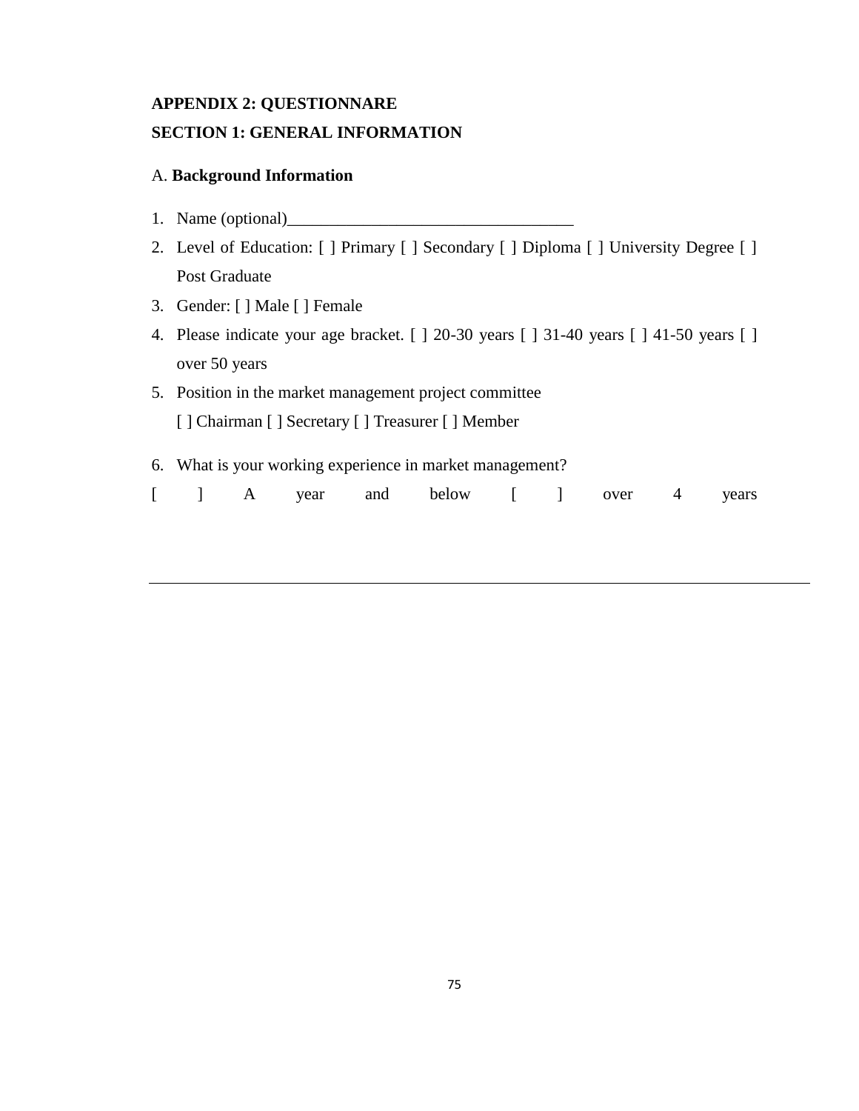# **APPENDIX 2: QUESTIONNARE SECTION 1: GENERAL INFORMATION**

## A. **Background Information**

- 1. Name (optional)\_\_\_\_\_\_\_\_\_\_\_\_\_\_\_\_\_\_\_\_\_\_\_\_\_\_\_\_\_\_\_\_\_\_
- 2. Level of Education: [ ] Primary [ ] Secondary [ ] Diploma [ ] University Degree [ ] Post Graduate
- 3. Gender: [ ] Male [ ] Female
- 4. Please indicate your age bracket. [ ] 20-30 years [ ] 31-40 years [ ] 41-50 years [ ] over 50 years
- 5. Position in the market management project committee [ ] Chairman [ ] Secretary [ ] Treasurer [ ] Member
- 6. What is your working experience in market management?

|  |  | $\begin{bmatrix} 1 & A \end{bmatrix}$ |  |  | year and below |  |  | over |  | 4 years |
|--|--|---------------------------------------|--|--|----------------|--|--|------|--|---------|
|--|--|---------------------------------------|--|--|----------------|--|--|------|--|---------|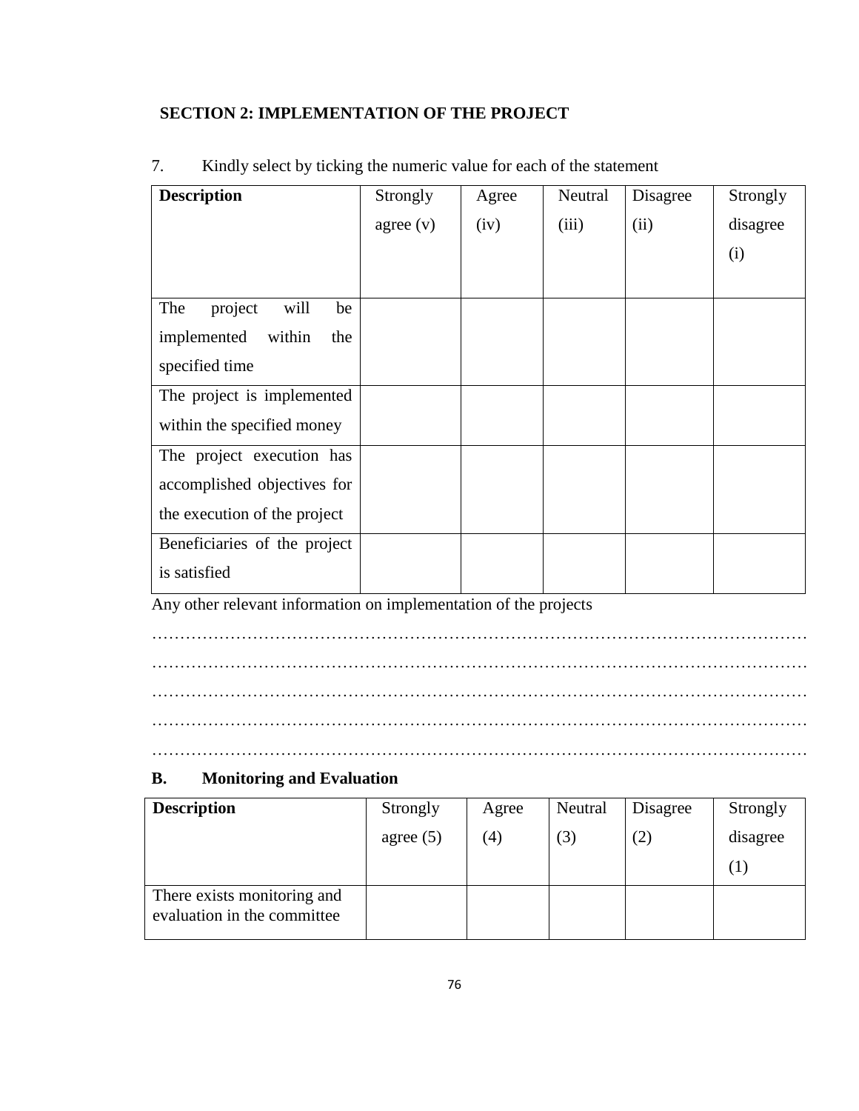## **SECTION 2: IMPLEMENTATION OF THE PROJECT**

| <b>Description</b>           | Strongly  | Agree | Neutral | Disagree | Strongly |
|------------------------------|-----------|-------|---------|----------|----------|
|                              | agree (v) | (iv)  | (iii)   | (ii)     | disagree |
|                              |           |       |         |          | (i)      |
|                              |           |       |         |          |          |
| project<br>The<br>will<br>be |           |       |         |          |          |
| implemented<br>within<br>the |           |       |         |          |          |
| specified time               |           |       |         |          |          |
| The project is implemented   |           |       |         |          |          |
| within the specified money   |           |       |         |          |          |
| The project execution has    |           |       |         |          |          |
| accomplished objectives for  |           |       |         |          |          |
| the execution of the project |           |       |         |          |          |
| Beneficiaries of the project |           |       |         |          |          |
| is satisfied                 |           |       |         |          |          |

# 7. Kindly select by ticking the numeric value for each of the statement

Any other relevant information on implementation of the projects

……………………………………………………………………………………………………… ……………………………………………………………………………………………………… ………………………………………………………………………………………………………

## **B. Monitoring and Evaluation**

| <b>Description</b>                                         | Strongly    | Agree | Neutral | Disagree | Strongly |
|------------------------------------------------------------|-------------|-------|---------|----------|----------|
|                                                            | agree $(5)$ | (4)   | (3)     | (2)      | disagree |
|                                                            |             |       |         |          | $\perp$  |
| There exists monitoring and<br>evaluation in the committee |             |       |         |          |          |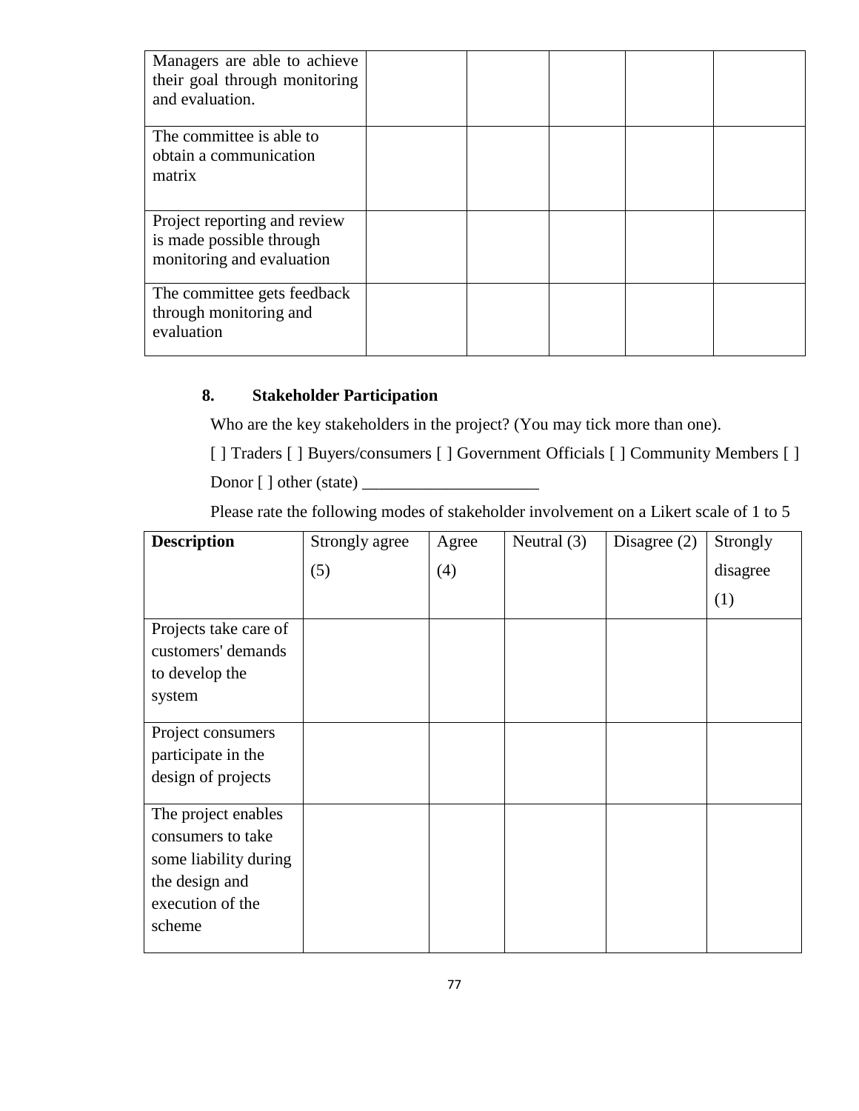| Managers are able to achieve<br>their goal through monitoring<br>and evaluation. |  |  |  |
|----------------------------------------------------------------------------------|--|--|--|
| The committee is able to                                                         |  |  |  |
| obtain a communication                                                           |  |  |  |
| matrix                                                                           |  |  |  |
|                                                                                  |  |  |  |
| Project reporting and review                                                     |  |  |  |
| is made possible through                                                         |  |  |  |
| monitoring and evaluation                                                        |  |  |  |
| The committee gets feedback                                                      |  |  |  |
| through monitoring and                                                           |  |  |  |
| evaluation                                                                       |  |  |  |
|                                                                                  |  |  |  |

# **8. Stakeholder Participation**

Who are the key stakeholders in the project? (You may tick more than one).

[ ] Traders [ ] Buyers/consumers [ ] Government Officials [ ] Community Members [ ]

Donor [ ] other (state) \_\_\_\_\_\_\_\_\_\_\_\_\_\_\_\_\_\_\_\_\_

Please rate the following modes of stakeholder involvement on a Likert scale of 1 to 5

| <b>Description</b>                                                                                                | Strongly agree | Agree | Neutral $(3)$ | Disagree $(2)$ | Strongly |
|-------------------------------------------------------------------------------------------------------------------|----------------|-------|---------------|----------------|----------|
|                                                                                                                   | (5)            | (4)   |               |                | disagree |
|                                                                                                                   |                |       |               |                | (1)      |
| Projects take care of<br>customers' demands<br>to develop the<br>system                                           |                |       |               |                |          |
| Project consumers<br>participate in the<br>design of projects                                                     |                |       |               |                |          |
| The project enables<br>consumers to take<br>some liability during<br>the design and<br>execution of the<br>scheme |                |       |               |                |          |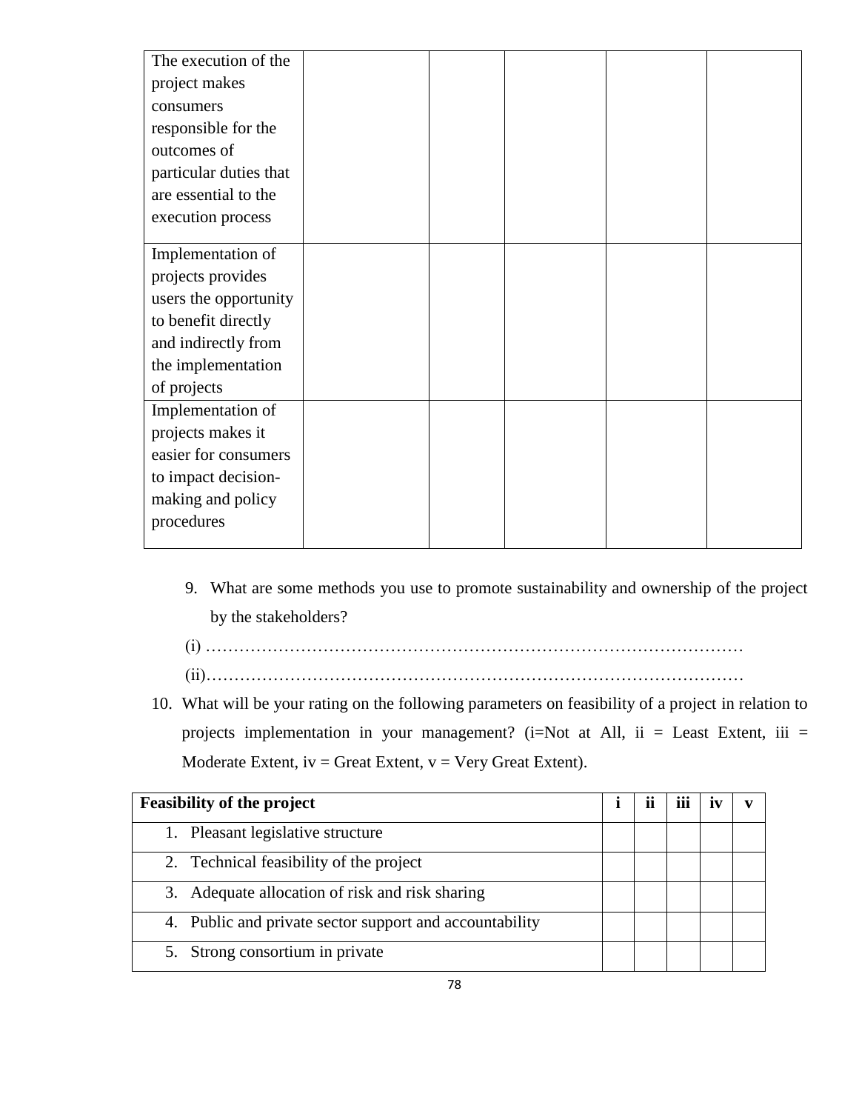| The execution of the   |  |  |  |
|------------------------|--|--|--|
| project makes          |  |  |  |
| consumers              |  |  |  |
| responsible for the    |  |  |  |
| outcomes of            |  |  |  |
| particular duties that |  |  |  |
| are essential to the   |  |  |  |
| execution process      |  |  |  |
|                        |  |  |  |
| Implementation of      |  |  |  |
| projects provides      |  |  |  |
| users the opportunity  |  |  |  |
| to benefit directly    |  |  |  |
| and indirectly from    |  |  |  |
| the implementation     |  |  |  |
| of projects            |  |  |  |
| Implementation of      |  |  |  |
| projects makes it      |  |  |  |
| easier for consumers   |  |  |  |
| to impact decision-    |  |  |  |
| making and policy      |  |  |  |
| procedures             |  |  |  |
|                        |  |  |  |

- 9. What are some methods you use to promote sustainability and ownership of the project by the stakeholders?
- (i) ……………………………………………………………………………………
- (ii)……………………………………………………………………………………
- 10. What will be your rating on the following parameters on feasibility of a project in relation to projects implementation in your management? (i=Not at All, ii = Least Extent, iii = Moderate Extent,  $iv =$  Great Extent,  $v =$  Very Great Extent).

| <b>Feasibility of the project</b>                       |  |  | $\bullet\bullet\bullet$ |  |
|---------------------------------------------------------|--|--|-------------------------|--|
| 1. Pleasant legislative structure                       |  |  |                         |  |
| 2. Technical feasibility of the project                 |  |  |                         |  |
| 3. Adequate allocation of risk and risk sharing         |  |  |                         |  |
| 4. Public and private sector support and accountability |  |  |                         |  |
| 5. Strong consortium in private                         |  |  |                         |  |